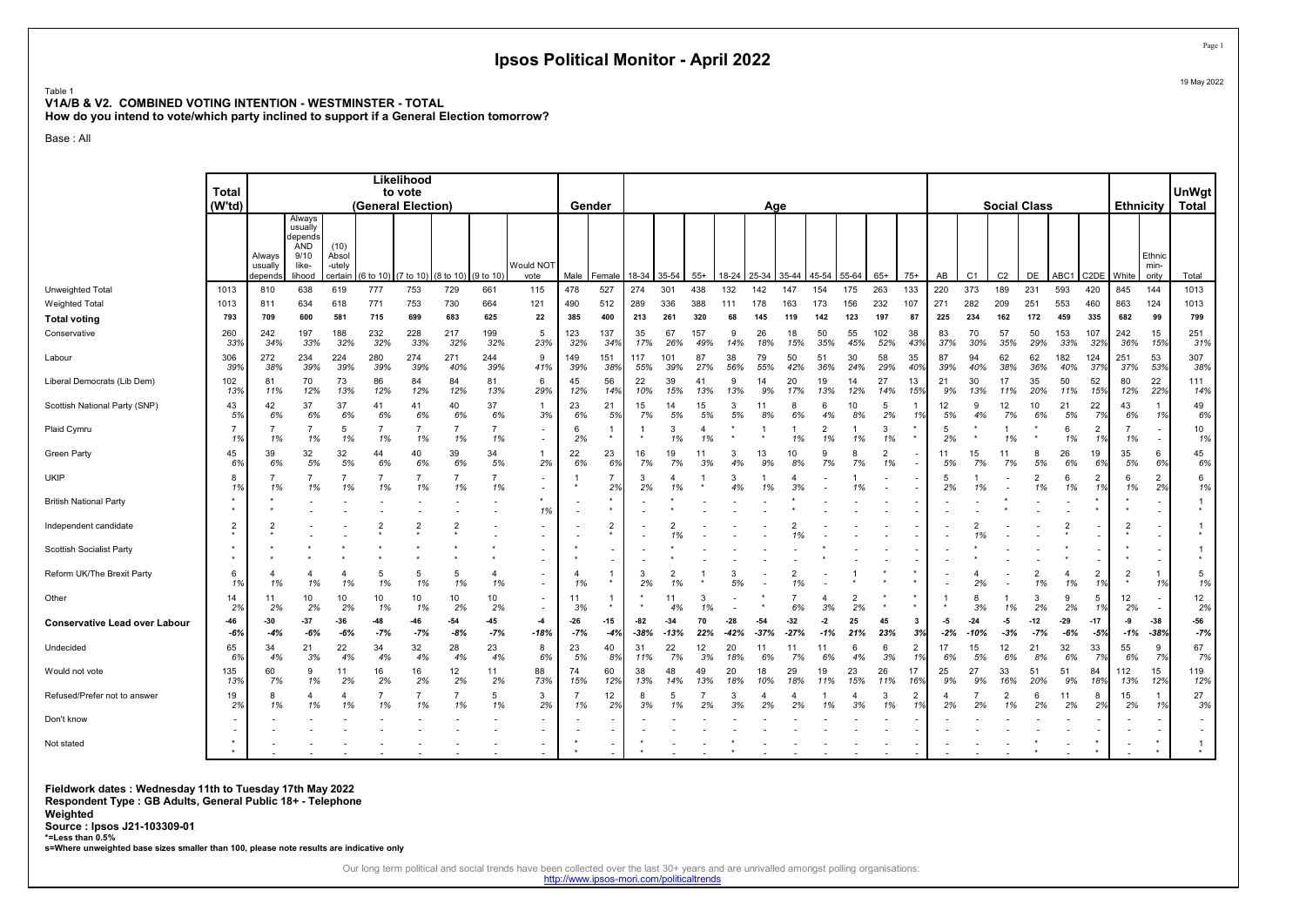#### Table 1 V1A/B & V2. COMBINED VOTING INTENTION - WESTMINSTER - TOTAL How do you intend to vote/which party inclined to support if a General Election tomorrow?

Base : All

|                                      | <b>Total</b>         |                              |                                                                |                             |                     | Likelihood<br>to vote |                                           |                      |                                            |                      |                      |                 |                      |                      |                 |                 |                 |                    |                      |                      |                      |                             |                |                          |                      |                |                      |                |                         | <b>UnWgt</b>                       |
|--------------------------------------|----------------------|------------------------------|----------------------------------------------------------------|-----------------------------|---------------------|-----------------------|-------------------------------------------|----------------------|--------------------------------------------|----------------------|----------------------|-----------------|----------------------|----------------------|-----------------|-----------------|-----------------|--------------------|----------------------|----------------------|----------------------|-----------------------------|----------------|--------------------------|----------------------|----------------|----------------------|----------------|-------------------------|------------------------------------|
|                                      | (W'td)               |                              |                                                                |                             | (General Election)  |                       |                                           |                      |                                            |                      | Gender               |                 |                      |                      |                 | Age             |                 |                    |                      |                      |                      |                             |                |                          | <b>Social Class</b>  |                |                      | Ethnicity I    |                         | Total                              |
|                                      |                      | Always<br>usually<br>depends | Always<br>usually<br>depends<br>AND<br>9/10<br>like-<br>lihood | (10)<br>Absol<br>-utely     | certain $(6 to 10)$ |                       | $(7 \text{ to } 10)$ $(8 \text{ to } 10)$ | (9 to 10)            | Would NOT<br>vote                          | Male                 | Female               | 18-34           | $135 - 54$           | $55+$                | 18-24           | 25-34           | 35-44           | 45-54              | 55-64                | $65+$                | $75+$                | AB                          | C <sub>1</sub> | C <sub>2</sub>           | DE                   | ABC1           | C <sub>2</sub> DE    | White          | Ethnic<br>min-<br>ority | Total                              |
| Unweighted Total                     | 1013                 | 810                          | 638                                                            | 619                         | 777                 | 753                   | 729                                       | 661                  | 115                                        | 478                  | 527                  | 274             | 301                  | 438                  | 132             | 142             | 147             | 154                | 175                  | 263                  | 133                  | 220                         | 373            | 189                      | 231                  | 593            | 420                  | 845            | 144                     | 1013                               |
| Weighted Total                       | 1013                 | 811                          | 634                                                            | 618                         | 771                 | 753                   | 730                                       | 664                  | 121                                        | 490                  | 512                  | 289             | 336                  | 388                  | 111             | 178             | 163             | 173                | 156                  | 232                  | 107                  | 271                         | 282            | 209                      | 251                  | 553            | 460                  | 863            | 124                     | 1013                               |
| <b>Total voting</b>                  | 793                  | 709                          | 600                                                            | 581                         | 715                 | 699                   | 683                                       | 625                  | 22                                         | 385                  | 400                  | 213             | 261                  | 320                  |                 | 145             | 119             | 142                | 123                  | 197                  | 87                   | 225                         | 234            | 162                      | 172                  | 459            | 335                  | 682            | 99                      | 799                                |
| Conservative                         | 260<br>33%           | 242<br>34%                   | 197<br>33%                                                     | 188<br>32%                  | 232<br>32%          | 228<br>33%            | 217<br>32%                                | 199<br>32%           | 5<br>23%                                   | 123<br>32%           | 137<br>34%           | 35<br>17%       | 67<br>26%            | 157<br>49%           | 9<br>14%        | 26<br>18%       | 18<br>15%       | 50<br>35%          | 55<br>45%            | 102<br>52%           | 38<br>43%            | 83<br>37%                   | 70<br>30%      | 57<br>35%                | 50<br>29%            | 153<br>33%     | 107<br>32%           | 242<br>36%     | 15<br>15%               | 251<br>31%                         |
| Labour                               | 306<br>39%           | 272<br>38%                   | 234<br>39%                                                     | 224<br>39%                  | 280<br>39%          | 274<br>39%            | 271<br>40%                                | 244<br>39%           | 9<br>41%                                   | 149<br>39%           | 151<br>38%           | 117<br>55%      | 101<br>39%           | 87<br>27%            | 38<br>56%       | 79<br>55%       | 50<br>42%       | 51<br>36%          | 30<br>24%            | 58<br>29%            | 35<br>40%            | 87<br>39%                   | 94<br>40%      | 62<br>38%                | 62<br>36%            | 182<br>40%     | 124<br>37%           | 251<br>37%     | 53<br>53%               | 307<br>38%                         |
| Liberal Democrats (Lib Dem)          | 102<br>13%           | 81<br>11%                    | 70<br>12%                                                      | 73<br>13%                   | 86<br>12%           | 84<br>12%             | 84<br>12%                                 | 81<br>13%            | 6<br>29%                                   | 45<br>12%            | 56<br>14%            | 22<br>10%       | 39<br>15%            | 41<br>13%            | 9<br>13%        | 14<br>9%        | 20<br>17%       | 19<br>13%          | 14<br>12%            | 27<br>14%            | 13<br>15%            | 21<br>9%                    | 30<br>13%      | 17<br>11%                | 35<br>20%            | 50<br>11%      | 52<br>15%            | 80<br>12%      | 22<br>22%               | 111<br>14%                         |
| Scottish National Party (SNP)        | 43<br>5%             | 42<br>6%                     | 37<br>6%                                                       | 37<br>6%                    | 41<br>6%            | 41<br>6%              | 40<br>6%                                  | 37<br>6%             | 1<br>3%                                    | 23<br>6%             | 21<br>5%             | 15<br>7%        | 14<br>5%             | 15<br>5%             | 3<br>5%         | 11<br>8%        | 8<br>6%         | 6<br>4%            | 10<br>8%             | $\overline{5}$<br>2% | 1%                   | 12<br>5%                    | 9<br>4%        | 12<br>7%                 | 10<br>6%             | 21<br>5%       | 22<br>7%             | 43<br>6%       | $\overline{1}$<br>1%    | 49<br>6%                           |
| Plaid Cymru                          | $\overline{7}$<br>1% | 1%                           | 1%                                                             | 5<br>1%                     | 1%                  | 1%                    | $\overline{7}$<br>1%                      | $\overline{7}$<br>1% | $\overline{\phantom{a}}$                   | 6<br>2%              |                      |                 | 3<br>1%              | $\overline{4}$<br>1% |                 |                 | 1%              | 2<br>1%            | 1%                   | 3<br>1%              |                      | 5<br>2%                     |                | 1%                       |                      | 1%             | $\overline{2}$<br>1% | 1%             |                         | 10<br>1%                           |
| <b>Green Party</b>                   | 45<br>6%             | 39<br>6%                     | 32<br>5%                                                       | 32<br>5%                    | 44<br>6%            | 40<br>6%              | 39<br>6%                                  | 34<br>5%             | 1<br>2%                                    | 22<br>6%             | 23<br>6%             | 16<br>7%        | 19<br>7%             | 11<br>3%             | 3<br>4%         | 13<br>9%        | 10<br>8%        | $\mathbf{Q}$<br>7% | 8<br>7%              | $\overline{2}$<br>1% |                      | 11<br>5%                    | 15<br>7%       | 11<br>7%                 | 8<br>5%              | 26<br>6%       | 19<br>6%             | 35<br>5%       | 6<br>6%                 | 45<br>6%                           |
| <b>UKIP</b>                          | 8<br>1%              | 1%                           | 1%                                                             | $\overline{7}$<br>1%        | 1%                  | $\overline{7}$<br>1%  | $\overline{7}$<br>1%                      | $\overline{7}$<br>1% |                                            |                      | $\overline{7}$<br>2% | 3<br>2%         | 1%                   |                      | 3<br>4%         | 1%              | 3%              |                    | 1%                   |                      |                      | 5<br>2%                     | 1%             | $\overline{\phantom{a}}$ | 1%                   | 6<br>1%        | $\overline{2}$<br>1% | 6<br>1%        | $\overline{2}$<br>2%    | 6<br>1%                            |
| <b>British National Party</b>        | $\star$              |                              |                                                                |                             |                     |                       |                                           |                      | 1%                                         |                      |                      |                 |                      |                      |                 |                 |                 |                    |                      |                      |                      |                             |                |                          |                      |                |                      |                |                         | $\star$                            |
| Independent candidate                | $\overline{2}$       | 2                            |                                                                |                             |                     | $\overline{2}$        | $\overline{2}$                            |                      |                                            |                      | $\overline{2}$       |                 | $\overline{2}$       |                      |                 |                 |                 |                    |                      |                      |                      |                             | 2<br>1%        |                          |                      |                |                      | $\overline{2}$ |                         | $\star$                            |
| Scottish Socialist Party             |                      |                              |                                                                |                             |                     |                       |                                           |                      |                                            |                      |                      |                 |                      |                      |                 |                 |                 |                    |                      |                      |                      |                             |                |                          |                      |                |                      |                |                         | $\star$                            |
| Reform UK/The Brexit Party           | 6<br>1%              | 4<br>1%                      | 1%                                                             | $\overline{4}$<br>1%        | -5<br>1%            | 5<br>1%               | 5<br>1%                                   | $\overline{4}$<br>1% | $\blacksquare$<br>$\overline{\phantom{a}}$ | $\overline{4}$<br>1% |                      | 3<br>2%         | $\overline{2}$<br>1% |                      | 3<br>5%         |                 | 1%              |                    |                      |                      |                      |                             | 2%             |                          | $\overline{2}$<br>1% | 4<br>1%        | $\overline{2}$<br>1% | $\overline{2}$ | $\overline{1}$<br>1%    | 5<br>1%                            |
| Other                                | 14<br>2%             | 11<br>2%                     | 10<br>2%                                                       | 10<br>2%                    | 10<br>1%            | 10<br>1%              | 10<br>2%                                  | 10<br>2%             | $\blacksquare$                             | 11<br>3%             |                      |                 | 11<br>4%             | 3<br>1%              |                 |                 | 6%              | 4<br>3%            | $\overline{2}$<br>2% |                      |                      |                             | 3%             | 1%                       | -3<br>2%             | 9<br>2%        | 5<br>1%              | 12<br>2%       |                         | 12<br>2%                           |
| <b>Conservative Lead over Labour</b> | -46<br>$-6%$         | $-30$<br>$-4%$               | $-37$<br>$-6%$                                                 | $-36$<br>$-6%$              | $-48$<br>$-7%$      | -46<br>$-7%$          | $-54$<br>$-8%$                            | $-45$<br>$-7%$       | $-4$<br>$-18%$                             | $-26$<br>$-7%$       | $-15$<br>-4%         | $-82$<br>$-38%$ | $-34$<br>$-13%$      | 70<br>22%            | $-28$<br>$-42%$ | $-54$<br>$-37%$ | $-32$<br>$-27%$ | $-2$<br>$-1%$      | 25<br>21%            | 45<br>23%            | 3<br>3%              | -5<br>$-2%$                 | $-10%$         | -5<br>$-3%$              | $-12$<br>$-7%$       | $-29$<br>$-6%$ | $-17$<br>$-5%$       | -9<br>$-1%$    | $-38$<br>$-38%$         | -56<br>$-7%$                       |
| Undecided                            | 65<br>6%             | 34<br>4%                     | 21<br>3%                                                       | 22<br>4%                    | 34<br>4%            | 32<br>4%              | 28<br>4%                                  | 23<br>4%             | 8<br>6%                                    | 23<br>5%             | 40<br>8%             | 31<br>11%       | 22<br>7%             | 12<br>3%             | 20<br>18%       | -11<br>6%       | 11<br>7%        | 11<br>6%           | 6<br>4%              | 6<br>3%              | $\overline{2}$<br>1% | 17<br>6%                    | 15<br>5%       | 12<br>6%                 | 21<br>8%             | 32<br>6%       | 33<br>7%             | 55<br>6%       | 9<br>7%                 | 67<br>7%                           |
| Would not vote                       | 135<br>13%           | 60<br>7%                     | 9<br>1%                                                        | 11<br>2%                    | 16<br>2%            | 16<br>2%              | 12<br>2%                                  | 11<br>2%             | 88<br>73%                                  | 74<br>15%            | 60<br>12%            | 38<br>13%       | 48<br>14%            | 49<br>13%            | 20<br>18%       | 18<br>10%       | 29<br>18%       | 19<br>11%          | 23<br>15%            | 26<br>11%            | 17<br>16%            | 25<br>9%                    | 27<br>9%       | 33<br>16%                | 51<br>20%            | 51<br>9%       | 84<br>18%            | 112<br>13%     | 15<br>12%               | 119<br>12%                         |
| Refused/Prefer not to answei         | 19<br>2%             | 8<br>1%                      | 1%                                                             | $\boldsymbol{\Delta}$<br>1% | 1%                  | 1%                    | $\overline{7}$<br>1%                      | 5<br>1%              | 3<br>2%                                    | 1%                   | 12<br>2%             | 8<br>3%         | 5<br>1%              | 2%                   | 3<br>3%         | 2%              | 2%              | 1%                 | 3%                   | 3<br>1%              | $\overline{2}$<br>1% | $\boldsymbol{\Delta}$<br>2% | 2%             | $\overline{2}$<br>1%     | 6<br>2%              | 11<br>2%       | 8<br>2%              | 15<br>2%       | 1%                      | 27<br>3%                           |
| Don't know                           |                      |                              |                                                                |                             |                     |                       |                                           |                      |                                            |                      |                      |                 |                      |                      |                 |                 |                 |                    |                      |                      |                      |                             |                |                          |                      |                |                      |                |                         | $\sim$<br>$\overline{\phantom{a}}$ |
| Not stated                           |                      |                              |                                                                |                             |                     |                       |                                           |                      |                                            |                      |                      |                 |                      |                      |                 |                 |                 |                    |                      |                      |                      |                             |                |                          |                      |                |                      |                |                         | $\star$                            |

Fieldwork dates : Wednesday 11th to Tuesday 17th May 2022 Respondent Type : GB Adults, General Public 18+ - Telephone Weighted Source : Ipsos J21-103309-01

\*=Less than 0.5%

s=Where unweighted base sizes smaller than 100, please note results are indicative only

Our long term political and social trends have been collected over the last 30+ years and are unrivalled amongst polling organisations:<br>http://www.ipsos-mori.com/politicaltrends

19 May 2022

Page 1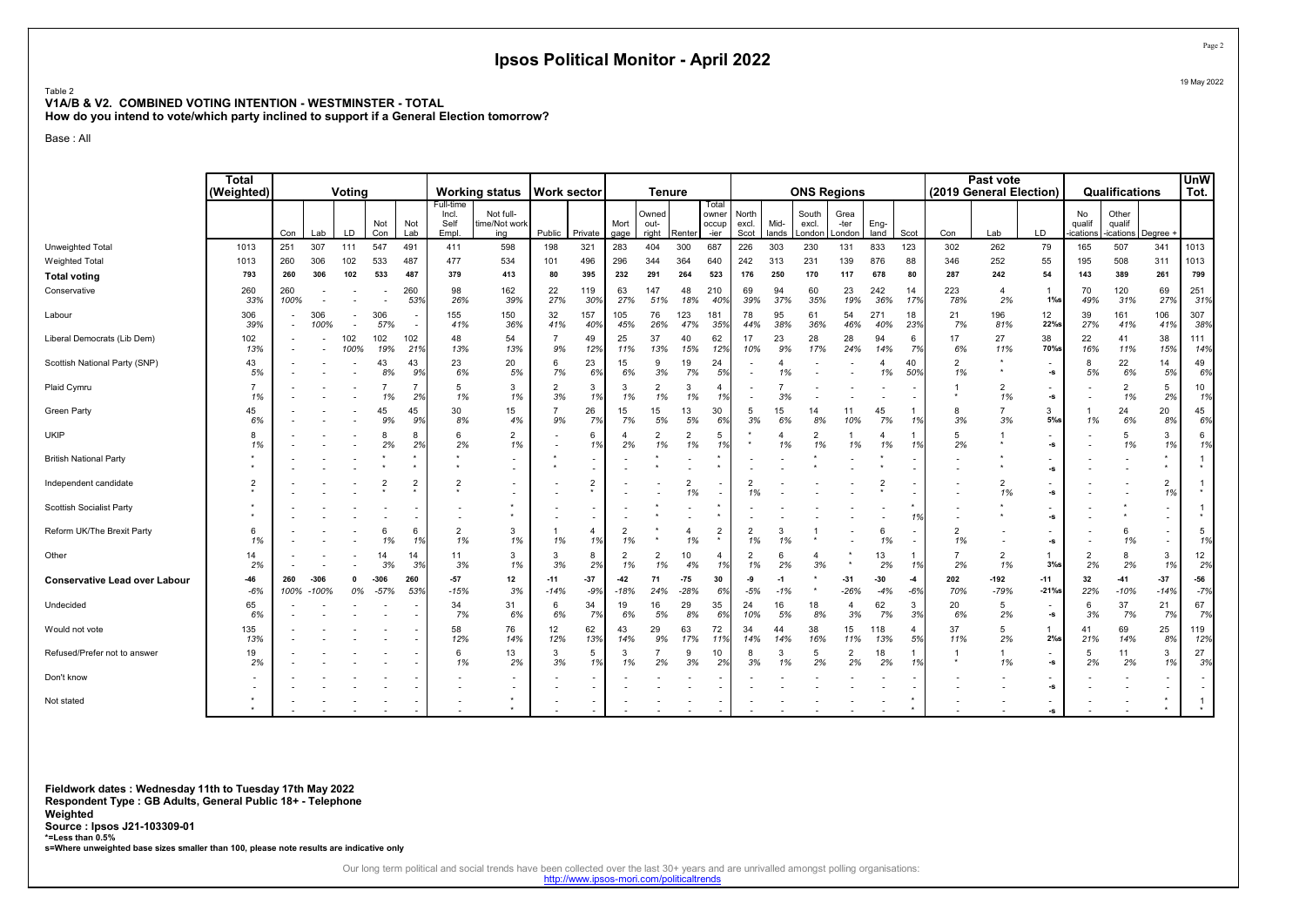#### Table 2 V1A/B & V2. COMBINED VOTING INTENTION - WESTMINSTER - TOTAL

How do you intend to vote/which party inclined to support if a General Election tomorrow?

Base : All

|                                      | <b>Total</b><br>(Weighted) |             |                 | Votina      |                  |                |                                     | <b>Working status</b>             | <b>Work sector</b>   |                      |                             | <b>Tenure</b>          |                      |                                 |                          |               | <b>ONS Regions</b>       |                          |                              |             |                      | Past vote<br>(2019 General Election) |                                |                          | Qualifications              |                      | <b>UnW</b><br>Tot.        |
|--------------------------------------|----------------------------|-------------|-----------------|-------------|------------------|----------------|-------------------------------------|-----------------------------------|----------------------|----------------------|-----------------------------|------------------------|----------------------|---------------------------------|--------------------------|---------------|--------------------------|--------------------------|------------------------------|-------------|----------------------|--------------------------------------|--------------------------------|--------------------------|-----------------------------|----------------------|---------------------------|
|                                      |                            | Con         | Lab             | LD          | Not<br>Con       | Not<br>Lab     | Full-time<br>Incl.<br>Self<br>Empl. | Not full-<br>time/Not work<br>ing | Public               | Private              | Mort<br>gage                | Owned<br>out-<br>right | Renter               | Total<br>owner<br>occup<br>-ier | North<br>excl.<br>Scot   | Mid-<br>lands | South<br>excl.<br>_ondon | Grea<br>-ter<br>London   | Eng-<br>land                 | Scot        | Con                  | Lab                                  | LD                             | No<br>qualif<br>ications | Other<br>qualif<br>ications | Degree ·             |                           |
| Unweighted Total                     | 1013                       | 251         | 307             | 111         | 547              | 491            | 411                                 | 598                               | 198                  | 321                  | 283                         | 404                    | 300                  | 687                             | 226                      | 303           | 230                      | 131                      | 833                          | 123         | 302                  | 262                                  | 79                             | 165                      | 507                         | 341                  | 1013                      |
| <b>Weighted Total</b>                | 1013                       | 260         | 306             | 102         | 533              | 487            | 477                                 | 534                               | 101                  | 496                  | 296                         | 344                    | 364                  | 640                             | 242                      | 313           | 231                      | 139                      | 876                          | 88          | 346                  | 252                                  | 55                             | 195                      | 508                         | 311                  | 1013                      |
| <b>Total voting</b>                  | 793                        | 260         | 306             | 102         | 533              | 487            | 379                                 | 413                               | 80                   | 395                  | 232                         | 291                    | 264                  | 523                             | 176                      | 250           | 170                      | 117                      | 678                          | 80          | 287                  | 242                                  | 54                             | 143                      | 389                         | 261                  | 799                       |
| Conservative                         | 260<br>33%                 | 260<br>100% |                 |             |                  | 260<br>53%     | 98<br>26%                           | 162<br>39%                        | 22<br>27%            | 119<br>30%           | 63<br>27%                   | 147<br>51%             | 48<br>18%            | 210<br>40%                      | 69<br>39%                | 94<br>37%     | 60<br>35%                | 23<br>19%                | 242<br>36%                   | 14<br>17%   | 223<br>78%           | $\overline{4}$<br>2%                 | $\overline{1}$<br>$1\%s$       | 70<br>49%                | 120<br>31%                  | 69<br>27%            | 251<br>31%                |
| Labour                               | 306<br>39%                 |             | 306<br>100%     | $\sim$      | 306<br>57%       |                | 155<br>41%                          | 150<br>36%                        | 32<br>41%            | 157<br>40%           | 105<br>45%                  | 76<br>26%              | 123<br>47%           | 181<br>35%                      | 78<br>44%                | 95<br>38%     | 61<br>36%                | 54<br>46%                | 271<br>40%                   | 18<br>23%   | 21<br>7%             | 196<br>81%                           | 12<br>22%s                     | 39<br>27%                | 161<br>41%                  | 106<br>41%           | 307<br>38%                |
| Liberal Democrats (Lib Dem)          | 102<br>13%                 |             |                 | 102<br>100% | 102<br>19%       | 102<br>21%     | 48<br>13%                           | 54<br>13%                         | 9%                   | 49<br>12%            | 25<br>11%                   | 37<br>13%              | 40<br>15%            | 62<br>12%                       | 17<br>10%                | 23<br>9%      | 28<br>17%                | 28<br>24%                | 94<br>14%                    | 6<br>7%     | 17<br>6%             | 27<br>11%                            | 38<br>70%s                     | 22<br>16%                | 41<br>11%                   | 38<br>15%            | 111<br>14%                |
| Scottish National Party (SNP)        | 43<br>5%                   |             |                 |             | 43<br>8%         | 43<br>9%       | 23<br>6%                            | 20<br>5%                          | 6<br>7%              | 23<br>6%             | 15<br>6%                    | 9<br>3%                | 19<br>7%             | 24<br>5%                        | $\overline{\phantom{a}}$ | 4<br>1%       |                          | $\overline{\phantom{a}}$ | 4<br>1%                      | 40<br>50%   | $\overline{2}$<br>1% | $\star$                              | -s                             | 8<br>5%                  | 22<br>6%                    | 14<br>5%             | 49<br>6%                  |
| Plaid Cymru                          | $\overline{7}$<br>1%       |             |                 |             | 1%               | 2%             | 5<br>1%                             | 3<br>1%                           | $\overline{2}$<br>3% | 3<br>1%              | 3<br>1%                     | $\overline{2}$<br>1%   | 3<br>1%              | $\overline{4}$<br>1%            |                          | 3%            |                          |                          |                              |             |                      | $\overline{2}$<br>1%                 | -S                             |                          | $\overline{2}$<br>1%        | 5<br>2%              | 10 <sup>1</sup><br>1%     |
| <b>Green Party</b>                   | 45<br>6%                   |             |                 |             | 45<br>9%         | 45<br>9%       | 30<br>8%                            | 15<br>4%                          | 9%                   | 26<br>7%             | 15<br>7%                    | 15<br>5%               | 13<br>5%             | 30<br>6%                        | 5<br>3%                  | 15<br>6%      | 14<br>8%                 | 11<br>10%                | 45<br>7%                     | 1%          | 8<br>3%              | 3%                                   | 3<br>$5%$ s                    | 1%                       | 24<br>6%                    | 20<br>8%             | 45<br>6%                  |
| <b>UKIP</b>                          | 8<br>1%                    |             |                 |             | 8<br>2%          | 8<br>2%        | 6<br>2%                             | 2<br>1%                           |                      | 6<br>1%              | $\boldsymbol{\Delta}$<br>2% | $\overline{2}$<br>1%   | $\overline{2}$<br>1% | 5<br>1%                         | $\star$                  | 4<br>1%       | 2<br>1%                  | 1%                       | $\boldsymbol{\Lambda}$<br>1% | 1%          | 5<br>2%              |                                      | $\overline{\phantom{a}}$<br>-s |                          | 5<br>1%                     | 3<br>1%              | 6<br>1%                   |
| <b>British National Party</b>        |                            |             |                 |             |                  |                |                                     |                                   |                      |                      |                             |                        |                      |                                 |                          |               |                          |                          |                              |             |                      |                                      | -s                             |                          |                             |                      | $\mathbf{1}$<br>$\star$   |
| Independent candidate                | $\overline{2}$             |             |                 |             | $\overline{2}$   | $\overline{2}$ | $\overline{2}$                      |                                   |                      | $\overline{2}$       |                             |                        | 1%                   |                                 | 1%                       |               |                          |                          |                              |             |                      | 1%                                   | -S                             |                          |                             | $\overline{2}$<br>1% | $\star$                   |
| Scottish Socialist Party             |                            |             |                 |             |                  |                |                                     |                                   |                      |                      |                             |                        |                      |                                 |                          |               |                          |                          |                              | 1%          |                      |                                      | -s                             |                          |                             | ۰                    | $\overline{1}$<br>$\star$ |
| Reform UK/The Brexit Party           | 6<br>1%                    |             |                 |             | 6<br>1%          | -6<br>1%       | $\overline{2}$<br>1%                | 3<br>1%                           | 1%                   | $\overline{4}$<br>1% | $\overline{2}$<br>1%        |                        | 4<br>1%              | $\overline{2}$<br>$\star$       | $\overline{2}$<br>1%     | 3<br>1%       |                          |                          | 6<br>1%                      |             | $\overline{2}$<br>1% |                                      | -s                             |                          | 6<br>1%                     | ۰                    | 5<br>1%                   |
| Other                                | 14<br>2%                   |             |                 |             | 14<br>3%         | 14<br>3%       | 11<br>3%                            | 3<br>1%                           | 3<br>3%              | 8<br>2%              | $\overline{2}$<br>1%        | $\overline{2}$<br>1%   | 10<br>4%             | $\overline{4}$<br>1%            | $\overline{2}$<br>1%     | 6<br>2%       | 4<br>3%                  |                          | 13<br>2%                     | 1%          | 2%                   | $\overline{2}$<br>1%                 | -1<br>$3%$ s                   | $\overline{2}$<br>2%     | 8<br>2%                     | 3<br>1%              | 12<br>2%                  |
| <b>Conservative Lead over Labour</b> | -46<br>$-6%$               | 260<br>100% | $-306$<br>-100% | 0<br>0%     | $-306$<br>$-57%$ | 260<br>53%     | $-57$<br>$-15%$                     | 12<br>3%                          | $-11$<br>$-14%$      | $-37$<br>$-9%$       | $-42$<br>$-18%$             | 71<br>24%              | $-75$<br>$-28%$      | 30<br>6%                        | -9<br>$-5%$              | $-1$<br>$-1%$ |                          | $-31$<br>$-26%$          | $-30$<br>$-4%$               | $-4$<br>-69 | 202<br>70%           | $-192$<br>$-79%$                     | $-11$<br>$-21%$                | 32<br>22%                | $-41$<br>$-10%$             | $-37$<br>$-14%$      | -56<br>$-7%$              |
| Undecided                            | 65<br>6%                   |             |                 |             |                  |                | 34<br>7%                            | 31<br>6%                          | 6<br>6%              | 34<br>7%             | 19<br>6%                    | 16<br>5%               | 29<br>8%             | 35<br>6%                        | 24<br>10%                | 16<br>5%      | 18<br>8%                 | $\overline{4}$<br>3%     | 62<br>7%                     | 3<br>3%     | 20<br>6%             | $\overline{5}$<br>2%                 | $\sim$<br>$-S$                 | 6<br>3%                  | 37<br>7%                    | 21<br>7%             | 67<br>7%                  |
| Would not vote                       | 135<br>13%                 |             |                 |             |                  |                | 58<br>12%                           | 76<br>14%                         | 12<br>12%            | 62<br>13%            | 43<br>14%                   | 29<br>9%               | 63<br>17%            | 72<br>11%                       | 34<br>14%                | 44<br>14%     | 38<br>16%                | 15<br>11%                | 118<br>13%                   | 5%          | 37<br>11%            | $\overline{5}$<br>2%                 | -1<br>2%s                      | 4 <sup>1</sup><br>21%    | 69<br>14%                   | 25<br>8%             | 119<br>12%                |
| Refused/Prefer not to answer         | 19<br>2%                   |             |                 |             |                  |                | 6<br>1%                             | 13<br>2%                          | 3<br>3%              | 5<br>1%              | 3<br>1%                     | 2%                     | 9<br>3%              | 10<br>2%                        | 8<br>3%                  | 3<br>1%       | 5<br>2%                  | $\overline{2}$<br>2%     | 18<br>2%                     |             |                      | 1%                                   | $\overline{\phantom{a}}$<br>-S | -5<br>2%                 | 11<br>2%                    | 3<br>1%              | 27<br>3%                  |
| Don't know                           |                            |             |                 |             |                  |                |                                     | ٠                                 |                      |                      |                             |                        |                      |                                 |                          |               |                          |                          |                              |             |                      |                                      | -s                             |                          |                             | ٠                    | $\sim$                    |
| Not stated                           |                            |             |                 |             |                  |                |                                     |                                   |                      |                      |                             |                        |                      |                                 |                          |               |                          |                          |                              |             |                      |                                      | -s                             |                          |                             |                      | $\star$                   |

Fieldwork dates : Wednesday 11th to Tuesday 17th May 2022 Respondent Type : GB Adults, General Public 18+ - Telephone Weighted Source : Ipsos J21-103309-01 \*=Less than 0.5% s=Where unweighted base sizes smaller than 100, please note results are indicative only

Our long term political and social trends have been collected over the last 30+ years and are unrivalled amongst polling organisations:<br>http://www.ipsos-mori.com/politicaltrends

Page 2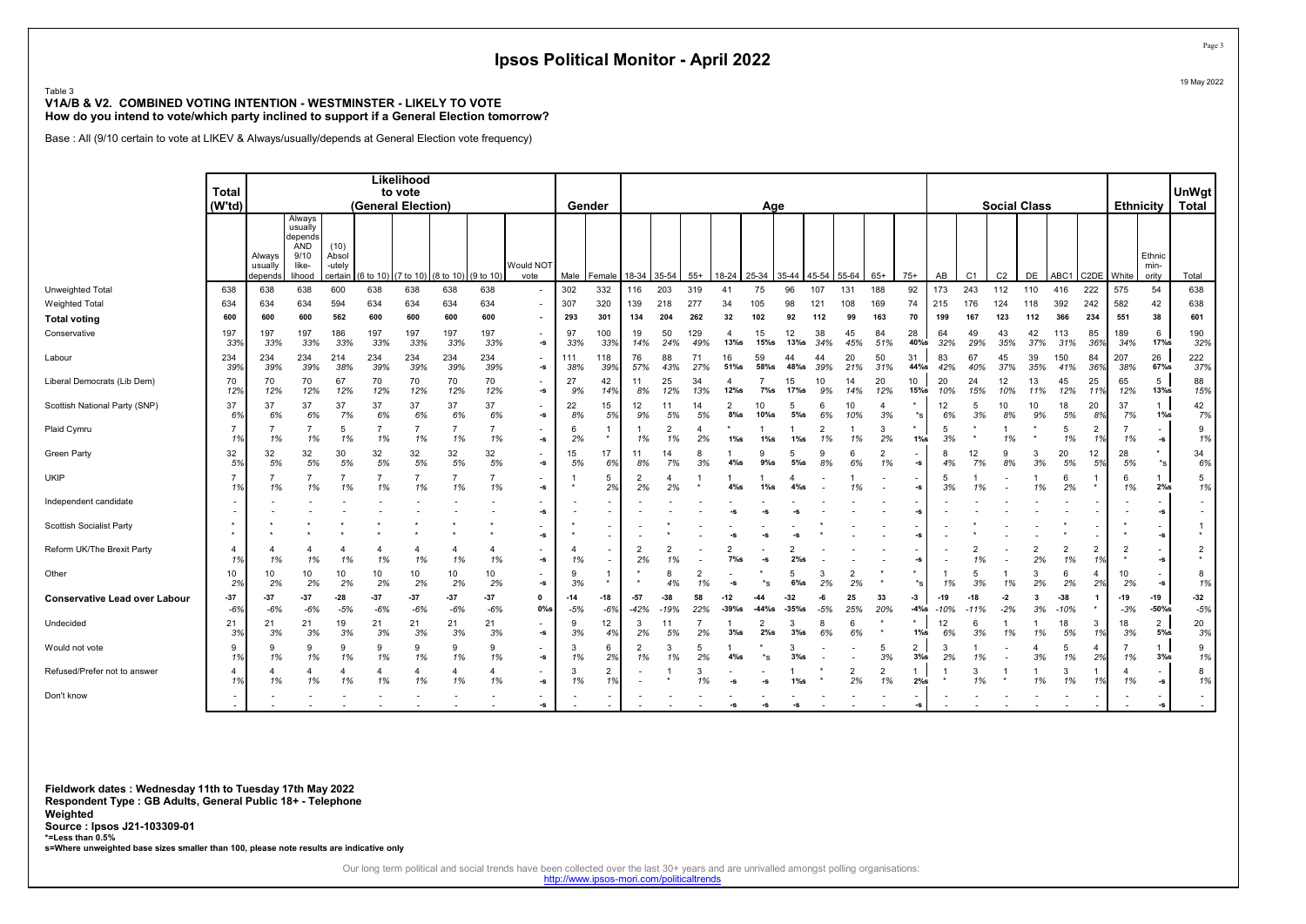#### Table 3 V1A/B & V2. COMBINED VOTING INTENTION - WESTMINSTER - LIKELY TO VOTE How do you intend to vote/which party inclined to support if a General Election tomorrow?

Base : All (9/10 certain to vote at LIKEV & Always/usually/depends at General Election vote frequency)

|                                      | <b>Total</b>         |                              |                                                                |                         |                             | Likelihood<br>to vote |                      |                      |                                                        |                |                          |                      |                      |            |                  |              |                 |                      |           |                      |                       |                 |                |                |                      |                      |                          |                           |                                | UnWgt          |
|--------------------------------------|----------------------|------------------------------|----------------------------------------------------------------|-------------------------|-----------------------------|-----------------------|----------------------|----------------------|--------------------------------------------------------|----------------|--------------------------|----------------------|----------------------|------------|------------------|--------------|-----------------|----------------------|-----------|----------------------|-----------------------|-----------------|----------------|----------------|----------------------|----------------------|--------------------------|---------------------------|--------------------------------|----------------|
|                                      | (W'td)               |                              |                                                                |                         | (General Election)          |                       |                      |                      |                                                        | Gender         |                          |                      |                      |            |                  | Age          |                 |                      |           |                      |                       |                 |                |                | <b>Social Class</b>  |                      |                          | Ethnicity                 |                                | Total          |
|                                      |                      | Always<br>usually<br>depends | Always<br>usually<br>depends<br>AND<br>9/10<br>like-<br>lihood | (10)<br>Absol<br>-utely | certain (6 to 10) (7 to 10) |                       | (8 to 10) (9 to 10)  |                      | Would NOT<br>vote                                      | Male           | Female                   | 18-34                | 35-54                | $55+$      | 18-24            | 25-34        | 35-44           | 45-54                | 55-64     | $65+$                | $75+$                 | AB              | C <sub>1</sub> | C <sub>2</sub> | DE                   | ABC <sub>1</sub>     | C2DE White               |                           | Ethnic<br>min-<br>ority        | Total          |
| Unweighted Total                     | 638                  | 638                          | 638                                                            | 600                     | 638                         | 638                   | 638                  | 638                  |                                                        | 302            | 332                      | 116                  | 203                  | 319        | 41               | 75           | 96              | 107                  | 131       | 188                  | 92                    | 173             | 243            | 112            | 110                  | 416                  | 222                      | 575                       | 54                             | 638            |
| <b>Weighted Total</b>                | 634                  | 634                          | 634                                                            | 594                     | 634                         | 634                   | 634                  | 634                  |                                                        | 307            | 320                      | 139                  | 218                  | 277        | 34               | 105          | 98              | 121                  | 108       | 169                  | 74                    | 215             | 176            | 124            | 118                  | 392                  | 242                      | 582                       | 42                             | 638            |
| <b>Total voting</b>                  | 600                  | 600                          | 600                                                            | 562                     | 600                         | 600                   | 600                  | 600                  |                                                        | 293            | 301                      | 134                  | 204                  | 262        | 32               | 102          | 92              | 112                  | 99        | 163                  | 70                    | 199             | 167            | 123            | 112                  | 366                  | 234                      | 551                       | 38                             | 601            |
| Conservative                         | 197<br>33%           | 197<br>33%                   | 197<br>33%                                                     | 186<br>33%              | 197<br>33%                  | 197<br>33%            | 197<br>33%           | 197<br>33%           | $\overline{\phantom{a}}$<br>$\textbf{-S}$              | 97<br>33%      | 100<br>33%               | 19<br>14%            | 50<br>24%            | 129<br>49% | 4<br>$13%$ s     | 15<br>15%    | 12<br>$13\%$ s  | 38<br>34%            | 45<br>45% | 84<br>51%            | 28<br>40%s            | 64<br>32%       | 49<br>29%      | 43<br>35%      | 42<br>37%            | 113<br>31%           | 85<br>36%                | 189<br>34%                | 6<br>$17%$ s                   | 190<br>32%     |
| Labour                               | 234<br>39%           | 234<br>39%                   | 234<br>39%                                                     | 214<br>38%              | 234<br>39%                  | 234<br>39%            | 234<br>39%           | 234<br>39%           | $\overline{\phantom{a}}$<br>$-S$                       | 111<br>38%     | 118<br>39%               | 76<br>57%            | 88<br>43%            | 71<br>27%  | 16<br>51%s       | 59<br>58%s   | 44<br>48%s      | 44<br>39%            | 20<br>21% | 50<br>31%            | 31<br>44%s            | 83<br>42%       | 67<br>40%      | 45<br>37%      | 39<br>35%            | 150<br>41%           | 84<br>36%                | 207<br>38%                | 26<br>67%s                     | 222<br>37%     |
| Liberal Democrats (Lib Dem)          | 70<br>12%            | 70<br>12%                    | 70<br>12%                                                      | 67<br>12%               | 70<br>12%                   | 70<br>12%             | 70<br>12%            | 70<br>12%            | $\overline{\phantom{a}}$<br>$-S$                       | 27<br>9%       | 42<br>14%                | 11<br>8%             | 25<br>12%            | 34<br>13%  | 4<br>$12\%$ s    | $7\%$ s      | 15<br>17%s      | 10<br>9%             | 14<br>14% | 20<br>12%            | 10<br>$15%$ s         | 20<br>10%       | 24<br>15%      | 12<br>10%      | 13<br>11%            | 45<br>12%            | 25<br>11%                | 65<br>12%                 | 5<br>$13%$ s                   | 88<br>15%      |
| Scottish National Party (SNP)        | 37<br>6%             | 37<br>6%                     | 37<br>6%                                                       | 37<br>7%                | 37<br>6%                    | 37<br>6%              | 37<br>6%             | 37<br>6%             | $-S$                                                   | 22<br>8%       | 15<br>5%                 | 12<br>9%             | 11<br>5%             | 14<br>5%   | 2<br>$8\%$ s     | 10<br>10%s   | 5<br>$5\%$ s    | 6<br>6%              | 10<br>10% | 3%                   | $*_{\mathbf{S}}$      | 12<br>6%        | 3%             | 10<br>8%       | 10<br>9%             | 18<br>5%             | 20<br>8%                 | 37<br>7%                  | $\mathbf{1}$<br>$1\%s$         | 42<br>7%       |
| Plaid Cymru                          | 1%                   | 1%                           | 1%                                                             | -5<br>1%                | $\overline{7}$<br>1%        | 1%                    | $\overline{7}$<br>1% | 1%                   | $\overline{\phantom{a}}$<br>$\textnormal{\texttt{-S}}$ | 6<br>2%        |                          | 1%                   | 2<br>1%              | 2%         | $1\%$ s          | $1\%$ s      | $1\%$ s         | $\overline{2}$<br>1% | 1%        | 3<br>2%              | $1\%$ s               | 5<br>3%         |                | 1%             |                      | 5<br>1%              | $\overline{2}$<br>1%     | 1%                        | $\overline{\phantom{a}}$<br>-s | 9<br>1%        |
| Green Party                          | 32<br>5%             | 32<br>5%                     | 32<br>5%                                                       | 30<br>5%                | 32<br>5%                    | 32<br>5%              | 32<br>5%             | 32<br>5%             | $\overline{\phantom{a}}$<br>$-S$                       | 15<br>5%       | 17<br>6%                 | 11<br>8%             | 14<br>7%             | 3%         | $4\%$ s          | $9%$ s       | 5<br>$5\%$ s    | 9<br>8%              | 6%        | $\overline{2}$<br>1% | -s                    | 8               | 12<br>7%       | 9<br>8%        | 3<br>3%              | 20<br>5%             | 12<br>5%                 | 28<br>5%                  | $*_s$                          | 34<br>6%       |
| <b>UKIP</b>                          | 1%                   | 1%                           | 1%                                                             | 1%                      | $\overline{7}$<br>1%        | 1%                    | 1%                   | 1%                   | $\mathbf{s}$                                           | $\star$        | 5<br>2%                  | 2%                   | 2%                   |            | $4\%$ s          | $1\%$ s      | $4\%$ s         |                      | 1%        |                      | -S                    | 5<br>3%         | 1%             |                | 1%                   | 6<br>2%              |                          | -6<br>1%                  | 2%s                            | 5<br>1%        |
| Independent candidate                |                      |                              |                                                                |                         |                             |                       |                      |                      | $\overline{\phantom{a}}$<br>$-S$                       |                |                          |                      |                      |            |                  |              |                 |                      |           |                      |                       |                 |                |                |                      |                      |                          |                           | $\blacksquare$<br>-S           |                |
| <b>Scottish Socialist Party</b>      |                      |                              |                                                                |                         |                             |                       |                      |                      | $\textbf{-S}$                                          |                |                          |                      |                      |            |                  |              |                 |                      |           |                      | -S                    |                 |                |                |                      |                      |                          |                           | -s                             |                |
| Reform UK/The Brexit Party           | 4<br>1%              | 1%                           | 1%                                                             | 1%                      | 1%                          | 1%                    | 4<br>1%              | 4<br>1%              | $\overline{\phantom{a}}$<br>$\textnormal{\texttt{-S}}$ | 1%             |                          | $\overline{2}$<br>2% | $\overline{2}$<br>1% |            | $7\%$ s          |              | 2%s             |                      |           |                      |                       |                 |                |                | $\overline{2}$<br>2% | $\overline{2}$<br>1% | 2<br>1%                  | $\overline{2}$<br>$\star$ | $-S$                           | $\overline{2}$ |
| Other                                | 10<br>2%             | 10<br>2%                     | 10<br>2%                                                       | 10<br>2%                | 10<br>2%                    | 10<br>2%              | 10<br>2%             | 10<br>2%             | $\textnormal{\texttt{-S}}$                             | 9<br>3%        |                          |                      | 8                    | 1%         | -5               |              | 5<br>$6\%$ s    | 3<br>2%              | 2<br>2%   |                      | $*_{\mathbf{S}}$      | 1%              | 5<br>3%        |                | 3<br>2%              | 6<br>2%              | 4<br>2%                  | 10<br>2%                  | -s                             | 8<br>1%        |
| <b>Conservative Lead over Labour</b> | $-37$<br>$-6%$       | $-37$<br>$-6%$               | $-37$<br>$-6%$                                                 | $-28$<br>$-5%$          | $-37$<br>$-6%$              | $-37$<br>$-6%$        | $-37$<br>$-6%$       | $-37$<br>$-6%$       | $\mathbf 0$<br>$0\%$ s                                 | $-14$<br>$-5%$ | -18<br>$-6%$             | $-57$<br>$-42%$      | -38                  | 58<br>22%  | -12<br>$-39\%$ s | -44<br>-44%s | -32<br>$-35%$ s | -6<br>$-5%$          | 25<br>25% | 33<br>20%            | $-3$<br>$-4%s$        | $-19$<br>$-10%$ | -18            | $-2$<br>$-2%$  | -3<br>3%             | $-38$<br>$-10%$      | $\mathbf 1$              | -19<br>$-3%$              | -19<br>$-50%$ s                | $-32$<br>$-5%$ |
| Undecided                            | 21<br>3%             | 21<br>3%                     | 21<br>3%                                                       | 19<br>3%                | 21<br>3%                    | 21<br>3%              | 21<br>3%             | 21<br>3%             | $\overline{\phantom{a}}$<br>$-S$                       | 3%             | 12<br>4%                 | 3<br>2%              | 11<br>5%             | 2%         | $3%$ s           | $2%$ s       | 3<br>$3\%$ s    | 8<br>6%              | 6%        |                      | $1\%$ s               | 12<br>6%        | 3%             | 1%             | 1%                   | 18<br>5%             | 3<br>1%                  | 18<br>3%                  | $\overline{2}$<br>$5\%$ s      | 20<br>3%       |
| Would not vote                       | 9<br>1%              | $\mathbf{Q}$<br>1%           | 9<br>1%                                                        | 9<br>1%                 | 9<br>1%                     | $\mathbf{Q}$<br>1%    | 9<br>1%              | 9<br>1%              | $\overline{\phantom{a}}$<br>$-S$                       | 3<br>1%        | 6<br>2%                  | 1%                   | 3<br>1%              | -5<br>2%   | $4\%$ s          |              | 3<br>$3%$ s     |                      |           | 5<br>3%              | $\overline{2}$<br>3%s | 3<br>2%         | 1%             |                | $\overline{a}$<br>3% | 5<br>1%              | 4<br>2%                  | 1%                        | $3%$ s                         | 9<br>1%        |
| Refused/Prefer not to answer         | $\overline{4}$<br>1% | 1%                           | 4<br>1%                                                        | 1%                      | 4<br>1%                     | 4<br>1%               | 4<br>1%              | $\overline{4}$<br>1% | $\overline{\phantom{a}}$<br>$\textnormal{\texttt{-S}}$ | 3<br>1%        | 2<br>1%                  |                      |                      | 3<br>1%    |                  |              | $1\%$ s         |                      | 2<br>2%   | $\overline{2}$<br>1% | 1<br>2%s              |                 | 3<br>1%        |                | 1%                   | 3<br>1%              | 1%                       | 1%                        | $\textnormal{-}\mathbb{S}$     | 8<br>1%        |
| Don't know                           |                      |                              |                                                                |                         |                             |                       |                      |                      | $\overline{\phantom{a}}$<br>$\textbf{-S}$              |                | $\overline{\phantom{a}}$ |                      |                      |            | -S               | -s           | -S              |                      |           |                      | -s                    |                 |                |                |                      |                      | $\overline{\phantom{a}}$ |                           | $\overline{\phantom{a}}$<br>-s |                |

Fieldwork dates : Wednesday 11th to Tuesday 17th May 2022 Respondent Type : GB Adults, General Public 18+ - Telephone Weighted Source : Ipsos J21-103309-01 \*=Less than 0.5% s=Where unweighted base sizes smaller than 100, please note results are indicative only

Our long term political and social trends have been collected over the last 30+ years and are unrivalled amongst polling organisations:<br>http://www.ipsos-mori.com/politicaltrends

Page 3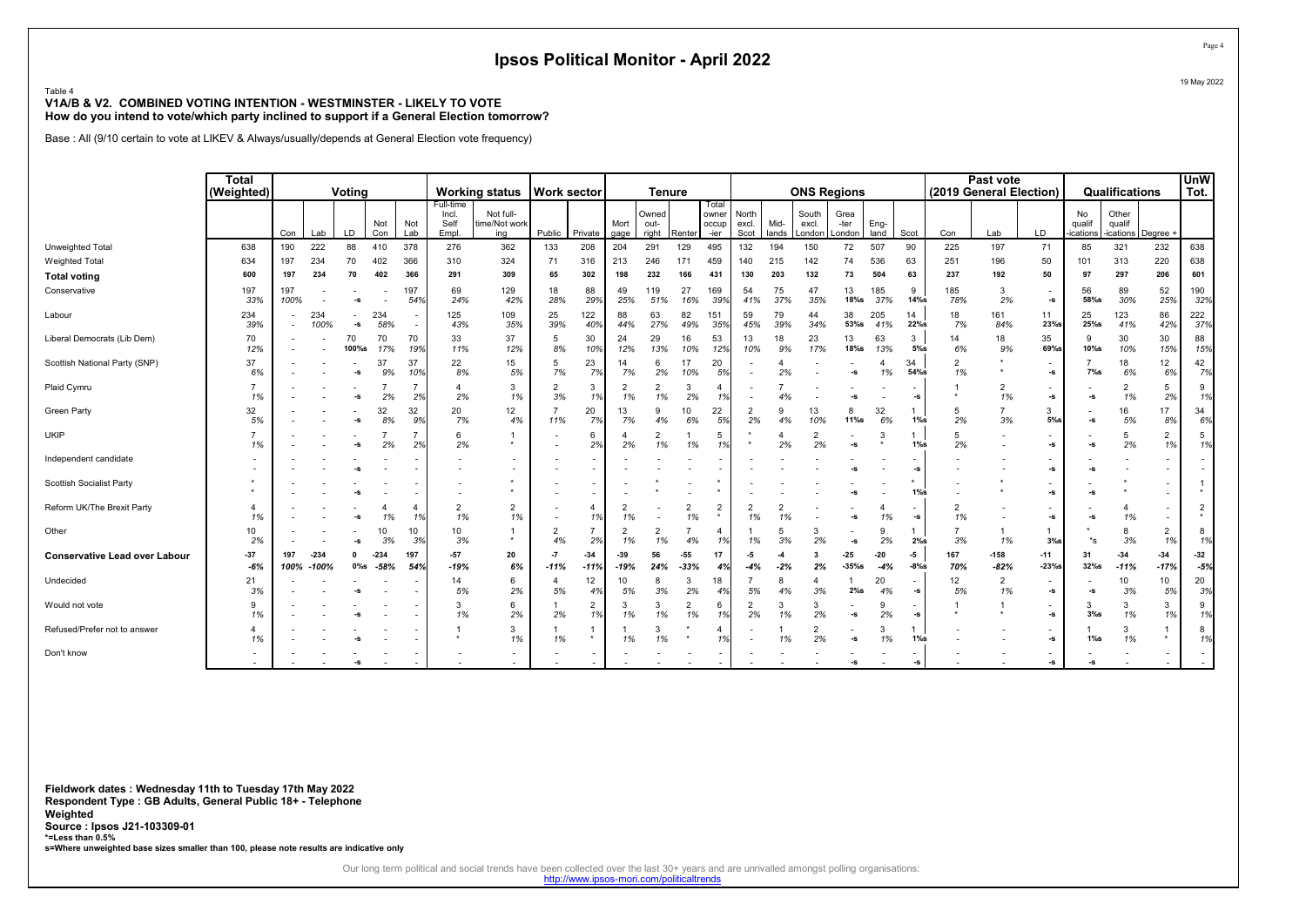#### Table 4 V1A/B & V2. COMBINED VOTING INTENTION - WESTMINSTER - LIKELY TO VOTE How do you intend to vote/which party inclined to support if a General Election tomorrow?

Base : All (9/10 certain to vote at LIKEV & Always/usually/depends at General Election vote frequency)

|                                      | <b>Total</b><br>(Weighted) |             |                      | Votina                     |                  |            |                                     | <b>Working status</b>             | <b>Work sector</b>   |                      |                      | <b>Tenure</b>          |                      |                                 |                        |                      | <b>ONS Regions</b>       |                        |                |                                |                      | Past vote<br>(2019 General Election) |                                |                          | Qualifications              |                      | <b>UnW</b><br>Tot. |
|--------------------------------------|----------------------------|-------------|----------------------|----------------------------|------------------|------------|-------------------------------------|-----------------------------------|----------------------|----------------------|----------------------|------------------------|----------------------|---------------------------------|------------------------|----------------------|--------------------------|------------------------|----------------|--------------------------------|----------------------|--------------------------------------|--------------------------------|--------------------------|-----------------------------|----------------------|--------------------|
|                                      |                            | Con         | Lab                  | <b>LD</b>                  | Not<br>Con       | Not<br>Lab | Full-time<br>Incl.<br>Self<br>Empl. | Not full-<br>time/Not work<br>ing | Public               | Private              | Mort<br>qage         | Owned<br>out-<br>riaht | Renter               | Total<br>owner<br>occup<br>-ier | North<br>excl.<br>Scot | Mid-<br>lands        | South<br>excl.<br>London | Grea<br>-ter<br>London | Eng-<br>land   | Scot                           | Con                  | Lab                                  | LD                             | No<br>qualif<br>ications | Other<br>qualif<br>ications | Dearee -             |                    |
| Unweighted Total                     | 638                        | 190         | 222                  | 88                         | 410              | 378        | 276                                 | 362                               | 133                  | 208                  | 204                  | 291                    | 129                  | 495                             | 132                    | 194                  | 150                      | 72                     | 507            | 90                             | 225                  | 197                                  | 71                             | 85                       | 321                         | 232                  | 638                |
| <b>Weighted Total</b>                | 634                        | 197         | 234                  | 70                         | 402              | 366        | 310                                 | 324                               | 71                   | 316                  | 213                  | 246                    | 171                  | 459                             | 140                    | 215                  | 142                      | 74                     | 536            | 63                             | 251                  | 196                                  | 50                             | 101                      | 313                         | 220                  | 638                |
| <b>Total voting</b>                  | 600                        | 197         | 234                  | 70                         | 402              | 366        | 291                                 | 309                               | 65                   | 302                  | 198                  | 232                    | 166                  | 431                             | 130                    | 203                  | 132                      | 73                     | 504            | 63                             | 237                  | 192                                  | 50                             | 97                       | 297                         | 206                  | 601                |
| Conservative                         | 197<br>33%                 | 197<br>100% |                      | -S                         |                  | 197<br>54% | 69<br>24%                           | 129<br>42%                        | 18<br>28%            | 88<br>29%            | 49<br>25%            | 119<br>51%             | 27<br>16%            | 169<br>39%                      | 54<br>41%              | 75<br>37%            | 47<br>35%                | 13<br>$18%$ s          | 185<br>37%     | 9<br>$14%$ s                   | 185<br>78%           | 3<br>2%                              | $\overline{\phantom{a}}$<br>-S | 56<br>58%s               | 89<br>30%                   | 52<br>25%            | 190<br>32%         |
| Labour                               | 234<br>39%                 |             | 234<br>100%          | $\textnormal{\texttt{-S}}$ | 234<br>58%       |            | 125<br>43%                          | 109<br>35%                        | 25<br>39%            | 122<br>40%           | 88<br>44%            | 63<br>27%              | 82<br>49%            | 151<br>35%                      | 59<br>45%              | 79<br>39%            | 44<br>34%                | 38<br>53%s             | 205<br>41%     | 14<br>22%s                     | 18<br>7%             | 161<br>84%                           | 11<br>23%s                     | 25<br>25%                | 123<br>41%                  | 86<br>42%            | 222<br>37%         |
| Liberal Democrats (Lib Dem)          | 70<br>12%                  |             |                      | 70<br>100%s                | 70<br>17%        | 70<br>19%  | 33<br>11%                           | 37<br>12%                         | 5<br>8%              | 30<br>10%            | 24<br>12%            | 29<br>13%              | 16<br>10%            | 53<br>12%                       | 13<br>10%              | 18<br>9%             | 23<br>17%                | 13<br>$18\%$ s         | 63<br>13%      | 3<br>$5\%$ s                   | 14<br>6%             | 18<br>9%                             | 35<br>69%s                     | 9<br>10%s                | 30<br>10%                   | 30<br>15%            | 88<br>15%          |
| Scottish National Party (SNP)        | 37<br>6%                   |             |                      | -S                         | 37<br>9%         | 37<br>10%  | 22<br>8%                            | 15<br>5%                          | 5<br>7%              | 23<br>7%             | 14<br>7%             | 6<br>2%                | 17<br>10%            | 20<br>5%                        |                        | 2%                   |                          | $-S$                   | 4<br>1%        | 34<br>54%s                     | $\overline{2}$<br>1% |                                      | -S                             | $7\%s$                   | 18<br>6%                    | 12<br>6%             | 42<br>7%           |
| Plaid Cymru                          | 1%                         |             |                      | -S                         | 2%               | 2%         | $\boldsymbol{\Delta}$<br>2%         | 3<br>1%                           | $\overline{2}$<br>3% | 3<br>1%              | $\overline{2}$<br>1% | $\overline{2}$<br>1%   | 3<br>2%              |                                 |                        |                      |                          | -S                     |                | -S                             |                      | $\overline{2}$<br>1%                 | -S                             | -S                       | $\overline{2}$<br>1%        | 5<br>2%              | 9<br>1%            |
| <b>Green Party</b>                   | 32<br>5%                   |             |                      | -S                         | 32<br>8%         | 32<br>9%   | 20<br>7%                            | 12<br>4%                          | 11%                  | 20<br>7%             | 13<br>7%             | 9<br>4%                | 10<br>6%             | 22<br>5%                        | $\overline{2}$<br>2%   | 9<br>4%              | 13<br>10%                | 8<br>$11\%$ s          | 32<br>6%       | $1\%s$                         | 5<br>2%              | $\overline{7}$<br>3%                 | 3<br>$5%$ s                    | -S                       | 16<br>5%                    | 17<br>8%             | 34<br>6%           |
| <b>UKIP</b>                          | 1%                         |             |                      | -S                         | 2%               | 2%         | 6<br>2%                             | $\star$                           |                      | 6<br>2%              | 2%                   | $\overline{2}$<br>1%   | 1%                   | -5<br>1%                        |                        | 2%                   | 2<br>2%                  | -s                     | 3              | $1\%s$                         | 5<br>2%              |                                      | -S                             | -S                       | 5<br>2%                     | $\overline{2}$<br>1% | 5<br>1%            |
| Independent candidate                |                            |             |                      |                            |                  |            |                                     |                                   |                      |                      |                      |                        |                      |                                 |                        |                      |                          | -5                     |                | -S                             |                      |                                      | -s                             | -S                       |                             |                      |                    |
| <b>Scottish Socialist Party</b>      |                            |             |                      | -S                         |                  |            |                                     | $\star$                           |                      |                      |                      |                        |                      |                                 |                        |                      |                          | -S                     |                | $1\%s$                         |                      |                                      | -s                             | -S                       |                             |                      |                    |
| Reform UK/The Brexit Party           | 1%                         |             |                      | -S                         | 1%               | 4<br>1%    | $\overline{2}$<br>1%                | $\overline{2}$<br>1%              |                      | 4<br>1%              | 1%                   |                        | $\overline{2}$<br>1% | $\overline{2}$                  | 1%                     | $\overline{2}$<br>1% |                          | -S                     | 1%             | -S                             | $\overline{2}$<br>1% |                                      | -S                             | -S                       | 4<br>1%                     | ٠                    | $\overline{2}$     |
| Other                                | 10<br>2%                   |             |                      |                            | 10<br>3%         | 10<br>3%   | 10<br>3%                            | $\star$                           | 2<br>4%              | $\overline{7}$<br>2% | $\overline{2}$<br>1% | $\overline{2}$<br>1%   | 4%                   | 1%                              | 1%                     | 5<br>3%              | 3<br>2%                  | $\mathbf{-S}$          | 9<br>2%        | 2%s                            | $\overline{7}$<br>3% | 1%                                   | 3%s                            | $*_{\mathbf{S}}$         | 8<br>3%                     | $\overline{2}$<br>1% | 8<br>1%            |
| <b>Conservative Lead over Labour</b> | $-37$<br>$-6%$             | 197         | $-234$<br>100% -100% | $0\%$ s                    | $-234$<br>$-58%$ | 197<br>54% | $-57$<br>$-19%$                     | 20<br>6%                          | $-7$<br>$-11%$       | $-34$<br>$-11%$      | $-39$<br>$-19%$      | 56<br>24%              | $-55$<br>$-33%$      | 17<br>4%                        | -5<br>$-4%$            | $-4$<br>$-2%$        | 3<br>2%                  | $-25$<br>$-35%$        | $-20$<br>$-4%$ | -5<br>$-8\%$ s                 | 167<br>70%           | $-158$<br>$-82%$                     | $-11$<br>$-23%$                | 31<br>32%s               | $-34$<br>$-11%$             | $-34$<br>$-17%$      | $-32$<br>$-5%$     |
| Undecided                            | 21<br>3%                   |             |                      |                            |                  |            | 14<br>5%                            | 6<br>2%                           | $\overline{A}$<br>5% | 12<br>4%             | 10<br>5%             | 8<br>3%                | 3<br>2%              | 18<br>4%                        | 5%                     | 8<br>4%              | $\overline{4}$<br>3%     | 2%s                    | 20<br>4%       | $\overline{\phantom{a}}$<br>-S | 12<br>5%             | $\overline{2}$<br>1%                 | $\overline{\phantom{a}}$<br>-S | $-S$                     | 10<br>3%                    | 10<br>5%             | 20<br>3%           |
| Would not vote                       | 9<br>1%                    |             |                      |                            |                  |            | 3<br>1%                             | 6<br>2%                           | 2%                   | $\overline{2}$<br>1% | 3<br>1%              | 3<br>1%                | $\overline{2}$<br>1% | 6<br>1%                         | $\overline{2}$<br>2%   | 3<br>1%              | 3<br>2%                  | $\textbf{-S}$          | 9<br>2%        | $\textbf{-S}$                  |                      |                                      | ۰<br>-s                        | 3<br>$3%$ s              | 3<br>1%                     | 3<br>1%              | 9<br>1%            |
| Refused/Prefer not to answer         | 1%                         |             |                      |                            |                  |            | $\star$                             | 3<br>1%                           | 1%                   | $\star$              | 1%                   | 3<br>1%                |                      |                                 |                        | 1%                   | $\overline{2}$<br>2%     | -s                     | 3<br>1%        | $1\%s$                         |                      |                                      | -S                             | $1\%s$                   | 3<br>1%                     |                      | 8<br>1%            |
| Don't know                           |                            |             |                      | $\sim$                     |                  |            |                                     |                                   |                      |                      |                      |                        |                      |                                 |                        |                      |                          | -S                     |                | -S                             |                      |                                      | -s                             |                          |                             |                      |                    |

Fieldwork dates : Wednesday 11th to Tuesday 17th May 2022 Respondent Type : GB Adults, General Public 18+ - Telephone Weighted Source : Ipsos J21-103309-01 \*=Less than 0.5% s=Where unweighted base sizes smaller than 100, please note results are indicative only

Our long term political and social trends have been collected over the last 30+ years and are unrivalled amongst polling organisations:<br>http://www.ipsos-mori.com/politicaltrends

Page 4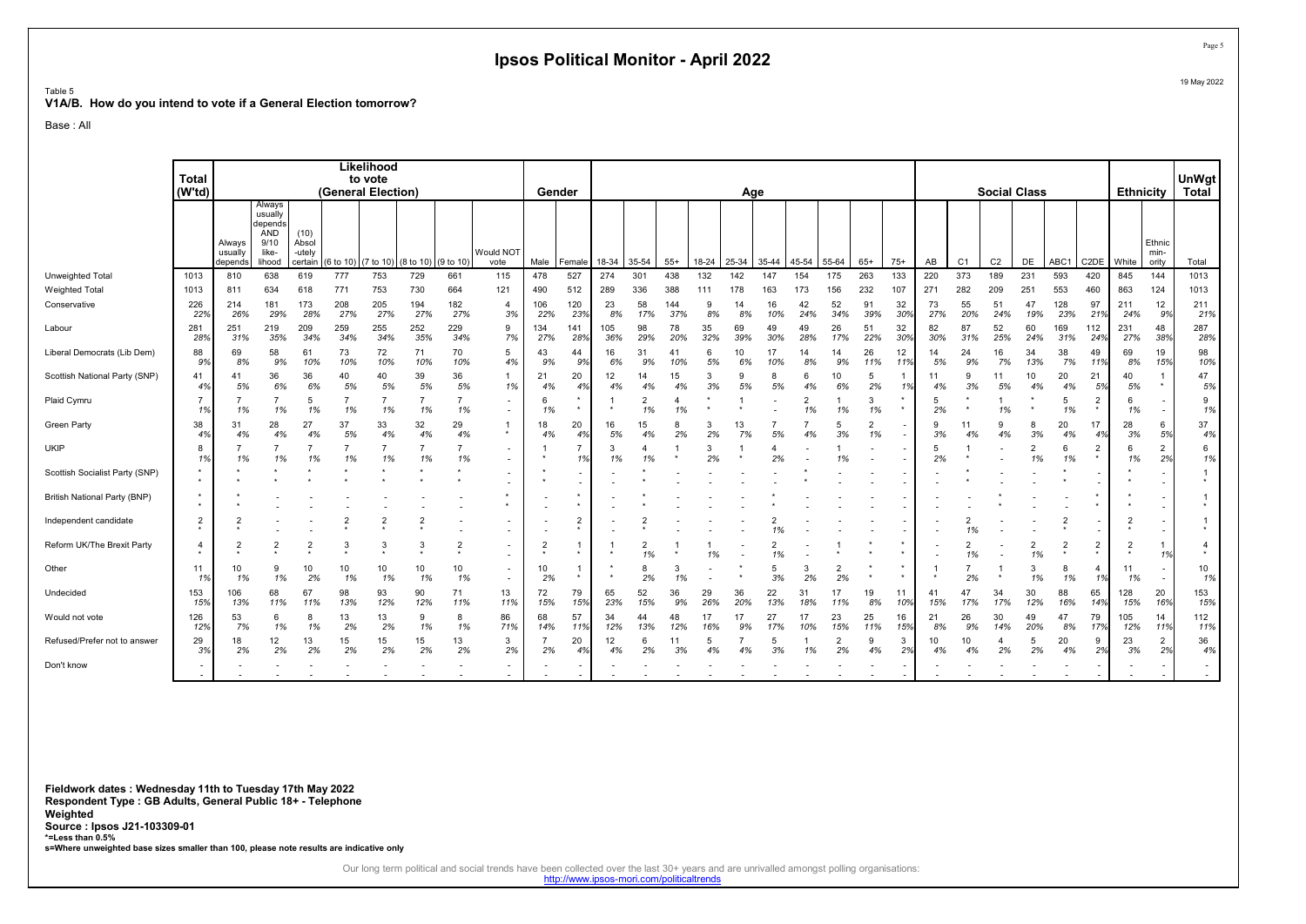#### V1A/B. How do you intend to vote if a General Election tomorrow?

Base : All

Table 5

|                                | Total<br>$(W^{\dagger}td)$ |                              |                                                                |                                    |                | Likelihood<br>to vote<br>(General Election) |                |            |                                                      | Gender         |                          |            |                      |            |           | Age                |                      |                      |                      |           |           |           |           |                | <b>Social Class</b> |                         |                           | <b>Ethnicity</b> |                         | <b>UnWgt</b><br><b>Total</b> |
|--------------------------------|----------------------------|------------------------------|----------------------------------------------------------------|------------------------------------|----------------|---------------------------------------------|----------------|------------|------------------------------------------------------|----------------|--------------------------|------------|----------------------|------------|-----------|--------------------|----------------------|----------------------|----------------------|-----------|-----------|-----------|-----------|----------------|---------------------|-------------------------|---------------------------|------------------|-------------------------|------------------------------|
|                                |                            | Always<br>usually<br>depends | Always<br>usually<br>depends<br>AND<br>9/10<br>like-<br>lihood | (10)<br>Absol<br>-utely<br>certain | (6 to 10)      | $(7 \text{ to } 10)$ (8 to 10) (9 to 10)    |                |            | <b>Would NOT</b><br>vote                             | Male           | Female                   | 18-34      | 35-54                | $55+$      | 18-24     | 25-34              | 35-44                | 45-54                | 55-64                | $65+$     | $75+$     | AB        | C1        | C <sub>2</sub> | DE                  | ABC1                    | C <sub>2</sub> DE         | White            | Ethnic<br>min-<br>ority | Total                        |
| Unweighted Total               | 1013                       | 810                          | 638                                                            | 619                                | 777            | 753                                         | 729            | 661        | 115                                                  | 478            | 527                      | 274        | 301                  | 438        | 132       | 142                | 147                  | 154                  | 175                  | 263       | 133       | 220       | 373       | 189            | 231                 | 593                     | 420                       | 845              | 144                     | 1013                         |
| <b>Weighted Total</b>          | 1013                       | 811                          | 634                                                            | 618                                | 771            | 753                                         | 730            | 664        | 121                                                  | 490            | 512                      | 289        | 336                  | 388        | 111       | 178                | 163                  | 173                  | 156                  | 232       | 107       | 271       | 282       | 209            | 251                 | 553                     | 460                       | 863              | 124                     | 1013                         |
| Conservative                   | 226<br>22%                 | 214<br>26%                   | 181<br>29%                                                     | 173<br>28%                         | 208<br>27%     | 205<br>27%                                  | 194<br>27%     | 182<br>27% | $\overline{4}$<br>3%                                 | 106<br>22%     | 120<br>23%               | 23<br>8%   | 58<br>17%            | 144<br>37% | 9<br>8%   | 14<br>8%           | 16<br>10%            | 42<br>24%            | 52<br>34%            | 91<br>39% | 32<br>30% | 73<br>27% | 55<br>20% | 51<br>24%      | 47<br>19%           | 128<br>23%              | 97<br>21%                 | 211<br>24%       | 12<br>9%                | 211<br>21%                   |
| Labour                         | 281<br>28%                 | 251<br>31%                   | 219<br>35%                                                     | 209<br>34%                         | 259<br>34%     | 255<br>34%                                  | 252<br>35%     | 229<br>34% | 9<br>7%                                              | 134<br>27%     | 141<br>28%               | 105<br>36% | 98<br>29%            | 78<br>20%  | 35<br>32% | 69<br>39%          | 49<br>30%            | 49<br>28%            | 26<br>17%            | 51<br>22% | 32<br>30% | 82<br>30% | 87<br>31% | 52<br>25%      | 60<br>24%           | 169<br>31%              | 112<br>24%                | 231<br>27%       | 48<br>38%               | 287<br>28%                   |
| Liberal Democrats (Lib Dem)    | 88<br>9%                   | 69<br>8%                     | 58<br>9%                                                       | 61<br>10%                          | 73<br>10%      | 72<br>10%                                   | 71<br>10%      | 70<br>10%  | 5<br>4%                                              | 43<br>9%       | 44<br>9%                 | 16<br>6%   | 31<br>9%             | 41<br>10%  | 6<br>5%   | 10<br>6%           | 17<br>10%            | 14<br>8%             | 14<br>9%             | 26<br>11% | 12<br>11% | 14<br>5%  | 24<br>9%  | 16<br>7%       | 34<br>13%           | 38<br>7%                | 49<br>11%                 | 69<br>8%         | 19<br>15%               | 98<br>10%                    |
| Scottish National Party (SNP)  | 41<br>4%                   | 41<br>5%                     | 36<br>6%                                                       | 36<br>6%                           | 40<br>5%       | 40<br>5%                                    | 39<br>5%       | 36<br>5%   | $\overline{1}$<br>1%                                 | 21<br>4%       | 20<br>4%                 | 12<br>4%   | 14<br>4%             | 15<br>4%   | 3<br>3%   | <sub>9</sub><br>5% | 8<br>5%              | 6<br>4%              | 10<br>6%             | -5<br>2%  | 1%        | 11<br>4%  | 3%        | 11<br>5%       | 10<br>4%            | 20<br>4%                | 21<br>5%                  | 40<br>5%         |                         | 47<br>5%                     |
| Plaid Cymru                    | 1%                         | 1%                           | 1%                                                             | 5<br>1%                            | 1%             | 1%                                          | 1%             | 1%         | $\blacksquare$<br>$\blacksquare$                     | 6<br>1%        | $\star$                  |            | $\overline{2}$<br>1% | 1%         |           |                    |                      | $\overline{2}$<br>1% | 1%                   | 3<br>1%   |           | 5<br>2%   |           | 1%             |                     | 5<br>1%                 | $\overline{2}$<br>$\star$ | 6<br>1%          |                         | 9<br>1%                      |
| Green Party                    | 38<br>4%                   | 31<br>4%                     | 28<br>4%                                                       | 27<br>4%                           | 37<br>5%       | 33<br>4%                                    | 32<br>4%       | 29<br>4%   | -1<br>$\star$                                        | 18<br>4%       | 20<br>4%                 | 16<br>5%   | 15<br>4%             | 8          | 3<br>2%   | 13<br>7%           | 5%                   | 4%                   | 5<br>3%              | 1%        |           | g<br>3%   | 11<br>4%  | 4%             | 8<br>3%             | 20<br>4%                | 17                        | 28<br>3%         | 6<br>5%                 | 37<br>4%                     |
| UKIP                           | 8<br>1%                    | 1%                           | 1%                                                             | 1%                                 | 1%             | $\overline{7}$<br>1%                        | 1%             | 1%         | $\overline{\phantom{a}}$<br>$\blacksquare$           | -1             | $\overline{7}$<br>1%     | 3<br>1%    | 4                    |            | 3<br>2%   |                    | 2%                   |                      | 1%                   |           |           | 5<br>2%   |           |                | 2<br>1%             | 6<br>1%                 | $\overline{2}$<br>$\star$ | 6<br>1%          | $\overline{2}$<br>2%    | 6<br>1%                      |
| Scottish Socialist Party (SNP) |                            |                              |                                                                |                                    |                |                                             |                |            | $\overline{\phantom{a}}$                             |                | $\overline{\phantom{a}}$ |            |                      |            |           |                    |                      |                      |                      |           |           |           |           |                |                     |                         |                           |                  |                         | $\star$                      |
| British National Party (BNP)   |                            |                              |                                                                |                                    |                |                                             |                |            |                                                      |                | ۰<br>۰                   |            |                      |            |           |                    |                      |                      |                      |           |           |           |           |                |                     |                         |                           |                  |                         |                              |
| Independent candidate          | 2                          |                              |                                                                |                                    | $\overline{2}$ | $\overline{2}$                              | $\overline{2}$ |            | $\overline{\phantom{a}}$<br>$\overline{\phantom{a}}$ |                | $\overline{2}$<br>۰      |            |                      |            |           |                    | 1%                   |                      |                      |           |           |           | 1%        |                |                     | $\overline{2}$          |                           |                  |                         |                              |
| Reform UK/The Brexit Party     | 4                          | 2                            | $\overline{2}$                                                 | $\overline{2}$                     | 3              | 3                                           | 3              |            | $\overline{\phantom{a}}$<br>$\blacksquare$           | $\overline{2}$ | ۰                        |            | $\overline{2}$<br>1% |            | 1%        |                    | $\overline{c}$<br>1% |                      |                      |           |           |           | 1%        |                | 2<br>1%             | $\overline{\mathbf{c}}$ | $\overline{2}$<br>$\star$ | $\overline{2}$   | 1<br>1%                 | $\overline{4}$<br>$\star$    |
| Other                          | 11<br>1%                   | 10<br>1%                     | 1%                                                             | 10<br>2%                           | 10<br>1%       | 10<br>1%                                    | 10<br>1%       | 10<br>1%   | $\overline{\phantom{a}}$<br>$\overline{\phantom{a}}$ | 10<br>2%       | $\star$                  |            | 2%                   | 3<br>1%    |           |                    | 5<br>3%              | 3<br>2%              | $\overline{2}$<br>2% | $\star$   |           | $\star$   | 2%        |                | 3<br>1%             | 8<br>1%                 | 1%                        | 11<br>1%         |                         | 10<br>1%                     |
| Undecided                      | 153<br>15%                 | 106<br>13%                   | 68<br>11%                                                      | 67<br>11%                          | 98<br>13%      | 93<br>12%                                   | 90<br>12%      | 71<br>11%  | 13<br>11%                                            | 72<br>15%      | 79<br>15%                | 65<br>23%  | 52<br>15%            | 36<br>9%   | 29<br>26% | 36<br>20%          | 22<br>13%            | 31<br>18%            | 17<br>11%            | 19<br>8%  | 11<br>10% | 41<br>15% | 47<br>17% | 34<br>17%      | 30<br>12%           | 88<br>16%               | 65<br>14%                 | 128<br>15%       | 20<br>16%               | 153<br>15%                   |
| Would not vote                 | 126<br>12%                 | 53<br>7%                     | 6<br>1%                                                        | 8<br>1%                            | 13<br>2%       | 13<br>2%                                    | 9<br>1%        | 8<br>1%    | 86<br>71%                                            | 68<br>14%      | 57<br>11%                | 34<br>12%  | 44<br>13%            | 48<br>12%  | 17<br>16% | 17<br>9%           | 27<br>17%            | 17<br>10%            | 23<br>15%            | 25<br>11% | 16<br>15% | 21<br>8%  | 26<br>9%  | 30<br>14%      | 49<br>20%           | 47<br>8%                | 79<br>17%                 | 105<br>12%       | 14<br>11%               | 112<br>11%                   |
| Refused/Prefer not to answe    | 29<br>3%                   | 18<br>2%                     | 12<br>2%                                                       | 13<br>2%                           | 15<br>2%       | 15<br>2%                                    | 15<br>2%       | 13<br>2%   | 3<br>2%                                              | 2%             | 20<br>4%                 | 12.<br>4%  | 6<br>2%              | 11<br>3%   | 5<br>4%   |                    | 5<br>3%              | 1%                   | 2<br>2%              | 9<br>4%   | 3<br>2%   | 10<br>4%  | 10<br>4%  | 2%             | 5<br>2%             | 20<br>4%                | 9<br>2%                   | 23<br>3%         | $\overline{2}$<br>2%    | 36<br>4%                     |
| Don't know                     |                            |                              |                                                                |                                    |                |                                             |                |            |                                                      |                |                          |            |                      |            |           |                    |                      |                      |                      |           |           |           |           |                |                     |                         |                           |                  |                         |                              |

Fieldwork dates : Wednesday 11th to Tuesday 17th May 2022 Respondent Type : GB Adults, General Public 18+ - Telephone Weighted Source : Ipsos J21-103309-01 \*=Less than 0.5% s=Where unweighted base sizes smaller than 100, please note results are indicative only

Our long term political and social trends have been collected over the last 30+ years and are unrivalled amongst polling organisations:<br>http://www.ipsos-mori.com/politicaltrends

Page 5 19 May 2022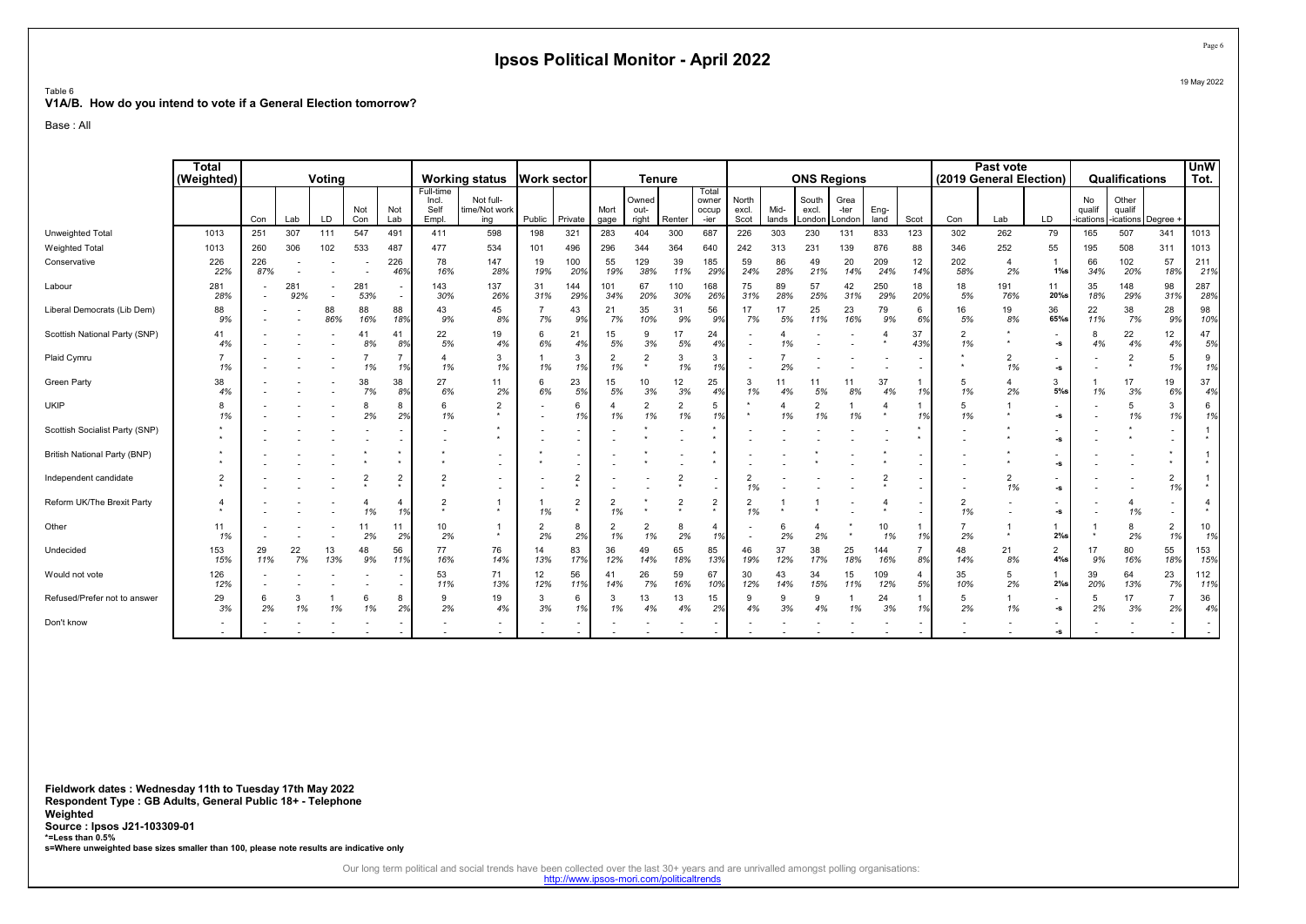#### Table 6 V1A/B. How do you intend to vote if a General Election tomorrow?

Base : All

|                                | <b>Total</b><br>(Weighted) |            |            | Voting    |                |                             |                                    | <b>Working status</b>             |                      | Work sector               |                      | <b>Tenure</b>             |                      |                                 |                        |               | <b>ONS Regions</b>       |                        |              |           |                      | Past vote<br>(2019 General Election) |                           |                         | Qualifications               |                      | <b>UnW</b><br>Tot.       |
|--------------------------------|----------------------------|------------|------------|-----------|----------------|-----------------------------|------------------------------------|-----------------------------------|----------------------|---------------------------|----------------------|---------------------------|----------------------|---------------------------------|------------------------|---------------|--------------------------|------------------------|--------------|-----------|----------------------|--------------------------------------|---------------------------|-------------------------|------------------------------|----------------------|--------------------------|
|                                |                            | Con        | Lab        | LD.       | Not<br>Con     | Not<br>Lab                  | Full-time<br>Incl<br>Self<br>Empl. | Not full-<br>time/Not work<br>ina | Public               | Private                   | Mort<br>gage         | Owned<br>out-<br>right    | Renter               | Total<br>owner<br>occup<br>-ier | North<br>excl.<br>Scot | Mid-<br>lands | South<br>excl.<br>.ondon | Grea<br>-ter<br>London | Eng-<br>land | Scot      | Con                  | Lab                                  | LD                        | No<br>qualif<br>ication | Other<br>qualif<br>-ications | Degree               |                          |
| Unweighted Total               | 1013                       | 251        | 307        | 111       | 547            | 491                         | 411                                | 598                               | 198                  | 321                       | 283                  | 404                       | 300                  | 687                             | 226                    | 303           | 230                      | 131                    | 833          | 123       | 302                  | 262                                  | 79                        | 165                     | 507                          | 341                  | 1013                     |
| <b>Weighted Total</b>          | 1013                       | 260        | 306        | 102       | 533            | 487                         | 477                                | 534                               | 101                  | 496                       | 296                  | 344                       | 364                  | 640                             | 242                    | 313           | 231                      | 139                    | 876          | 88        | 346                  | 252                                  | 55                        | 195                     | 508                          | 311                  | 1013                     |
| Conservative                   | 226<br>22%                 | 226<br>87% |            |           |                | 226<br>46%                  | 78<br>16%                          | 147<br>28%                        | 19<br>19%            | 100<br>20%                | 55<br>19%            | 129<br>38%                | 39<br>11%            | 185<br>29%                      | 59<br>24%              | 86<br>28%     | 49<br>21%                | 20<br>14%              | 209<br>24%   | 12<br>14% | 202<br>58%           | $\overline{4}$<br>2%                 | -1<br>$1\%$ s             | 66<br>34%               | 102<br>20%                   | 57<br>18%            | 211<br>21%               |
| Labour                         | 281<br>28%                 |            | 281<br>92% |           | 281<br>53%     | $\overline{\phantom{a}}$    | 143<br>30%                         | 137<br>26%                        | 31<br>31%            | 144<br>29%                | 101<br>34%           | 67<br>20%                 | 110<br>30%           | 168<br>26%                      | 75<br>31%              | 89<br>28%     | 57<br>25%                | 42<br>31%              | 250<br>29%   | 18<br>20% | 18<br>5%             | 191<br>76%                           | 11<br>$20%$ s             | 35<br>18%               | 148<br>29%                   | 98<br>31%            | 287<br>28%               |
| Liberal Democrats (Lib Dem)    | 88<br>9%                   |            |            | 88<br>86% | 88<br>16%      | 88<br>18%                   | 43<br>9%                           | 45<br>8%                          | 7%                   | 43<br>9%                  | 21<br>7%             | 35<br>10%                 | 31<br>9%             | 56<br>9%                        | 17<br>7%               | 17<br>5%      | 25<br>11%                | 23<br>16%              | 79<br>9%     | 6<br>6%   | 16<br>5%             | 19<br>8%                             | 36<br>65%s                | 22<br>11%               | 38<br>7%                     | 28<br>9%             | 98<br>10%                |
| Scottish National Party (SNP)  | 41<br>4%                   |            |            |           | 41<br>8%       | $\mathbf{4}^{\prime}$<br>8% | 22<br>5%                           | 19<br>4%                          | 6<br>6%              | 21<br>4%                  | 15<br>5%             | 9<br>3%                   | 17<br>5%             | 24<br>4%                        |                        | 1%            |                          |                        |              | 37<br>43% | $\overline{2}$<br>1% |                                      | $\blacksquare$<br>-s      | 4%                      | 22<br>4%                     | 12<br>4%             | 47<br>5%                 |
| Plaid Cymru                    | 1%                         |            |            |           | 1%             | 1%                          | $\overline{4}$<br>1%               | 3<br>1%                           | 1%                   | 3<br>1%                   | 1%                   | $\overline{2}$<br>$\star$ | 3<br>1%              | 3<br>1%                         |                        | 2%            |                          |                        |              |           |                      | 1%                                   | -<br>-s                   |                         | $\star$                      | 5<br>1%              | 9<br>1%                  |
| <b>Green Party</b>             | 38<br>4%                   |            |            |           | 38<br>7%       | 38<br>8%                    | 27<br>6%                           | 11<br>2%                          | 6<br>6%              | 23<br>5%                  | 15<br>5%             | 10<br>3%                  | 12<br>3%             | 25<br>4%                        | 3<br>1%                | 11<br>4%      | 11<br>5%                 | 8%                     | 37<br>4%     | 1%        | 5<br>1%              | 2%                                   | 3<br>$5%$ s               | 1%                      | 17<br>3%                     | 19<br>6%             | 37<br>4%                 |
| <b>UKIP</b>                    | 8<br>1%                    |            |            |           | 8<br>2%        | 8<br>2%                     | 6<br>1%                            | $\overline{2}$                    |                      | 6<br>1%                   | 1%                   | $\overline{2}$<br>1%      | $\overline{2}$<br>1% | 5<br>1%                         |                        | 1%            | $\overline{2}$<br>1%     | 1%                     | *            | 1%        | 5<br>1%              |                                      | -s                        |                         | 5<br>1%                      | 3<br>1%              | 6<br>1%                  |
| Scottish Socialist Party (SNP) |                            |            |            |           |                |                             |                                    |                                   |                      |                           |                      |                           |                      |                                 |                        |               |                          |                        |              |           |                      |                                      | -S                        |                         |                              |                      |                          |
| British National Party (BNP)   |                            |            |            |           |                |                             |                                    |                                   |                      |                           |                      |                           |                      |                                 |                        |               |                          |                        |              |           |                      |                                      | -S                        |                         |                              |                      |                          |
| Independent candidate          | 2                          |            |            |           | $\overline{2}$ | $\overline{2}$              | $\overline{2}$<br>$\star$          |                                   |                      | $\overline{2}$            |                      |                           | $\overline{2}$       |                                 | 1%                     |               |                          |                        |              |           |                      | $\overline{2}$<br>1%                 | -s                        |                         |                              | $\overline{2}$<br>1% | $\star$                  |
| Reform UK/The Brexit Party     |                            |            |            |           | 1%             | 1%                          | $\overline{2}$                     |                                   | 1%                   | $\overline{2}$<br>$\star$ | 1%                   |                           | $\overline{2}$       | $\overline{2}$<br>$\star$       | $\overline{2}$<br>1%   |               |                          |                        |              |           | $\overline{2}$<br>1% |                                      | -S                        |                         | $\overline{a}$<br>1%         |                      | $\star$                  |
| Other                          | 11<br>1%                   |            |            |           | 11<br>2%       | 11<br>2%                    | 10<br>2%                           |                                   | $\overline{2}$<br>2% | 8<br>2%                   | $\overline{2}$<br>1% | $\overline{2}$<br>1%      | 2%                   | 4<br>1%                         |                        | 6<br>2%       | 4<br>2%                  |                        | 10<br>1%     |           | $\overline{7}$<br>2% |                                      | $2%$ s                    |                         | 8<br>2%                      | $\overline{2}$<br>1% | 10<br>1%                 |
| Undecided                      | 153<br>15%                 | 29<br>11%  | 22<br>7%   | 13<br>13% | 48<br>9%       | 56<br>11%                   | 77<br>16%                          | 76<br>14%                         | 14<br>13%            | 83<br>17%                 | 36<br>12%            | 49<br>14%                 | 65<br>18%            | 85<br>13%                       | 46<br>19%              | 37<br>12%     | 38<br>17%                | 25<br>18%              | 144<br>16%   | 8%        | 48<br>14%            | 21<br>8%                             | $\overline{2}$<br>$4\%$ s | 17<br>9%                | 80<br>16%                    | 55<br>18%            | 153<br>15%               |
| Would not vote                 | 126<br>12%                 |            |            |           |                | $\overline{\phantom{a}}$    | 53<br>11%                          | 71<br>13%                         | 12<br>12%            | 56<br>11%                 | 41<br>14%            | 26<br>7%                  | 59<br>16%            | 67<br>10%                       | 30<br>12%              | 43<br>14%     | 34<br>15%                | 15<br>11%              | 109<br>12%   | 5%        | 35<br>10%            | 5<br>2%                              | $2\%s$                    | 39<br>20%               | 64<br>13%                    | 23<br>7%             | 112<br>11%               |
| Refused/Prefer not to answer   | 29<br>3%                   | 6<br>2%    | 1%         | 1%        | 6<br>1%        | 8<br>2%                     | 9<br>2%                            | 19<br>4%                          | 3<br>3%              | 6<br>1%                   | 3<br>1%              | 13<br>4%                  | 13<br>4%             | 15<br>2%                        | 9<br>4%                | 9<br>3%       | 9<br>4%                  | 1%                     | 24<br>3%     | 1%        | 5<br>2%              | 1%                                   | -<br>-s                   | 2%                      | 17<br>3%                     | 2%                   | 36<br>4%                 |
| Don't know                     |                            |            |            |           |                |                             |                                    |                                   |                      |                           |                      |                           |                      |                                 |                        |               |                          |                        |              |           |                      |                                      | -S                        |                         |                              |                      | $\overline{\phantom{a}}$ |

Fieldwork dates : Wednesday 11th to Tuesday 17th May 2022 Respondent Type : GB Adults, General Public 18+ - Telephone Weighted Source : Ipsos J21-103309-01 \*=Less than 0.5% s=Where unweighted base sizes smaller than 100, please note results are indicative only

Our long term political and social trends have been collected over the last 30+ years and are unrivalled amongst polling organisations:<br>http://www.ipsos-mori.com/politicaltrends

19 May 2022

Page 6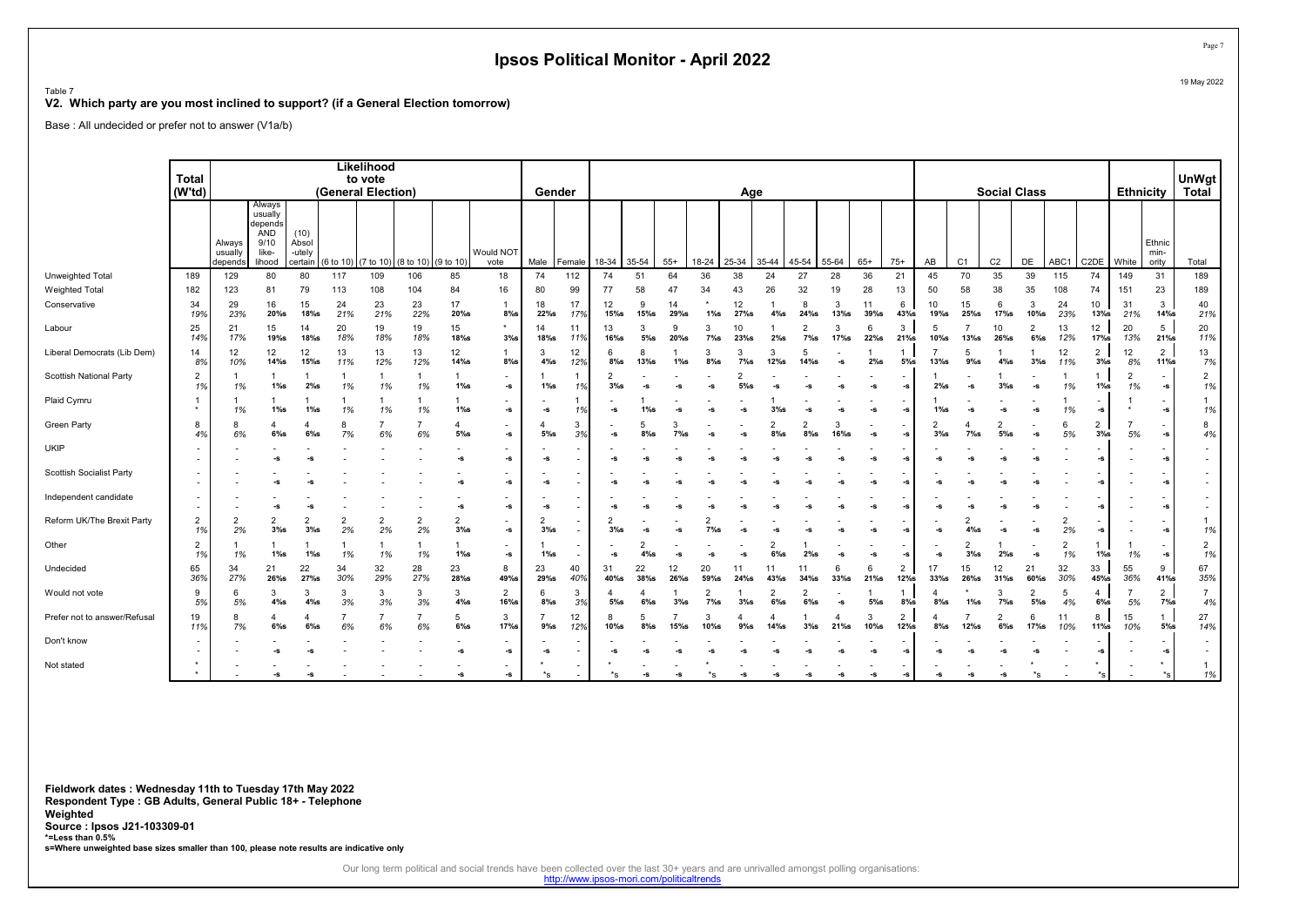Table 7

#### V2. Which party are you most inclined to support? (if a General Election tomorrow)

Base : All undecided or prefer not to answer (V1a/b)

|                                 |                      |                              |                                                                |                                    |                     | Likelihood                    |                                |                                |                                |                          |           |                |               |               |                          |              |                          |                          |              |              |                           |            |                |                           |                           |           |                           |                      |                          |                          |
|---------------------------------|----------------------|------------------------------|----------------------------------------------------------------|------------------------------------|---------------------|-------------------------------|--------------------------------|--------------------------------|--------------------------------|--------------------------|-----------|----------------|---------------|---------------|--------------------------|--------------|--------------------------|--------------------------|--------------|--------------|---------------------------|------------|----------------|---------------------------|---------------------------|-----------|---------------------------|----------------------|--------------------------|--------------------------|
|                                 | Total<br>(W'td)      |                              |                                                                |                                    |                     | to vote<br>(General Election) |                                |                                |                                | Gender                   |           |                |               |               |                          | Age          |                          |                          |              |              |                           |            |                | <b>Social Class</b>       |                           |           |                           | <b>Ethnicity</b>     |                          | UnWgt<br><b>Total</b>    |
|                                 |                      |                              |                                                                |                                    |                     |                               |                                |                                |                                |                          |           |                |               |               |                          |              |                          |                          |              |              |                           |            |                |                           |                           |           |                           |                      |                          |                          |
|                                 |                      | Always<br>usually<br>depends | Always<br>usually<br>depends<br>AND<br>9/10<br>like-<br>lihood | (10)<br>Absol<br>-utely<br>certain | (6 to 10) (7 to 10) |                               | $(8 \text{ to } 10)$ (9 to 10) |                                | Would NOT<br>vote              | Male                     | Female    | 18-34          | 35-54         | $55+$         | 18-24                    | 25-34        | 35-44                    | 45-54                    | 55-64        | $65+$        | $75+$                     | AB         | C <sub>1</sub> | C <sub>2</sub>            | DE                        | ABC1      | C <sub>2</sub> DE         | White                | Ethnic<br>min-<br>ority  | Total                    |
| Unweighted Total                | 189                  | 129                          | 80                                                             | 80                                 | 117                 | 109                           | 106                            | 85                             | 18                             | 74                       | 112       | 74             | 51            | 64            | 36                       | 38           | 24                       | 27                       | 28           | 36           | 21                        | 45         | 70             | 35                        | 39                        | 115       | 74                        | 149                  | 31                       | 189                      |
| <b>Weighted Total</b>           | 182                  | 123                          | 81                                                             | 79                                 | 113                 | 108                           | 104                            | 84                             | 16                             | 80                       | 99        | 77             | 58            | 47            | 34                       | 43           | 26                       | 32                       | 19           | 28           | 13                        | 50         | 58             | 38                        | 35                        | 108       | 74                        | 151                  | 23                       | 189                      |
| Conservative                    | 34<br>19%            | 29<br>23%                    | 16<br>20%s                                                     | 15<br>18%s                         | 24<br>21%           | 23<br>21%                     | 23<br>22%                      | 17<br>20%s                     | $8%$ s                         | 18<br>$22%$ s            | 17<br>17% | 12<br>$15%$ s  | 9<br>$15%$ s  | 14<br>29%s    | $1\%s$                   | 12<br>27%s   | $4\%$ s                  | 8<br>$24%$ s             | 3<br>$13%$ s | 11<br>39%s   | 6<br>43%s                 | 10<br>19%s | 15<br>25%s     | 6<br>17%s                 | 3<br>10%s                 | 24<br>23% | 10<br>$13\%$ s            | 31<br>21%            | 3<br>14%s                | 40<br>21%                |
| Labour                          | 25<br>14%            | 21<br>17%                    | 15<br>19%s                                                     | 14<br>18%s                         | 20<br>18%           | 19<br>18%                     | 19<br>18%                      | 15<br>18%s                     | 3%s                            | 14<br>18%s               | 11<br>11% | 13<br>$16\%$ s | 3<br>$5\%$ s  | 9<br>20%s     | $7\%s$                   | 10<br>23%s   | 2%s                      | $7\%$ s                  | 17%          | 6<br>$22%$ s | 3<br>21%                  | -5<br>10%s | 13%s           | 10<br>$26%$ s             | $\overline{2}$<br>$6\%$ s | 13<br>12% | 12<br>$17%$ s             | 20<br>13%            | 5<br>21%                 | 20<br>11%                |
| Liberal Democrats (Lib Dem)     | 14<br>8%             | 12<br>10%                    | 12<br>$14\%$ s                                                 | 12<br>15%                          | 13<br>11%           | 13<br>12%                     | 13<br>12%                      | 12<br>14%s                     | 1<br>$8%$ s                    | 3<br>$4\%$ s             | 12<br>12% | ĥ<br>$8\%$ s   | 8<br>13%s     | $1\%$ s       | 3<br>$8%$ s              | 3<br>$7\%$ s | 3<br>$12%$ s             | 5<br>$14%$ s             | -s           | 2%s          | -1<br>$5\%$ s             | 13%        | 5<br>$9%$ s    | $4\%$ s                   | $3%$ s                    | 12<br>11% | $\overline{a}$<br>3%s     | 12<br>8%             | $\overline{2}$<br>11%s   | 13<br>7%                 |
| Scottish National Party         | $\overline{2}$<br>1% | 1%                           | $1\%s$                                                         | 2%s                                | 1%                  | -1<br>1%                      | 1%                             | $\mathbf{1}$<br>$1\%$ s        | $\overline{\phantom{a}}$<br>-S | $1\%$ s                  | 1%        | 3%s            | -9            | -9            |                          |              |                          |                          | $\sim$       | -S           | $-S$                      | 2%s        | $\sim$         | 3%s                       | -S                        | 1%        | $1\%s$                    | $\overline{2}$<br>1% | -5                       | $\overline{2}$<br>1%     |
| Plaid Cymru                     | $\bullet$            | 1%                           | $1\%s$                                                         | $1\%s$                             | 1%                  | 1%                            | 1%                             | $1\%s$                         | $\overline{\phantom{a}}$<br>-s | -S                       | 1%        | $\textbf{-S}$  | 1%s           | -9            |                          |              | 3%s                      | -S                       | -s           | -S           | -S                        | $1\%$ s    | -S             | -S                        | -S                        | 1%        | -S                        |                      | -S                       | 1%                       |
| <b>Green Party</b>              | 8<br>4%              | 8<br>6%                      | $6\%$ s                                                        | $6\%$ s                            | 8<br>7%             | 6%                            | 6%                             | $\overline{4}$<br>$5\%$ s      | -S                             | $5%$ s                   | 3<br>3%   | $-S$           | 5<br>$8\%$ s  | 3<br>$7\%s$   |                          |              | $\overline{c}$<br>$8%$ s | $8%$ s                   | 16%s         | -s           | -5                        | $3%$ s     | $7%$ s         | $5\%$ s                   | -S                        | 5%        | $\overline{c}$<br>3%s     | 5%                   | -S                       | 8<br>4%                  |
| <b>UKIP</b>                     |                      |                              | -S                                                             |                                    |                     |                               |                                | $-S$                           | -S                             | -S                       |           | -S             |               |               |                          |              |                          |                          |              | -S           | -S                        |            |                |                           |                           |           | -S                        |                      |                          | $\overline{\phantom{a}}$ |
| <b>Scottish Socialist Party</b> |                      |                              |                                                                |                                    |                     |                               |                                |                                | -S                             | -S                       |           | -S             |               |               |                          |              |                          |                          | -s           | -s           | -S                        |            |                |                           | -5                        |           | -S                        |                      | -5                       |                          |
| Independent candidate           | $\sim$               |                              | $-S$                                                           | -5                                 |                     |                               |                                | $-S$                           | -S                             | -s                       |           | $-S$           |               |               |                          |              |                          |                          |              | -S           | $-S$                      |            |                |                           | -S                        |           | -S                        |                      | -9                       | $\overline{\phantom{a}}$ |
| Reform UK/The Brexit Party      | $\overline{2}$<br>1% | $\overline{2}$<br>2%         | 2<br>3%s                                                       | $\overline{2}$<br>$3%$ s           | 2<br>2%             | 2%                            | $\overline{2}$<br>2%           | $\overline{2}$<br>$3%$ s       | $\overline{\phantom{a}}$<br>-S | $\overline{2}$<br>$3%$ s |           | $3\%s$         | -S            | -9            | $7\%$ s                  |              |                          | -9                       | 2-           | -S           | -5                        | -S         | $4\%$ s        | -S                        | -s                        | 2%        | -S                        |                      | -5                       | 1%                       |
| Other                           | $\overline{2}$<br>1% | 1%                           | $1\%s$                                                         | $1\%$ s                            | 1%                  | 1%                            | 1%                             | $\overline{1}$<br>$1\%$ s      | $\overline{\phantom{a}}$<br>-S | $1\%$ s                  |           | $-S$           | 4%s           | -5            |                          |              | $6\%$ s                  | 2%s                      | -s           | -S           | -S                        |            | $3%$ s         | $2\%s$                    | -S                        | 1%        | $1\%$ s                   | 1%                   | -S                       | $\overline{2}$<br>1%     |
| Undecided                       | 65<br>36%            | 34<br>27%                    | 21<br>$26%$ s                                                  | 22<br>27%s                         | 34<br>30%           | 32<br>29%                     | 28<br>27%                      | 23<br>28%s                     | 8<br>49%s                      | 23<br>29%s               | 40<br>40% | 31<br>40%s     | 22<br>$38%$ s | 12<br>$26%$ s | 20<br>59%s               | 11<br>24%s   | 11<br>43%s               | 11<br>$34%$ s            | 6<br>$33%$ s | 6<br>21%     | $\overline{2}$<br>$12%$ s | 17<br>33%s | 15<br>26%s     | 12<br>$31%$ s             | 21<br>60%s                | 32<br>30% | 33<br>45%s                | 55<br>36%            | 9<br>41%s                | 67<br>35%                |
| Would not vote                  | 9<br>5%              | 6<br>5%                      | 3<br>$4\%$ s                                                   | 3<br>$4\%$ s                       | 3<br>3%             | 3<br>3%                       | 3<br>3%                        | 3<br>$4\%$ s                   | 2<br>16%s                      | 6<br>$8%$ s              | 3<br>3%   | $5\%$ s        | $6\%$ s       | $3%$ s        | $\overline{2}$<br>$7\%s$ | 3%s          | $\overline{2}$<br>$6%$ s | $\overline{2}$<br>$6%$ s | -s           | $5\%$ s      | -1<br>$8\%$ s             | $8\%$ s    | $1\%$ s        | 3<br>$7\%s$               | 2<br>5%                   | -5<br>4%  | $\overline{4}$<br>$6\%$ s | 5%                   | $\overline{2}$<br>$7%$ s | $\overline{7}$<br>4%     |
| Prefer not to answer/Refusa     | 19<br>11%            | 8<br>7%                      | 4<br>$6\%$ s                                                   | 4<br>$6\%$ s                       | 6%                  | 6%                            | 6%                             | 5<br>$6\%$ s                   | 3<br>17%s                      | $9%$ s                   | 12<br>12% | $10\%$ s       | 5<br>$8\%$ s  | 15%           | 3<br>10%s                | $9%$ s       | 14%s                     | $3%$ s                   | $21%$ s      | 3<br>10%s    | $\overline{2}$<br>$12%$ s | $8%$ s     | 12%s           | $\overline{c}$<br>$6\%$ s | 6<br>17%s                 | 11<br>10% | 8<br>11%s                 | 15<br>10%            | $\mathbf{1}$<br>$5%$ s   | 27<br>14%                |
| Don't know                      |                      |                              |                                                                |                                    |                     |                               |                                | $\overline{\phantom{a}}$<br>-S | $\sim$<br>-s                   | -5                       |           | -S             | -S            | -S            |                          |              |                          | -S                       | -s           | -s           | -S                        |            |                |                           | -S                        |           | -S                        |                      | -5                       | $\sim$                   |
| Not stated                      |                      |                              | $\sim$                                                         |                                    |                     |                               |                                |                                | -S                             | $*_{\mathbf{S}}$         |           | ×s             |               |               |                          |              |                          |                          |              | -S           | -S                        |            |                |                           | $*_{\mathbf{S}}$          |           |                           |                      |                          | 1%                       |

Fieldwork dates : Wednesday 11th to Tuesday 17th May 2022 Respondent Type : GB Adults, General Public 18+ - Telephone Weighted Source : Ipsos J21-103309-01 \*=Less than 0.5% s=Where unweighted base sizes smaller than 100, please note results are indicative only

Our long term political and social trends have been collected over the last 30+ years and are unrivalled amongst polling organisations:<br>http://www.ipsos-mori.com/politicaltrends

Page 7 19 May 2022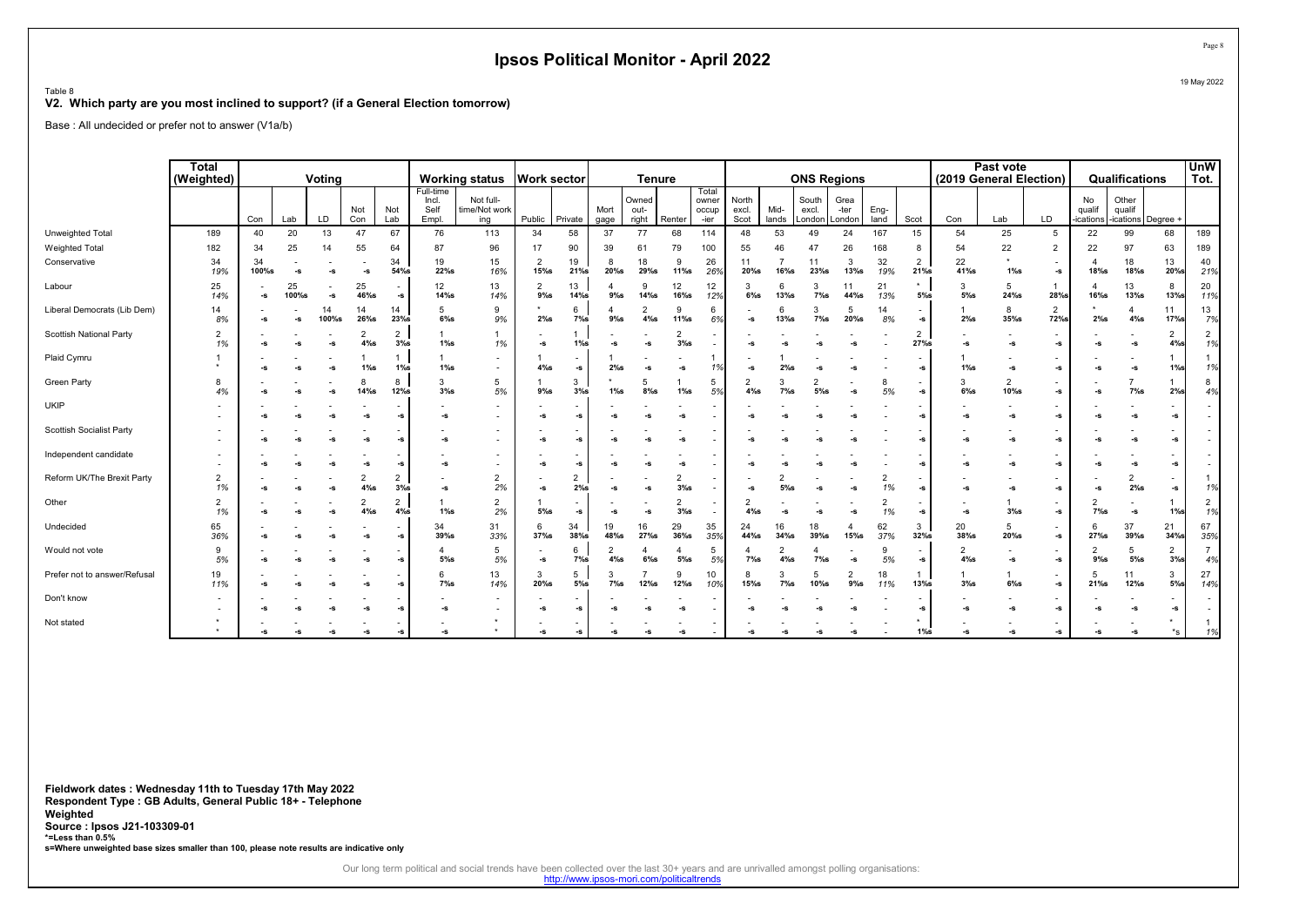Table 8

#### V2. Which party are you most inclined to support? (if a General Election tomorrow)

Base : All undecided or prefer not to answer (V1a/b)

|                                 | <b>Total</b><br>(Weighted) |              |             | Votina      |                           |                          |                                     | <b>Working status</b>                                | <b>Work sector</b>        |                                          |                           | <b>Tenure</b>             |                       |                                 |                        |                | <b>ONS Regions</b>       |                           |              |                       |                           | Past vote<br>(2019 General Election) |                                           |                          | Qualifications              |                          | <b>UnW</b><br>Tot.   |
|---------------------------------|----------------------------|--------------|-------------|-------------|---------------------------|--------------------------|-------------------------------------|------------------------------------------------------|---------------------------|------------------------------------------|---------------------------|---------------------------|-----------------------|---------------------------------|------------------------|----------------|--------------------------|---------------------------|--------------|-----------------------|---------------------------|--------------------------------------|-------------------------------------------|--------------------------|-----------------------------|--------------------------|----------------------|
|                                 |                            | Con          | Lab         | LD          | Not<br>Con                | Not<br>Lab               | Full-time<br>Incl.<br>Self<br>Empl. | Not full-<br>time/Not work<br>ing                    | Public                    | Private                                  | Mort<br>gage              | Owned<br>out-<br>right    | Renter                | Total<br>owner<br>occup<br>-ier | North<br>excl.<br>Scot | Mid-<br>lands  | South<br>excl.<br>London | Grea<br>-ter<br>London    | Eng-<br>land | Scot                  | Con                       | Lab                                  | LD                                        | No<br>qualif<br>ications | Other<br>qualif<br>ications | Degree ·                 |                      |
| Unweighted Total                | 189                        | 40           | 20          | 13          | 47                        | 67                       | 76                                  | 113                                                  | 34                        | 58                                       | 37                        | 77                        | 68                    | 114                             | 48                     | 53             | 49                       | 24                        | 167          | 15                    | 54                        | 25                                   | 5                                         | 22                       | 99                          | 68                       | 189                  |
| Weighted Total                  | 182                        | 34           | 25          | 14          | 55                        | 64                       | 87                                  | 96                                                   | 17                        | 90                                       | 39                        | 61                        | 79                    | 100                             | 55                     | 46             | 47                       | 26                        | 168          | 8                     | 54                        | 22                                   | $\overline{2}$                            | 22                       | 97                          | 63                       | 189                  |
| Conservative                    | 34<br>19%                  | 34<br>100%s  |             | -S          | $-S$                      | 34<br>54%s               | 19<br>$22%$ s                       | 15<br>16%                                            | $\overline{2}$<br>15%     | 19<br>$21%$ s                            | 8<br>20%s                 | 18<br>29%s                | 9<br>$11\%$ s         | 26<br>26%                       | 11<br>$20%$ s          | $16\%$ s       | 11<br>23%s               | 3<br>$13%$ s              | 32<br>19%    | $\overline{2}$<br>21% | 22<br>41%s                | $1\%s$                               | $-S$                                      | $\overline{4}$<br>18%s   | 18<br>$18%$ s               | 13<br>$20%$ s            | 40<br>21%            |
| Labour                          | 25<br>14%                  | $\mathbf{s}$ | 25<br>100%s | -S          | 25<br>46%s                | -S                       | 12<br>$14\%$ s                      | 13<br>14%                                            | $\overline{2}$<br>$9\%$ s | 13<br>$14%$ s                            | $9%$ s                    | 9<br>$14\%$ s             | 12<br>$16%$ s         | 12<br>12%                       | 3<br>$6\%$ s           | 6<br>$13%$ s   | 3<br>$7\%s$              | 11<br>44%s                | 21<br>13%    | $\star$<br>5%         | 3<br>$5\%$ s              | 5<br>$24%$ s                         | $\mathbf{1}$<br>28%s                      | 4<br>$16%$ s             | 13<br>13%s                  | 8<br><b>13%s</b>         | 20<br>11%            |
| Liberal Democrats (Lib Dem)     | 14<br>8%                   | $-S$         |             | 14<br>100%s | 14<br>26%s                | 14<br>$23%$ s            | 5<br>$6\%$ s                        | 9<br>9%                                              | 2%s                       | 6<br>$7%$ s                              | $9%$ s                    | $\overline{2}$<br>$4\%$ s | 9<br>$11\%$ s         | 6<br>6%                         | -S                     | -6<br>$13%$ s  | 3<br>$7\%s$              | 5<br>20%s                 | 14<br>8%     | -S                    | 2%s                       | 8<br>$35%$ s                         | 2<br>72%s                                 | 2%s                      | 4<br>$4\%$ s                | 11<br>$17%$ s            | 13<br>7%             |
| Scottish National Party         | $\overline{2}$<br>1%       | -S           |             | -s          | $\overline{2}$<br>$4\%$ s | $\overline{2}$<br>$3%$ s | $1\%s$                              | 1%                                                   | -S                        | $1\%s$                                   | -S                        | -S                        | $\overline{2}$<br>3%s |                                 | -S                     | $\sim$         |                          |                           |              | $\overline{2}$<br>27% | -S                        | -S                                   | -S                                        | -S                       | -s                          | $\overline{2}$<br>$4%$ s | $\overline{2}$<br>1% |
| Plaid Cymru                     |                            |              |             | -S          | $1\%$ s                   | $1\%$ s                  | $1\%s$                              |                                                      | $4\%$ s                   | $\overline{\phantom{0}}$<br>$\mathbf{s}$ | 2%s                       |                           | -S                    | 1%                              | -S                     | 2%             |                          |                           |              | -S                    | $1\%$ s                   | -S                                   | -S                                        | -S                       | -s                          | $1\%$ s                  | 1%                   |
| Green Party                     | 8<br>4%                    | -S           |             | -S          | 8<br>$14%$ s              | 8<br>$12%$ s             | $3%$ s                              | 5<br>5%                                              | $9\%$ s                   | 3<br>3%s                                 | $1\%$ s                   | 5<br>$8\%$ s              | $1\%s$                | 5<br>5%                         | $4\%$ s                | 7%s            | 2<br>5%                  | -S                        | 5%           | -S                    | $6%$ s                    | $\overline{2}$<br>10%s               | -S                                        | -s                       | $7\%s$                      | $2%$ s                   | 4%                   |
| <b>UKIP</b>                     |                            | $\sim$       |             |             |                           | -5                       | -S                                  |                                                      | -S                        | $\mathbf{s}$                             |                           |                           | $\sim$                |                                 |                        |                |                          |                           |              |                       | -S                        | -S                                   | -S                                        | -S                       | -S                          | -9                       |                      |
| <b>Scottish Socialist Party</b> |                            |              |             |             | -s                        | -5                       | -S                                  | $\overline{\phantom{a}}$<br>$\overline{\phantom{a}}$ | -S                        | -<br>-S                                  | -9                        |                           | $-S$                  |                                 | -9                     |                |                          |                           |              | -9                    | -S                        | -S                                   | -S                                        | -S                       | -S                          | -5                       |                      |
| Independent candidate           |                            |              |             |             |                           | -S                       | -S                                  | ۰                                                    | -S                        | -<br>-S                                  |                           |                           |                       |                                 |                        |                |                          |                           |              | -S                    | -9                        | -S                                   | -S                                        |                          | -S                          | -S                       |                      |
| Reform UK/The Brexit Party      | $\overline{2}$<br>1%       | -S           |             | -S          | $\overline{2}$<br>$4\%$ s | $\overline{2}$<br>$3%$ s | -S                                  | $\overline{2}$<br>2%                                 | -S                        | $\overline{2}$<br>2%s                    | -5                        |                           | $\overline{2}$<br>3%s |                                 | -s                     | $5%$ s         | -5                       | -5                        | 2<br>1%      | -5                    | -S                        | -S                                   | -S                                        | -S                       | $\overline{2}$<br>2%s       | -S                       | 1%                   |
| Other                           | $\overline{2}$<br>1%       | $\sim$       |             | -S          | $\overline{2}$<br>$4\%$ s | $\overline{2}$<br>4%s    | $1\%s$                              | $\overline{2}$<br>2%                                 | $5%$ s                    | -<br>$\textbf{-S}$                       | -5                        | -5                        | $\overline{2}$<br>3%s |                                 | $4\%$ s                | $\sim$         |                          | -5                        | 2<br>1%      | -S                    | -s                        | 3%s                                  | -S                                        | 2<br>$7%$ s              | -s                          | $1\%$ s                  | $\overline{2}$<br>1% |
| Undecided                       | 65<br>36%                  |              |             | -S          | -s                        | -5                       | 34<br>$39%$ s                       | 31<br>33%                                            | 6<br>$37%$ s              | 34<br>$38%$ s                            | 19<br>48%s                | 16<br>27%s                | 29<br>$36\%$ s        | 35<br>35%                       | 24<br>44%s             | 16<br>$34\%$ s | 18<br>$39%$ s            | $\overline{4}$<br>$15%$ s | 62<br>37%    | 3<br>$32%$ s          | 20<br>38%s                | 5<br>$20%$ s                         | $\overline{\phantom{a}}$<br>$\textbf{-S}$ | 6<br>27%s                | 37<br>39%s                  | 21<br>34%                | 67<br>35%            |
| Would not vote                  | 9<br>5%                    |              |             | c.          | -s                        | -S                       | 5%                                  | 5<br>5%                                              | $\textbf{-S}$             | 6<br>$7\%s$                              | $\overline{2}$<br>$4\%$ s | $6\%$ s                   | $5\%$ s               | 5<br>5%                         | $7\%s$                 | 2<br>$4\%s$    | $7\%s$                   | -S                        | 9<br>5%      | -S                    | $\overline{2}$<br>$4\%$ s | -S                                   | $\overline{\phantom{a}}$<br>$\textbf{-S}$ | 2<br>$9%$ s              | 5<br>$5\%$ s                | $\overline{2}$<br>$3%$ s | $\overline{7}$<br>4% |
| Prefer not to answer/Refusal    | 19<br>11%                  | -S           |             | -S          | -s                        | -S                       | $7\%$ s                             | 13<br>14%                                            | 3<br>20%s                 | 5<br>$5\%$ s                             | 3<br>$7\%s$               | 12%s                      | $12%$ s               | 10<br>10%                       | 15%                    | $7\%s$         | 5<br>10%s                | $\overline{2}$<br>$9\%$ s | 18<br>11%    | $13%$ s               | 3%s                       | $6\%s$                               | -S                                        | 5<br>21%                 | 11<br>12%s                  | 3<br>$5%$ s              | 27<br>14%            |
| Don't know                      |                            |              |             |             |                           |                          | -S                                  | $\overline{\phantom{a}}$                             | -S                        | -<br>$\mathbf{s}$                        |                           |                           |                       |                                 |                        |                |                          |                           |              |                       | -9                        | 2.                                   | -S                                        |                          | -5                          |                          |                      |
| Not stated                      |                            |              |             |             |                           |                          | $\sim$                              |                                                      | -9                        | -5                                       |                           |                           |                       |                                 |                        |                |                          |                           |              | $1\%$ s               |                           |                                      | -S                                        |                          |                             | $*_{\mathbf{S}}$         |                      |

Fieldwork dates : Wednesday 11th to Tuesday 17th May 2022 Respondent Type : GB Adults, General Public 18+ - Telephone Weighted Source : Ipsos J21-103309-01 \*=Less than 0.5% s=Where unweighted base sizes smaller than 100, please note results are indicative only

Our long term political and social trends have been collected over the last 30+ years and are unrivalled amongst polling organisations:<br>http://www.ipsos-mori.com/politicaltrends

Page 8 19 May 2022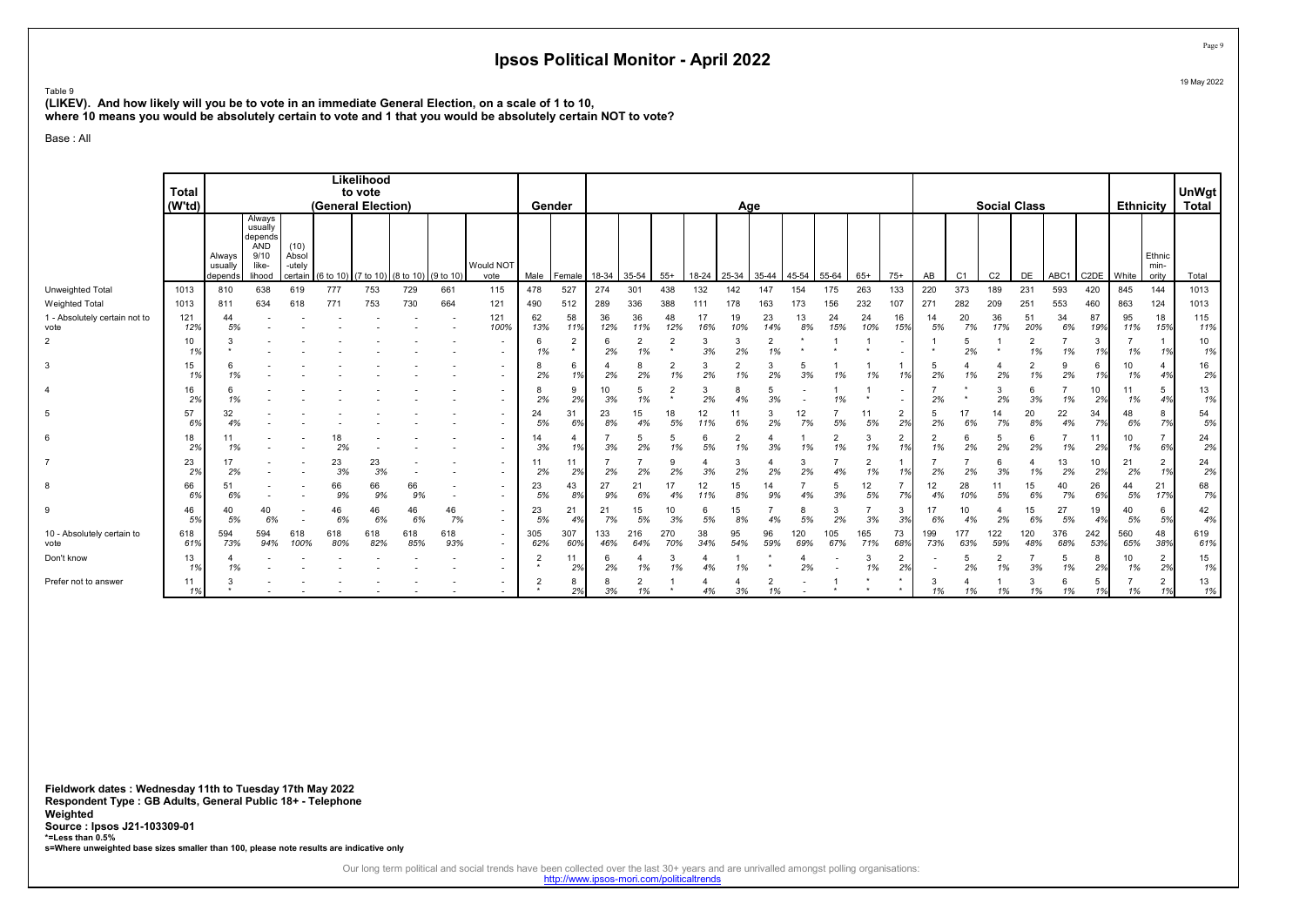Table 9

(LIKEV). And how likely will you be to vote in an immediate General Election, on a scale of 1 to 10,

where 10 means you would be absolutely certain to vote and 1 that you would be absolutely certain NOT to vote?

#### Base : All

|                                       | <b>Total</b><br>(W'td) |                              |                                                                       |                         |                     | Likelihood<br>to vote<br>(General Election) |            |            |                                                      |            | Gender                    |            |            |            |           | Age       |                      |            |                      |            |                          |                      |                | <b>Social Class</b> |            |            |                   | <b>Ethnicity</b> |                         | UnWgt<br>Total |
|---------------------------------------|------------------------|------------------------------|-----------------------------------------------------------------------|-------------------------|---------------------|---------------------------------------------|------------|------------|------------------------------------------------------|------------|---------------------------|------------|------------|------------|-----------|-----------|----------------------|------------|----------------------|------------|--------------------------|----------------------|----------------|---------------------|------------|------------|-------------------|------------------|-------------------------|----------------|
|                                       |                        | Always<br>usually<br>depends | Always<br>usually<br>depends<br><b>AND</b><br>9/10<br>like-<br>lihood | (10)<br>Absol<br>-utelv | certain $(6 to 10)$ | (7 to 10) (8 to 10) (9 to 10)               |            |            | Would NOT<br>vote                                    | Male       | Female                    | 18-34      | 35-54      | $55+$      | 18-24     | 25-34     | 35-44                | 45-54      | 55-64                | $65+$      | $75+$                    | AB                   | C <sub>1</sub> | C <sub>2</sub>      | DE         | ABC1       | C <sub>2</sub> DE | <b>White</b>     | Ethnic<br>min-<br>ority | Total          |
| <b>Unweighted Total</b>               | 1013                   | 810                          | 638                                                                   | 619                     | 777                 | 753                                         | 729        | 661        | 115                                                  | 478        | 527                       | 274        | 301        | 438        | 132       | 142       | 147                  | 154        | 175                  | 263        | 133                      | 220                  | 373            | 189                 | 231        | 593        | 420               | 845              | 144                     | 1013           |
| <b>Weighted Total</b>                 | 1013                   | 811                          | 634                                                                   | 618                     | 771                 | 753                                         | 730        | 664        | 121                                                  | 490        | 512                       | 289        | 336        | 388        | 111       | 178       | 163                  | 173        | 156                  | 232        | 107                      | 271                  | 282            | 209                 | 251        | 553        | 460               | 863              | 124                     | 1013           |
| 1 - Absolutely certain not to<br>vote | 121<br>12%             | 44<br>5%                     |                                                                       |                         |                     |                                             |            |            | 121<br>100%                                          | 62<br>13%  | 58<br>11%                 | 36<br>12%  | 36<br>11%  | 48<br>12%  | 17<br>16% | 19<br>10% | 23<br>14%            | 13<br>8%   | 24<br>15%            | 24<br>10%  | 16<br>15%                | 14<br>5%             | 20<br>7%       | 36<br>17%           | 51<br>20%  | 34<br>6%   | 87<br>19%         | 95<br>11%        | 18<br>15%               | 115<br>11%     |
| 2                                     | 10<br>1%               |                              |                                                                       |                         |                     |                                             |            |            |                                                      | 1%         | $\overline{2}$<br>$\star$ | 6<br>2%    | 2<br>1%    |            | 3<br>3%   | 3<br>2%   | $\overline{2}$<br>1% |            |                      |            | $\overline{\phantom{a}}$ |                      | 2%             |                     | 2<br>1%    | 1%         | 3<br>1%           | 1%               | 1%                      | 10<br>1%       |
|                                       | 15                     | 6<br>1%                      |                                                                       |                         |                     |                                             |            |            |                                                      | 8<br>2%    | 6<br>1%                   | 2%         | 2%         | 1%         | 3<br>2%   | ∠<br>1%   | 2%                   | 5<br>3%    | 1%                   | 1%         | 1%                       | 5<br>2%              | 1%             | 2%                  | 1%         | 2%         | 6<br>1%           | 10<br>1%         |                         | 16<br>2%       |
|                                       | 16<br>2%               | 1%                           |                                                                       |                         |                     |                                             |            |            |                                                      | 2%         | 9<br>2%                   | 10<br>3%   | 1%         |            | 3<br>2%   | 8<br>4%   | 3%                   |            | 1%                   |            |                          | 2%                   |                | 3<br>2%             | 3%         | 1%         | 10<br>2%          | 1%               | 5<br>4%                 | 13<br>1%       |
| 5                                     | 57<br>6%               | 32                           |                                                                       |                         |                     |                                             |            |            |                                                      | 24<br>5%   | 31<br>6%                  | 23<br>8%   | 15<br>4%   | 18<br>5%   | 12<br>11% | 6%        | 2%                   | 12<br>7%   | 5%                   | 11<br>5%   | $\overline{2}$<br>2%     | 5<br>2%              | 6%             | 14<br>7%            | 20<br>8%   | 22<br>4%   | 34<br>7%          | 48<br>6%         | 8<br>7%                 | 54<br>5%       |
| 6                                     | 18<br>2%               | 11<br>1%                     |                                                                       |                         | 18<br>2%            |                                             |            |            |                                                      | 14<br>3%   | 4<br>1%                   | 3%         | 5<br>2%    | 1%         | 6<br>5%   | 2<br>1%   | 3%                   | 1%         | $\overline{2}$<br>1% | 1%         | 2<br>1%                  | $\overline{2}$<br>1% | 2%             | 5<br>2%             | 6<br>2%    | 1%         | 11<br>2%          | 10<br>1%         | 6%                      | 24<br>2%       |
|                                       | 23<br>2%               | 2%                           |                                                                       |                         | 23<br>3%            | 23<br>3%                                    |            |            |                                                      | 11<br>2%   | 11<br>2%                  | 2%         | 2%         | 2%         | 3%        | 3<br>2%   | 2%                   | 3<br>2%    | 4%                   | 2<br>1%    | 1%                       | 2%                   | 2%             | 6<br>3%             | 1%         | 13<br>2%   | 10<br>2%          | 21<br>2%         | 1%                      | 24<br>2%       |
|                                       | 66<br>6%               | 51<br>6%                     |                                                                       |                         | 66<br>9%            | 66<br>9%                                    | 66<br>9%   |            |                                                      | 23<br>5%   | 43<br>8%                  | 27<br>9%   | 21         | 4%         | 12        | 15<br>8%  | 14<br>9%             |            | 5<br>3%              | 12<br>5%   | 7%                       | 12<br>4%             | 28<br>10%      | 11<br>5%            | 15<br>6%   | 40<br>7%   | 26<br>6%          | 44<br>5%         | 21<br>17%               | 68<br>7%       |
|                                       | 46<br>5%               | 40<br>5%                     | 40<br>6%                                                              |                         | 46<br>6%            | 46<br>6%                                    | 46<br>6%   | 46<br>7%   | $\overline{\phantom{a}}$                             | 23<br>5%   | 21<br>4%                  | 21<br>7%   | 15<br>5%   | 10<br>3%   | 6<br>5%   | 15<br>8%  | 4%                   | 8<br>5%    | 3<br>2%              | 3%         | 3<br>3%                  | 17<br>6%             | 10<br>4%       | 2%                  | 15<br>6%   | 27<br>5%   | 19<br>4%          | 40<br>5%         | 6<br>5%                 | 42<br>4%       |
| 10 - Absolutely certain to<br>vote    | 618<br>61%             | 594<br>73%                   | 594<br>94%                                                            | 618<br>100%             | 618<br>80%          | 618<br>82%                                  | 618<br>85% | 618<br>93% | $\overline{\phantom{a}}$<br>$\overline{\phantom{a}}$ | 305<br>62% | 307<br>60%                | 133<br>46% | 216<br>64% | 270<br>70% | 38<br>34% | 95<br>54% | 96<br>59%            | 120<br>69% | 105<br>67%           | 165<br>71% | 73<br>68%                | 199<br>73%           | 177<br>63%     | 122<br>59%          | 120<br>48% | 376<br>68% | 242<br>53%        | 560<br>65%       | 48<br>38%               | 619<br>61%     |
| Don't know                            | 13<br>1%               | 1%                           |                                                                       |                         |                     |                                             |            |            |                                                      |            | 11<br>2%                  | 6<br>2%    | 1%         | 1%         | 4%        | 1%        |                      | 2%         |                      | 1%         | 2<br>2%                  |                      | 2%             | 1%                  | 3%         | 1%         | 8<br>2%           | 10<br>1%         | 2<br>2%                 | 15<br>1%       |
| Prefer not to answer                  | 11<br>1%               |                              |                                                                       |                         |                     |                                             |            |            |                                                      |            | 8<br>2%                   | 8<br>3%    | ∠<br>1%    |            | 4%        | 3%        | 1%                   |            |                      |            | ٠<br>$\star$             | 3<br>1%              | 1%             | 1%                  | 3<br>1%    | 1%         | 5<br>1%           | 1%               | $\overline{2}$          | 13<br>1%       |

Fieldwork dates : Wednesday 11th to Tuesday 17th May 2022 Respondent Type : GB Adults, General Public 18+ - Telephone Weighted Source : Ipsos J21-103309-01 \*=Less than 0.5% s=Where unweighted base sizes smaller than 100, please note results are indicative only

Our long term political and social trends have been collected over the last 30+ years and are unrivalled amongst polling organisations:<br>http://www.ipsos-mori.com/politicaltrends

Page 9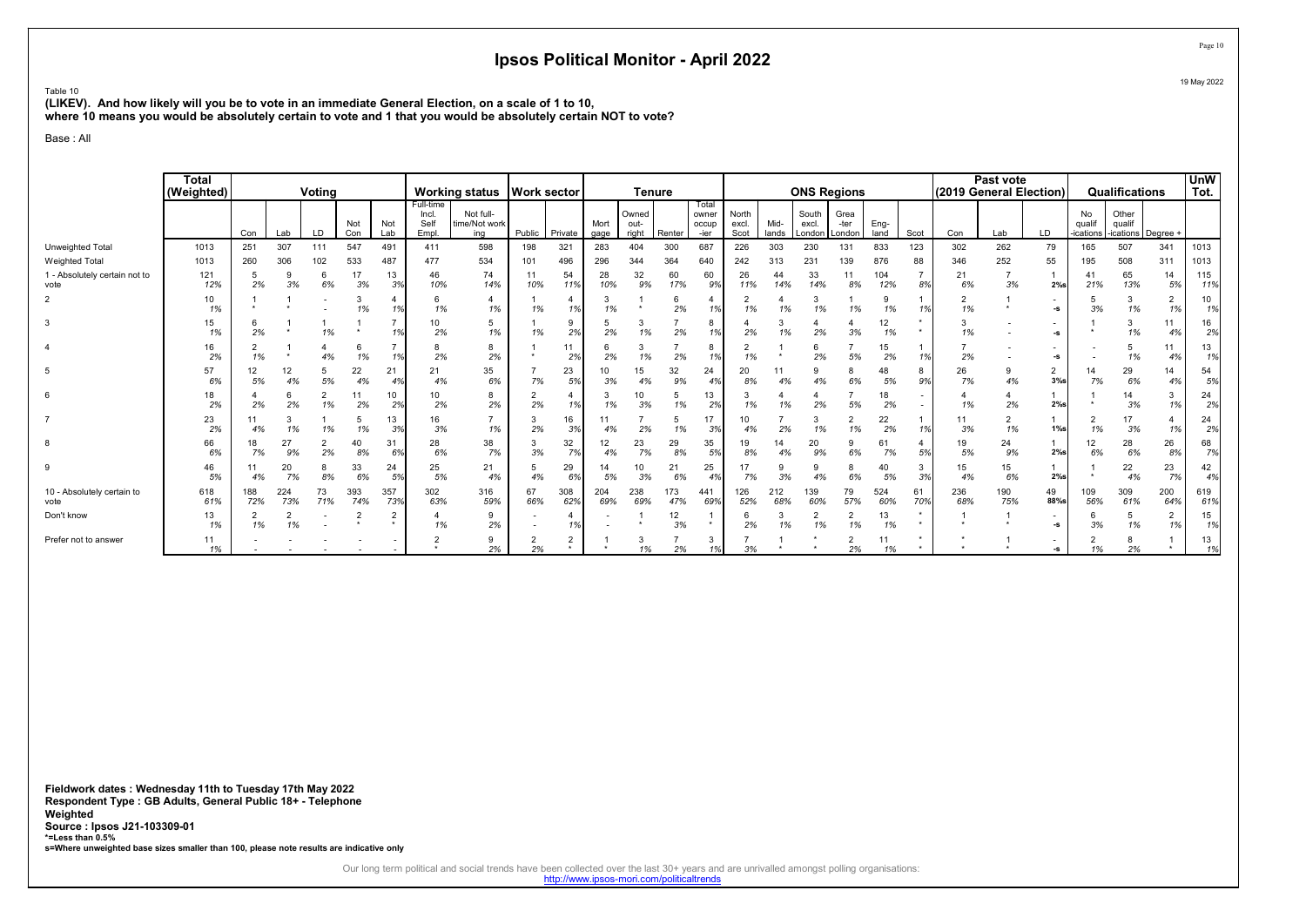Table 10

(LIKEV). And how likely will you be to vote in an immediate General Election, on a scale of 1 to 10, where 10 means you would be absolutely certain to vote and 1 that you would be absolutely certain NOT to vote?

Base : All

|                                       | <b>Total</b><br>(Weighted) |            |            | Voting               |            |            |                                     | <b>Working status</b>             | <b>Work sector</b> |                |              |                        | <b>Tenure</b> |                                 |                        |               | <b>ONS Regions</b>       |                        |                      |           | (2019 General Election) | Past vote  |                      |                          | Qualifications                        |                      | <b>UnW</b><br>Tot. |
|---------------------------------------|----------------------------|------------|------------|----------------------|------------|------------|-------------------------------------|-----------------------------------|--------------------|----------------|--------------|------------------------|---------------|---------------------------------|------------------------|---------------|--------------------------|------------------------|----------------------|-----------|-------------------------|------------|----------------------|--------------------------|---------------------------------------|----------------------|--------------------|
|                                       |                            | Con        | Lab        | LD                   | Not<br>Con | Not<br>Lab | Full-time<br>Incl.<br>Self<br>Empl. | Not full-<br>time/Not work<br>ina | Public             | Private        | Mort<br>gage | Owned<br>out-<br>right | Renter        | Total<br>owner<br>occup<br>-ier | North<br>excl.<br>Scot | Mid-<br>lands | South<br>excl.<br>London | Grea<br>-ter<br>London | Eng-<br>land         | Scot      | Con                     | Lab        | LD                   | No<br>qualif<br>ications | Other<br>qualif<br>-ications Degree + |                      |                    |
| Unweighted Total                      | 1013                       | 251        | 307        | 111                  | 547        | 491        | 411                                 | 598                               | 198                | 321            | 283          | 404                    | 300           | 687                             | 226                    | 303           | 230                      | 131                    | 833                  | 123       | 302                     | 262        | 79                   | 165                      | 507                                   | 341                  | 1013               |
| Weighted Total                        | 1013                       | 260        | 306        | 102                  | 533        | 487        | 477                                 | 534                               | 101                | 496            | 296          | 344                    | 364           | 640                             | 242                    | 313           | 231                      | 139                    | 876                  | 88        | 346                     | 252        | 55                   | 195                      | 508                                   | 311                  | 1013               |
| 1 - Absolutely certain not to<br>vote | 121<br>12%                 | 2%         | 3%         | 6%                   | 17<br>3%   | 13<br>3%   | 46<br>10%                           | 74<br>14%                         | 11<br>10%          | 54<br>11%      | 28<br>10%    | 32<br>9%               | 60<br>17%     | 60<br>9%                        | 26<br>11%              | 44<br>14%     | 33<br>14%                | 11<br>8%               | 104<br>12%           | 8%        | 21<br>6%                | 3%         | $2%$ s               | 41<br>21%                | 65<br>13%                             | 14<br>5%             | 115<br>11%         |
| $\overline{2}$                        | 10<br>1%                   |            |            |                      | 1%         | 1%         | 6<br>1%                             | 4<br>1%                           | 1%                 | 1%             | 1%           |                        | 2%            | 1%                              | 1%                     | 1%            | 3<br>1%                  | 1%                     | 1%                   | 1%        | 2<br>1%                 |            | -S                   | 3%                       | 3<br>1%                               | 2<br>1%              | 10<br>1%           |
| 3                                     | 15<br>1%                   | 2%         |            | 1%                   |            | 1%         | 10<br>2%                            | 5<br>1%                           | 1%                 | 2%             | 2%           | 1%                     | 2%            | 8<br>1%                         | 2%                     | 1%            | 2%                       | 3%                     | 12<br>1%             |           | 3<br>1%                 |            | -S                   |                          | 3<br>1%                               | 11<br>4%             | 16<br>2%           |
|                                       | 16<br>2%                   |            |            | 4%                   | 1%         | 1%         | 2%                                  | 8<br>2%                           |                    | 11<br>2%       | 2%           | 1%                     | 2%            | 8<br>1%                         | 1%                     |               | 6<br>2%                  | 5%                     | 15<br>2%             | 1%        | 2%                      |            | -9                   |                          | 5<br>1%                               | 4%                   | 13<br>1%           |
| 5                                     | 57<br>6%                   | 12<br>5%   | 12<br>4%   | 5<br>5%              | 22<br>4%   | 21<br>4%   | 21<br>4%                            | 35<br>6%                          | 7%                 | 23<br>5%       | 10<br>3%     | 15<br>4%               | 32<br>9%      | 24<br>4%                        | 20<br>8%               | 11<br>4%      | 9<br>4%                  | 6%                     | 48<br>5%             | 8<br>9%   | 26<br>7%                | 4%         | $\overline{2}$<br>3% | 14<br>7%                 | 29<br>6%                              | 14<br>4%             | 54<br>5%           |
| 6                                     | 18<br>2%                   | 2%         | 2%         | $\overline{2}$<br>1% | 11<br>2%   | 10<br>2%   | 10<br>2%                            | 8<br>2%                           | 2%                 | 1%             | 1%           | 10<br>3%               | 1%            | 13<br>2%                        | 1%                     | 1%            | 2%                       | 5%                     | 18<br>2%             |           | 1%                      | 2%         | 2%                   |                          | 14<br>3%                              | 3<br>1%              | 24<br>2%           |
|                                       | 23<br>2%                   | 4%         | 1%         | 1%                   | 1%         | 13<br>3%   | 16<br>3%                            | 1%                                | 2%                 | 16<br>3%       |              | 2%                     | 1%            | 3%                              | 4%                     | 2%            | 3<br>1%                  | 1%                     | 22<br>2%             | 1%        | 11<br>3%                | 1%         | $1\%$ s              | 1%                       | 3%                                    | 4<br>1%              | 24<br>2%           |
| 8                                     | 66<br>6%                   | 18<br>7%   | 27<br>9%   | 2<br>2%              | 40<br>8%   | 31<br>6%   | 28<br>6%                            | 38<br>7%                          | 3<br>3%            | 32<br>7%       | 12<br>4%     | 23<br>7%               | 29<br>8%      | 35<br>5%                        | 19<br>8%               | 14<br>4%      | 20<br>9%                 | 9<br>6%                | 6 <sup>1</sup><br>7% | 5%        | 19<br>5%                | 24<br>9%   | 2%                   | 12<br>6%                 | 28<br>6%                              | 26<br>8%             | 68<br>7%           |
| 9                                     | 46<br>5%                   | 4%         | 20<br>7%   | 8%                   | 33<br>6%   | 24<br>5%   | 25<br>5%                            | 21<br>4%                          | 4%                 | 29<br>6%       | 5%           | 10<br>3%               | 21<br>6%      | 25<br>4%                        | 17<br>7%               | 9<br>3%       | 9<br>4%                  | 6%                     | 40<br>5%             | 3%        | 15<br>4%                | 15<br>6%   | $2%$ s               |                          | 22<br>4%                              | 23<br>7%             | 42<br>4%           |
| 10 - Absolutely certain to<br>vote    | 618<br>61%                 | 188<br>72% | 224<br>73% | 73<br>71%            | 393<br>74% | 357<br>73% | 302<br>63%                          | 316<br>59%                        | 67<br>66%          | 308<br>62%     | 204<br>69%   | 238<br>69%             | 173<br>47%    | 441<br>69%                      | 126<br>52%             | 212<br>68%    | 139<br>60%               | 79<br>57%              | 524<br>60%           | 61<br>70% | 236<br>68%              | 190<br>75% | 49<br>88%s           | 109<br>56%               | 309<br>61%                            | 200<br>64%           | 619<br>61%         |
| Don't know                            | 13<br>1%                   | 1%         | 1%         |                      |            | 2<br>٠     | 1%                                  | 9<br>2%                           |                    | 1%             |              |                        | 12<br>3%      | $\star$                         | 2%                     | 3<br>1%       | $\overline{2}$<br>1%     | $\overline{2}$<br>1%   | 13<br>1%             |           |                         |            | -S                   | 3%                       | 5<br>1%                               | $\overline{2}$<br>1% | 15<br>1%           |
| Prefer not to answer                  | 11<br>1%                   |            |            |                      |            |            |                                     | 9<br>2%                           | 2%                 | $\overline{2}$ |              | 1%                     | 2%            | 3<br>1%                         | 3%                     |               |                          | 2%                     | 11<br>1%             |           |                         |            | -s                   | 1%                       | 8<br>2%                               |                      | 13<br>1%           |

Fieldwork dates : Wednesday 11th to Tuesday 17th May 2022 Respondent Type : GB Adults, General Public 18+ - Telephone Weighted Source : Ipsos J21-103309-01 \*=Less than 0.5% s=Where unweighted base sizes smaller than 100, please note results are indicative only

Our long term political and social trends have been collected over the last 30+ years and are unrivalled amongst polling organisations:<br>http://www.ipsos-mori.com/politicaltrends

Page 10 19 May 2022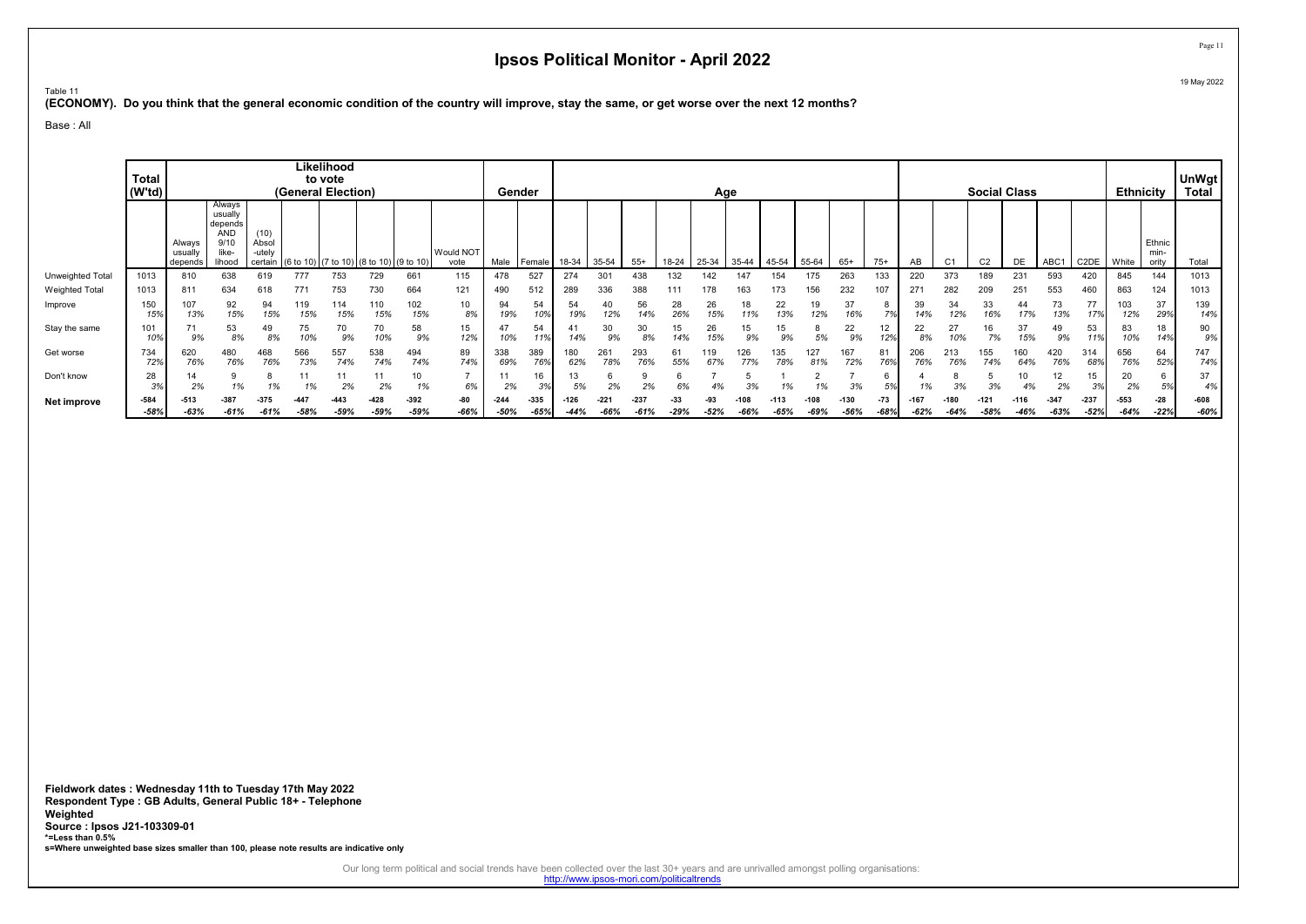Table 11

(ECONOMY). Do you think that the general economic condition of the country will improve, stay the same, or get worse over the next 12 months?

Base : All

|                         | <b>Total</b><br>(W'td) |                             |                                                                |                                   | (General Election) | Likelihood<br>to vote |                                         |                  |                   |                  | Gender           |                  |                  |            |             | Age           |           |           |                |                  |                 |                |           | <b>Social Class</b> |                |                  |                   | <b>Ethnicity</b> |                         | <b>UnWgt</b><br>Total |
|-------------------------|------------------------|-----------------------------|----------------------------------------------------------------|-----------------------------------|--------------------|-----------------------|-----------------------------------------|------------------|-------------------|------------------|------------------|------------------|------------------|------------|-------------|---------------|-----------|-----------|----------------|------------------|-----------------|----------------|-----------|---------------------|----------------|------------------|-------------------|------------------|-------------------------|-----------------------|
|                         |                        | Alwavs<br>usuall<br>depends | Always<br>usually<br>depends<br>AND<br>9/10<br>like-<br>lihood | 10)<br>Absol<br>-utelv<br>certain |                    |                       | (6 to 10) (7 to 10) (8 to 10) (9 to 10) |                  | Would NOT<br>vote | Male             | Female           | 18-34            | 35-54            | $55+$      | 18-24       | 25-34         | 35-44     | 45-54     | 55-64          | $65+$            | $75+$           | AB             | ◡         | C <sub>2</sub>      | DE             | ABC <sup>1</sup> | C <sub>2</sub> DE | White            | Ethnic<br>min-<br>ority | Total                 |
| <b>Unweighted Total</b> | 1013                   | 810                         | 638                                                            |                                   | 777                | 753                   | 729                                     | 661              | 115               | 478              | 527              | 274              | 301              |            | 132         |               |           | 154       |                | 263              | 133             | 220            | 373       | 189                 | 231            | 593              | 420               | 845              | 144                     | 1013                  |
| <b>Weighted Total</b>   | 1013                   | 811                         | 634                                                            |                                   | 771                | 753                   | 730                                     | 664              | 121               | 490              | 512              | 289              | 336              | 388        |             |               | 163       | 173       | 156            | 232              | 107             | 271            | 282       | 209                 | 251            | 553              | 460               | 863              | 124                     | 1013                  |
| Improve                 | 150<br>15%             | 107<br>13%                  | 92<br>15%                                                      | 94<br>15%                         | 119<br>15%         | 114<br>15%            | 110<br>15%                              | 102<br>15%       | 10<br>8%          | 94<br>19%        | 54<br>10%        | 54<br>19%        | 40<br>12%        | 56<br>14%  | 28<br>26%   | 26<br>15%     | 18<br>11% | 22<br>13% | 19<br>12%      | 37<br>16%        | 8<br>7%         | 39<br>14%      | 34<br>12% | 33<br>16%           | 44<br>17%      | 73<br>13%        | 77<br>17%         | 103<br>12%       | 37<br>29%               | 139<br>14%            |
| Stay the same           | 101<br>10%             | 9%                          | 53<br>8%                                                       | 49<br>8%                          | 75<br>10%          | 70<br>9%              | 70<br>10%                               | 58<br>9%         | 15<br>12%         | 47<br>10%        | 54               | 14%              | 30               | 30<br>8%   | 15          | 26            | 15        | 9%        | Ö<br>5%        | 22<br>9%         | 12<br>12%       | 22<br>8%       | 27        | 16                  | 37             | 49<br>9%         | 53                | 83<br>10%        | 18<br>14%               | 90<br>9%              |
| Get worse               | 734<br>72%             | 620<br>76%                  | 480<br>76%                                                     | 468<br>76%                        | 566<br>73%         | 557<br>74%            | 538<br>74%                              | 494<br>74%       | 89<br>74%         | 338<br>69%       | 389<br>76%       | 62%              | 26٬<br>78%       | 293<br>76% | 55%         | 67%           | 26<br>77% | 78%       | 127            | 167<br>72%       | 81<br>76%       | 206<br>76%     | 76%       | 155<br>74%          | 60<br>64%      | 420<br>76%       | 314<br>689        | 656<br>76%       | 64<br>52%               | 747<br>74%            |
| Don't know              | 28<br>3%               | 14<br>2%                    | 1%                                                             | 1%                                | 1%                 | 11<br>2%              | 11<br>2%                                | 10<br>1%         | 6%                | 11<br>2%         | 16<br>3%         |                  | 2%               | 2%         | $\sim$      | 4%            |           |           |                | 3%               | 6<br>5%         | 1%             | n۵        | 3%                  |                | 12<br>2%         | 15<br>3%          | 20<br>2%         | 6<br>5%                 | 37<br>4%              |
| Net improve             | $-584$<br>$-58%$       | $-513$<br>$-63%$            | $-387$<br>-61%                                                 | $-375$<br>$-61%$                  | $-58%$             | $-443$<br>$-59%$      | $-428$<br>$-59%$                        | $-392$<br>$-59%$ | -80<br>-66%       | $-244$<br>$-50%$ | $-335$<br>$-65%$ | $-126$<br>$-44%$ | $-221$<br>$-66%$ | $-237$     | -33<br>-29% | -9:<br>$-52%$ | -66%      | $-65%$    | -108<br>$-69%$ | $-130$<br>$-56%$ | $-73$<br>$-68%$ | -167<br>$-62%$ | -64%      | $-58%$              | $-116$<br>-46% | $-347$<br>$-63%$ | $-237$<br>$-52%$  | $-553$<br>-64%   | $-28$<br>$-22%$         | $-608$<br>$-60%$      |

Fieldwork dates : Wednesday 11th to Tuesday 17th May 2022 Respondent Type : GB Adults, General Public 18+ - Telephone Weighted Source : Ipsos J21-103309-01 \*=Less than 0.5% s=Where unweighted base sizes smaller than 100, please note results are indicative only

Our long term political and social trends have been collected over the last 30+ years and are unrivalled amongst polling organisations:<br>http://www.ipsos-mori.com/politicaltrends

Page 11 19 May 2022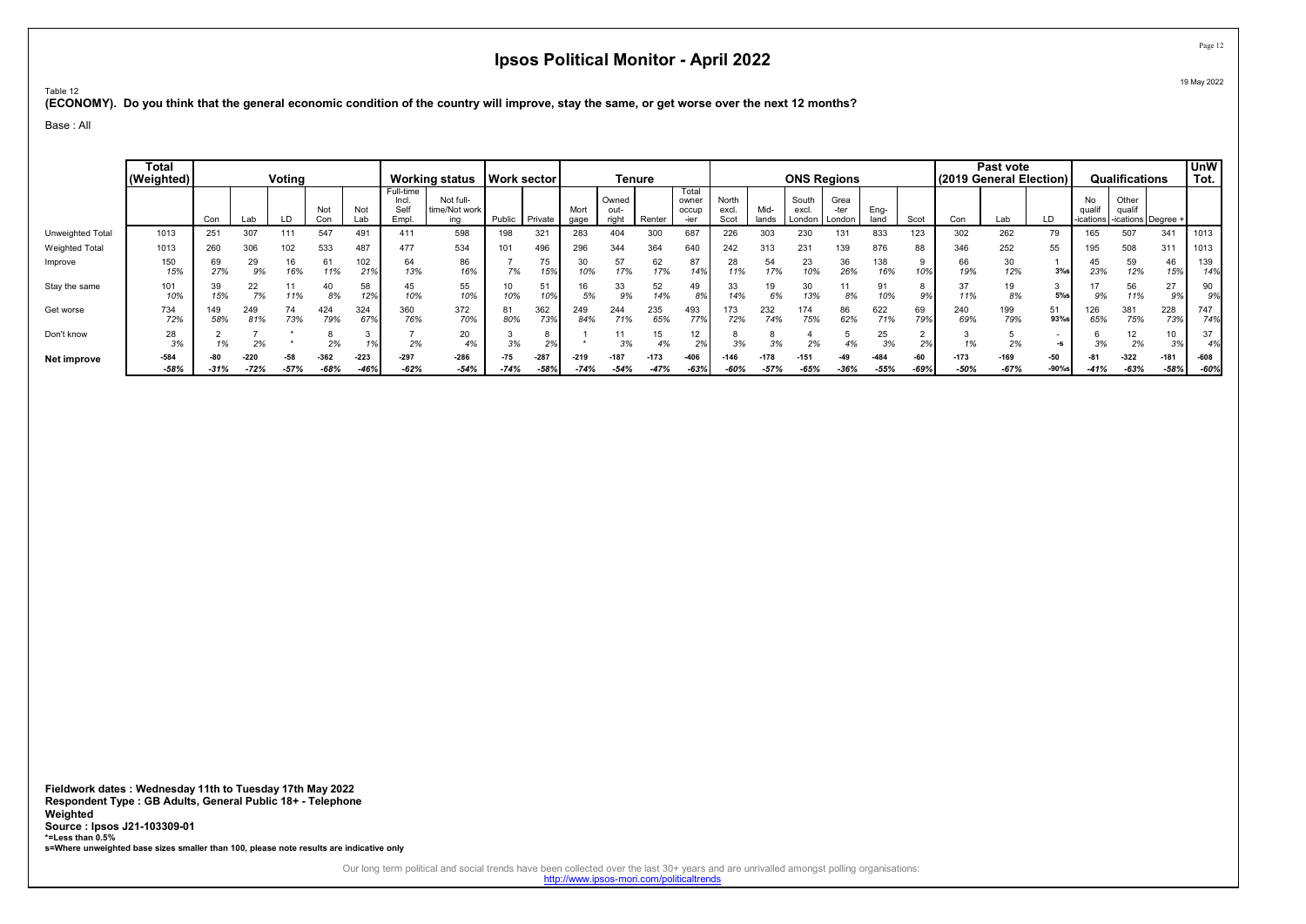Table 12 (ECONOMY). Do you think that the general economic condition of the country will improve, stay the same, or get worse over the next 12 months?

Base : All

|                         | <b>Total</b><br>(Weighted) |            |                  | Voting          |                  |                  |                                     | Working status   Work sector      |                 |                       |                  | Tenure                 |                  |                         |                        |                  |                          | <b>ONS Regions</b>     |                  |               | l (2019 General Election) İ | Past vote      |                   |              | Qualifications                                      |                  | <b>UnW</b><br>Tot. |
|-------------------------|----------------------------|------------|------------------|-----------------|------------------|------------------|-------------------------------------|-----------------------------------|-----------------|-----------------------|------------------|------------------------|------------------|-------------------------|------------------------|------------------|--------------------------|------------------------|------------------|---------------|-----------------------------|----------------|-------------------|--------------|-----------------------------------------------------|------------------|--------------------|
|                         |                            | Con        | Lab              |                 | Not<br>Con       | Not<br>Lab       | Full-time<br>Incl.<br>Self<br>Empl. | Not full-<br>time/Not work<br>ina | Public          | Private               | Mort<br>qage     | Owned<br>out-<br>right | Renter           | Total<br>owner<br>occup | North<br>excl.<br>Scot | Mid-<br>lands    | South<br>excl.<br>London | Grea<br>-ter<br>London | Eng-<br>land     | Scot          | Con                         | ∟ab            |                   | No<br>qualit | Other<br>qualif<br>-ications   -ications   Degree + |                  |                    |
| <b>Unweighted Total</b> | 1013                       | 251        | 307              | 111             | 547              | 491              | 411                                 | 598                               | 198             | 321                   | 283              | 404                    | 300              | 687                     | 226                    | 303              | 230                      | 131                    | 833              | 123           | 302                         | 262            | 79                | 65           | 507                                                 | 341              | 1013               |
| <b>Weighted Total</b>   | 1013                       | 260        | 306              | 102             | 533              | 487              | 477                                 | 534                               | 101             | 496                   | 296              | 344                    | 364              | 640                     | 242                    | 313              | 231                      | 139                    | 876              | 88            | 346                         | 252            | 55                | 195          | 508                                                 | 311              | 1013               |
| Improve                 | 150<br>15%                 | 69<br>27%  | 29<br>9%         | 6%              | 61<br>11%        | 102<br>21%       | 64<br>13%                           | 86<br>16%                         | 70/<br>$1\%$    | 75<br>15%             | 30<br>10%        | 57<br>17%              | 62<br>17%        | 87<br>14%               | 11%                    | 54<br>17%        | 23<br>10%                | 36<br>26%              | 138<br>16%       | 10%           | 66<br>19%                   | 30<br>12%      | 3%                | 45<br>23%    | 59<br>12%                                           | 46<br>15%        | 139<br>14%         |
| Stay the same           | 101<br>10%                 | 39<br>15%  | 22<br>7%         | 1%              | 40<br>8%         | 58<br>12%        | 45<br>10%                           | 55<br>10%                         | 10<br>10%       | 51<br>10%             | 16<br>5%         | 33<br>9%               | 52<br>14%        | 49<br>89                | 14%                    | 6%               | 30<br>13%                | 8%                     | 91<br>10%        | 9%            | 37<br>11%                   | 19<br>8%       | 5%                | 9%           | 56<br>11%                                           | 27<br>9%         | 90<br>9%           |
| Get worse               | 734<br>72%                 | 149<br>58% | 249<br>81%       | 73%             | 424<br>79%       | 324<br>67%       | 360<br>76%                          | 372<br>70%                        | 81<br>80%       | 362<br>73%            | 249<br>84%       | 244<br>71%             | 235<br>65%       | 493<br>77%              | 72%                    | 232<br>74%       | 174<br>75%               | 86<br>62%              | 622<br>71%       | 69<br>79%     | 240<br>69%                  | 199<br>79%     | 51<br>93%s        | 26<br>65%    | 381<br>75%                                          | 228<br>73%       | 747<br>74%i        |
| Don't know              | 28<br>3%                   | 1%         | 2%               |                 | 2%               |                  | 2%                                  | 20<br>4%                          | 3%              | $\sim$                |                  | $\sim$<br>3%           | 15<br>4%         | 12<br>2%                | 3%                     | 3%               | 2%                       |                        | 25<br>3%         | 2%            | 1%                          | 2%             | -s                | 3%           | 12<br>2%                                            | 10<br>3%         | 37<br>4%           |
| Net improve             | $-584$<br>$-58%$           | $-31%$     | $-220$<br>$-72%$ | $-58$<br>$-57%$ | $-362$<br>$-68%$ | $-223$<br>$-46%$ | $-297$<br>$-62%$                    | $-286$<br>$-54%$                  | $-75$<br>$-74%$ | $-287$<br>$-58^\circ$ | $-219$<br>$-74%$ | $-187$<br>$-54%$       | $-173$<br>$-47%$ | $-406$<br>$-63%$        | $-60%$                 | $-178$<br>$-57%$ | $-151$<br>$-65%$         | $-49$<br>$-36%$        | $-484$<br>$-55%$ | $-60$<br>-69% | $-173$<br>$-50%$            | -169<br>$-67%$ | $-50$<br>$-90%$ s | $-41%$       | $-322$<br>$-63%$                                    | $-181$<br>$-58%$ | -608<br>-60%       |

Fieldwork dates : Wednesday 11th to Tuesday 17th May 2022 Respondent Type : GB Adults, General Public 18+ - Telephone Weighted Source : Ipsos J21-103309-01 \*=Less than 0.5% s=Where unweighted base sizes smaller than 100, please note results are indicative only

Our long term political and social trends have been collected over the last 30+ years and are unrivalled amongst polling organisations:<br>http://www.ipsos-mori.com/politicaltrends

Page 12 19 May 2022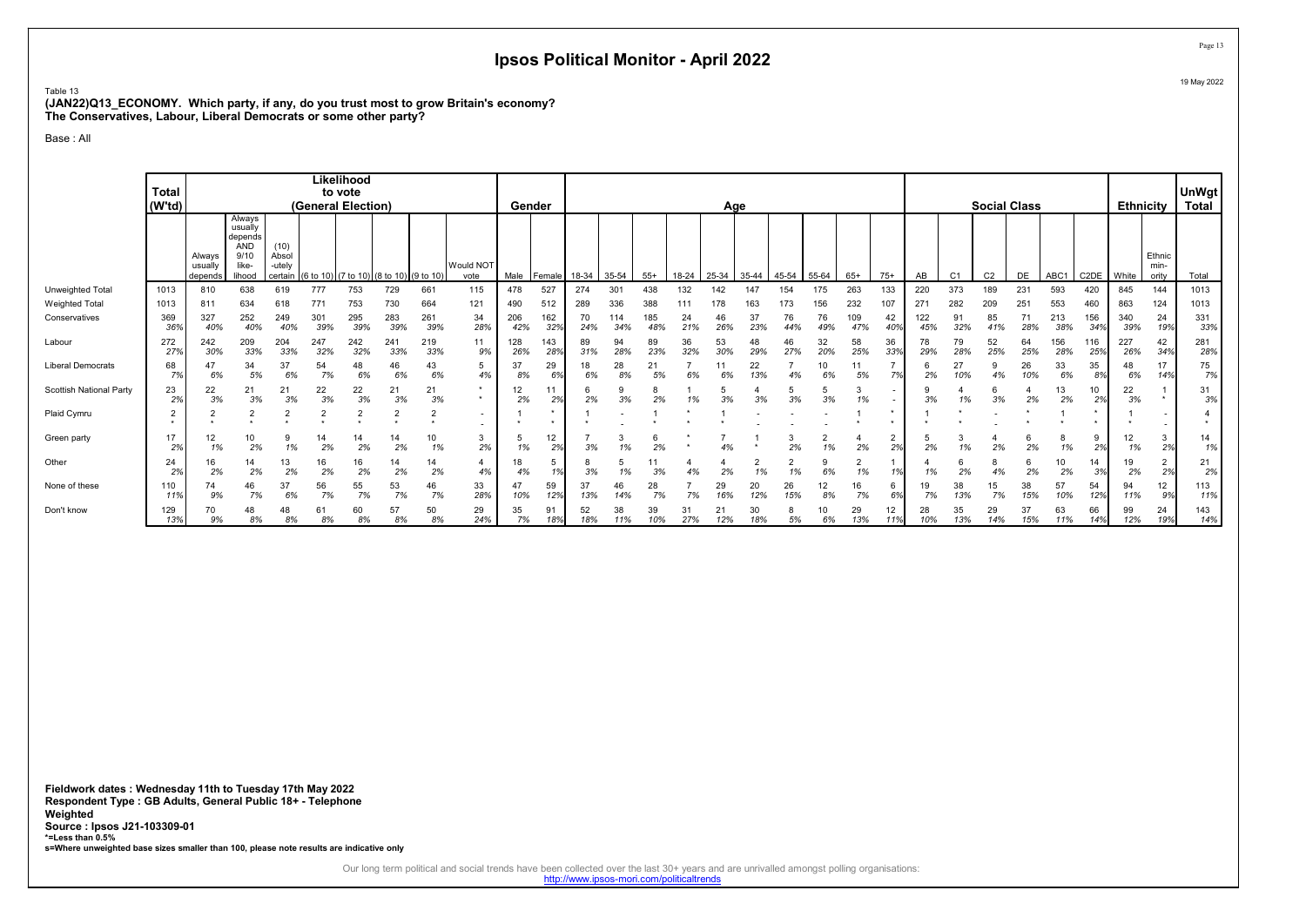Table 13 (JAN22)Q13\_ECONOMY. Which party, if any, do you trust most to grow Britain's economy? The Conservatives, Labour, Liberal Democrats or some other party?

Base : All

|                         | <b>Total</b><br>(W'td) |                              |                                                                |                                    | (General Election) | Likelihood<br>to vote |                     |                             |                          |            | Gender     |           |            |            |           | Age       |                |                      |           |                |                                    |                 |                | <b>Social Class</b> |           |            |                   | <b>Ethnicity</b> |                         | UnWgt<br><b>Total</b> |
|-------------------------|------------------------|------------------------------|----------------------------------------------------------------|------------------------------------|--------------------|-----------------------|---------------------|-----------------------------|--------------------------|------------|------------|-----------|------------|------------|-----------|-----------|----------------|----------------------|-----------|----------------|------------------------------------|-----------------|----------------|---------------------|-----------|------------|-------------------|------------------|-------------------------|-----------------------|
|                         |                        | Always<br>usually<br>depends | Always<br>usually<br>depends<br>ÁND<br>9/10<br>like-<br>lihood | (10)<br>Absol<br>-utely<br>certain | (6 to 10           |                       | (7 to 10) (8 to 10) | (9 to 10)                   | Would NOT<br>vote        | Male       | Female     | 18-34     | 35-54      | $55+$      | 18-24     | 25-34     | 35-44          | 45-54                | 55-64     | $65+$          | $75+$                              | AB              | C <sub>1</sub> | C <sub>2</sub>      | DE        | ABC1       | C <sub>2</sub> DE | White            | Ethnic<br>min-<br>ority | Total                 |
| <b>Unweighted Total</b> | 1013                   | 810                          | 638                                                            | 619                                | 777                | 753                   | 729                 | 661                         | 115                      | 478        | 527        | 274       | 301        | 438        | 132       | 142       | 147            | 154                  | 175       | 263            | 133                                | 220             | 373            | 189                 | 231       | 593        | 420               | 845              | 144                     | 1013                  |
| <b>Weighted Total</b>   | 1013                   | 811                          | 634                                                            | 618                                | 771                | 753                   | 730                 | 664                         | 121                      | 490        | 512        | 289       | 336        | 388        | 111       | 178       | 163            | 173                  | 156       | 232            | 107                                | 27 <sup>4</sup> | 282            | 209                 | 251       | 553        | 460               | 863              | 124                     | 1013                  |
| Conservatives           | 369<br>369             | 327<br>40%                   | 252<br>40%                                                     | 249<br>40%                         | 301<br>39%         | 295<br>39%            | 283<br>39%          | 261<br>39%                  | 34<br>28%                | 206<br>42% | 162<br>32% | 70<br>24% | 114<br>34% | 185<br>48% | 24<br>21% | 46<br>26% | 37<br>23%      | 76<br>44%            | 76<br>49% | 109<br>47%     | 42<br>40%                          | 122<br>45%      | 91<br>32%      | 85<br>41%           | 71<br>28% | 213<br>38% | 156<br>34%        | 340<br>39%       | 24<br>19%               | 331<br>33%            |
| Labour                  | 272<br>279             | 242<br>30%                   | 209<br>33%                                                     | 204<br>33%                         | 247<br>32%         | 242<br>32%            | 241<br>33%          | 219<br>33%                  | 11<br>9%                 | 128<br>26% | 143<br>28% | 89<br>31% | 94<br>28%  | 89<br>23%  | 36<br>32% | 53<br>30% | 48<br>29%      | 46<br>27%            | 32<br>20% | 58<br>25%      | 36<br>33%                          | 78<br>29%       | 79<br>28%      | 52<br>25%           | 64<br>25% | 156<br>28% | 116<br>25%        | 227<br>26%       | 42<br>34%               | 281<br>28%            |
| Liberal Democrats       | 68<br>7%               | 47<br>6%                     | 34<br>5%                                                       | 37<br>6%                           | 54<br>7%           | 48<br>6%              | 46<br>6%            | 43<br>6%                    | 5<br>4%                  | 37<br>8%   | 29<br>6%   | 18<br>6%  | 28<br>8%   | 21<br>5%   | 6%        | 6%        | 22<br>13%      | 4%                   | 10<br>6%  | 5%             | 7%                                 | 6<br>2%         | 27<br>10%      |                     | 26<br>10% | 33<br>6%   | 35<br>8%          | 48<br>6%         | 17<br>14%               | 75<br>7%              |
| Scottish National Party | 23<br>2%               | 22<br>3%                     | 21<br>3%                                                       | 21<br>3%                           | 22<br>3%           | 22<br>3%              | 21<br>3%            | 21<br>3%                    |                          | 12<br>2%   | 11<br>2%   | 2%        | 9<br>3%    | 2%         | 1%        | 3%        | 3%             | 3%                   | 3%        | 1%             | $\overline{\phantom{a}}$<br>$\sim$ | 3%              | 1%             | 3%                  | 2%        | 13<br>2%   | 10<br>2%          | 22<br>3%         |                         | 31<br>3%              |
| Plaid Cymru             | 2<br>٠                 | ے                            | $\overline{2}$                                                 |                                    |                    | 2                     | 2                   | $\overline{2}$<br>$\ddot{}$ | $\overline{\phantom{0}}$ |            |            |           |            |            |           |           |                |                      |           |                |                                    |                 |                |                     |           |            |                   |                  |                         |                       |
| Green party             | 17<br>2%               | 12<br>1%                     | 10<br>2%                                                       | 9<br>1%                            | 14<br>2%           | 14<br>2%              | 14<br>2%            | 10<br>1%                    | 3<br>2%                  | Ð<br>1%    | 12<br>2%   | 3%        | 3<br>1%    | 2%         |           | 4%        |                | 2%                   | 2<br>1%   | 2%             | 2%                                 | 5<br>2%         | 3<br>1%        | 2%                  | 2%        | 8<br>1%    | 9<br>2%           | 12<br>1%         | 3<br>2%                 | 14<br>1%              |
| Other                   | 24<br>2%               | 16<br>2%                     | 14<br>2%                                                       | 13<br>2%                           | 16<br>2%           | 16<br>2%              | 14<br>2%            | 14<br>2%                    | 4%                       | 18         | 5<br>1%    | 8<br>3%   | 5<br>1%    | 3%         | 4%        | 2%        | $\overline{2}$ | $\overline{2}$<br>1% | 9<br>6%   | $\Omega$<br>1% | 1%                                 | 1%              | 2%             | 4%                  | b<br>2%   | 10<br>2%   | 14<br>3%          | 19<br>2%         | $\overline{2}$<br>2%    | 21<br>2%              |
| None of these           | 110<br>11%             | 74<br>9%                     | 46<br>7%                                                       | 37<br>6%                           | 56<br>7%           | 55<br>7%              | 53<br>7%            | 46<br>7%                    | 33<br>28%                | 47<br>10%  | 59<br>12%  | 37<br>13% | 46<br>14%  | 28<br>7%   | 7%        | 29<br>16% | 20<br>12%      | 26<br>15%            | 12<br>8%  | 16<br>7%       | 6%                                 | 19<br>7%        | 38<br>13%      | 15<br>7%            | 38<br>15% | 57<br>10%  | 54<br>12%         | 94<br>11%        | 12<br>9%                | 113<br>11%            |
| Don't know              | 129<br>13%             | 70<br>9%                     | 48<br>8%                                                       | 48<br>8%                           | 8%                 | 60<br>8%              | 57<br>8%            | 50<br>8%                    | 29<br>24%                | 35<br>7%   | 91<br>18%  | 52<br>18% | 38<br>11%  | 39<br>10%  | 31<br>27% | 21<br>12% | 30<br>18%      | 5%                   | 6%        | 29<br>13%      | 12<br>11%                          | 28<br>10%       | 35<br>13%      | 29<br>14%           | 37<br>15% | 63<br>11%  | 66<br>14%         | 99<br>12%        | 24<br>19%               | 143<br>14%            |

Fieldwork dates : Wednesday 11th to Tuesday 17th May 2022 Respondent Type : GB Adults, General Public 18+ - Telephone Weighted Source : Ipsos J21-103309-01 \*=Less than 0.5% s=Where unweighted base sizes smaller than 100, please note results are indicative only

Our long term political and social trends have been collected over the last 30+ years and are unrivalled amongst polling organisations:<br>http://www.ipsos-mori.com/politicaltrends

Page 13 19 May 2022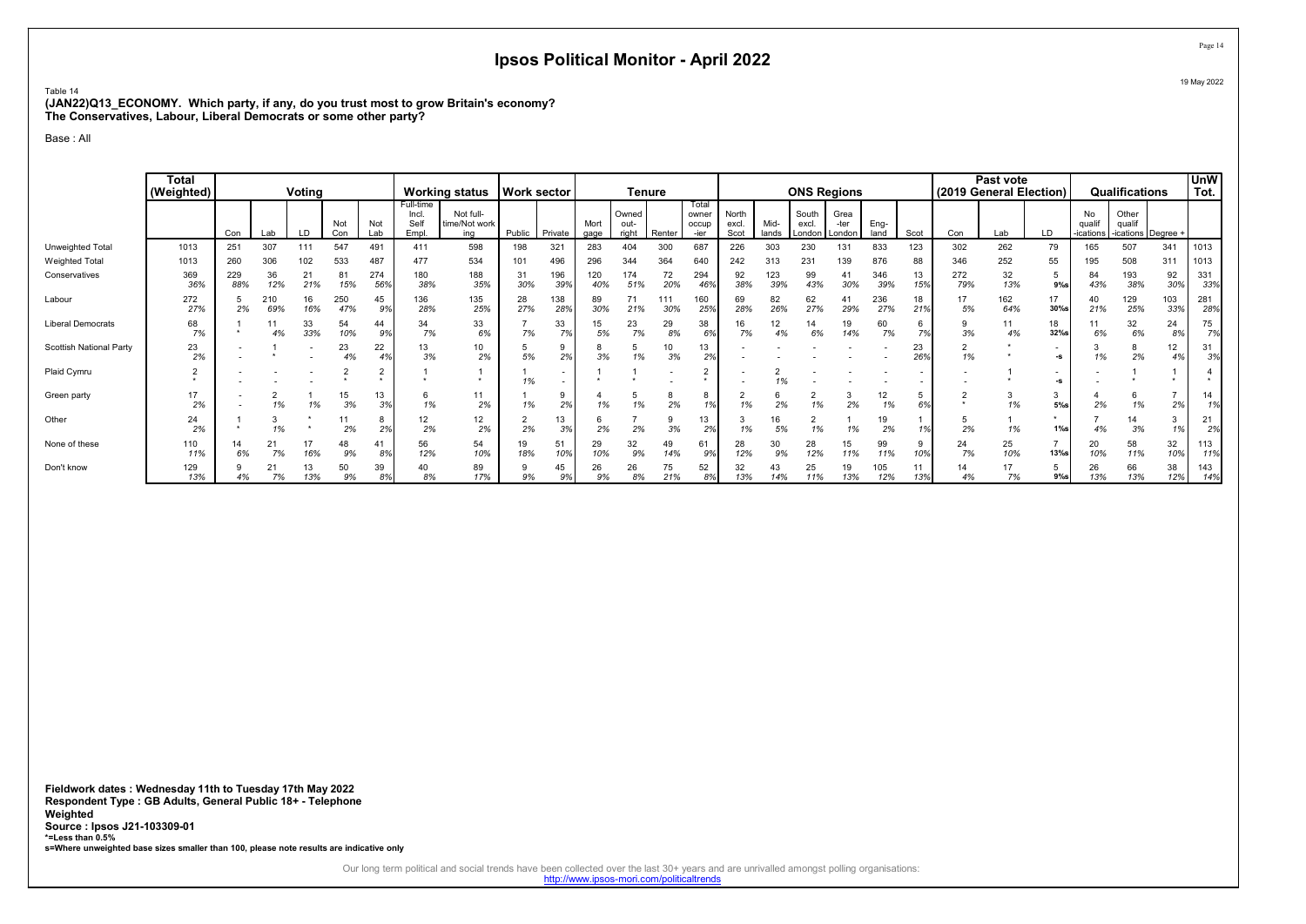Table 14 (JAN22)Q13\_ECONOMY. Which party, if any, do you trust most to grow Britain's economy? The Conservatives, Labour, Liberal Democrats or some other party?

Base : All

|                                | <b>Total</b><br>(Weighted) |            |                   | Voting    |            |            |                                   | <b>Working status</b>             | <b>Work sector</b> |            |              |                        | <b>Tenure</b> |                                 |                        |               | <b>ONS Regions</b>       |                          |              |           | (2019 General Election) | Past vote  |                                |                           | Qualifications                        |            | <b>UnW</b><br>Tot. |
|--------------------------------|----------------------------|------------|-------------------|-----------|------------|------------|-----------------------------------|-----------------------------------|--------------------|------------|--------------|------------------------|---------------|---------------------------------|------------------------|---------------|--------------------------|--------------------------|--------------|-----------|-------------------------|------------|--------------------------------|---------------------------|---------------------------------------|------------|--------------------|
|                                |                            | Con        | Lab               | LD        | Not<br>Con | Not<br>Lab | Full-time<br>Incl<br>Self<br>Empl | Not full-<br>time/Not work<br>ina | Public             | Private    | Mort<br>gage | Owned<br>out-<br>right | Renter        | Total<br>owner<br>occup<br>-ier | North<br>excl.<br>Scot | Mid-<br>lands | South<br>excl.<br>London | Grea<br>-ter<br>l London | Eng-<br>land | Scot      | Con                     | Lab        | LD                             | No<br>qualif<br>-ications | Other<br>qualif<br>-ications Degree + |            |                    |
| Unweighted Total               | 1013                       | 251        | 307               | 111       | 547        | 491        | 411                               | 598                               | 198                | 321        | 283          | 404                    | 300           | 687                             | 226                    | 303           | 230                      | 131                      | 833          | 123       | 302                     | 262        | 79                             | 165                       | 507                                   | 341        | 1013               |
| <b>Weighted Total</b>          | 1013                       | 260        | 306               | 102       | 533        | 487        | 477                               | 534                               | 101                | 496        | 296          | 344                    | 364           | 640                             | 242                    | 313           | 231                      | 139                      | 876          | 88        | 346                     | 252        | 55                             | 195                       | 508                                   | 311        | 1013               |
| Conservatives                  | 369<br>36%                 | 229<br>88% | 36<br>12%         | 21<br>21% | 81<br>15%  | 274<br>56% | 180<br>38%                        | 188<br>35%                        | 31<br>30%          | 196<br>39% | 120<br>40%   | 174<br>51%             | 72<br>20%     | 294<br>46%                      | 92<br>38%              | 123<br>39%    | 99<br>43%                | 41<br>30%                | 346<br>39%   | 13<br>15% | 272<br>79%              | 32<br>13%  | 5<br>$9%$ s                    | 84<br>43%                 | 193<br>38%                            | 92<br>30%  | 331<br>33%         |
| Labour                         | 272<br>27%                 |            | 210<br>69%        | 16<br>16% | 250<br>47% | 45<br>9%   | 136<br>28%                        | 135<br>25%                        | 28<br>27%          | 138<br>28% | 89<br>30%    | 21%                    | 30%           | 160<br>25%                      | 69<br>28%              | 82<br>26%     | 62<br>27%                | 41<br>29%                | 236<br>27%   | 18<br>21% | 17<br>5%                | 162<br>64% | 17<br>30%s                     | 40<br>21%                 | 129<br>25%                            | 103<br>33% | 281<br>28%         |
| <b>Liberal Democrats</b>       | 68<br>7%                   |            | 4%                | 33<br>33% | 54<br>10%  | 44<br>9%   | 34<br>7%                          | 33<br>6%                          | 7%                 | 33<br>7%   | 15<br>5%     | 23<br>7%               | 29<br>8%      | 38<br>6%                        | 16<br>7%               | 12<br>4%      | 14<br>6%                 | 19<br>14%                | 60<br>7%     | 6<br>7%   | 3%                      | 11<br>4%   | 18<br>$32%$ s                  | 6%                        | 32<br>6%                              | 24<br>8%   | 75<br>7%           |
| <b>Scottish National Party</b> | 23<br>2%                   |            |                   |           | 23<br>4%   | 22         | 13<br>3%                          | 10<br>2%                          | 5%                 | 9<br>2%    | 3%           | 1%                     | 10<br>3%      | 13<br>2%                        |                        |               |                          |                          |              | 23<br>26% | ∠<br>1%                 |            | -S                             | 1%                        | 8<br>2%                               | 12<br>4%   | 31<br>3%           |
| Plaid Cymru                    |                            |            |                   |           |            |            |                                   |                                   | 1%                 | $\sim$     |              |                        |               |                                 |                        | 1%            |                          |                          |              |           |                         |            | $\overline{\phantom{a}}$<br>-S |                           |                                       |            | $\bullet$          |
| Green party                    | 17<br>2%                   |            | 1%                | 1%        | 15<br>3%   | 13<br>3%   | b<br>1%                           | 11<br>2%                          | 1%                 | 9<br>2%    |              | 1%                     | 2%            | 10/                             | 1%                     | 6<br>2%       | 1%                       | 3<br>2%                  | 12<br>1%     | 5<br>6%   |                         | 1%         | 3<br>5%                        | 2%                        | 6<br>1%                               | 2%         | 14<br>1%           |
| Other                          | 24<br>2%                   |            | 3<br>1%           |           | 11<br>2%   | 8<br>2%    | 12<br>2%                          | 12<br>2%                          | 2%                 | 13<br>3%   | 2%           | 2%                     | 3%            | 13<br>2%                        | 3<br>1%                | 16<br>5%      | 1%                       | 1%                       | 19<br>2%     |           | b<br>2%                 | 1%         | $1\%$ s                        | 4%                        | 14<br>3%                              | 3<br>1%    | 21<br>2%           |
| None of these                  | 110<br>11%                 |            | 21<br>7%          | 16%       | 48<br>9%   | 41<br>8%   | 56<br>12%                         | 54<br>10%                         | 19<br>18%          | 51<br>10%  | 29<br>10%    | 32<br>9%               | 49<br>14%     | 61<br>9%                        | 28<br>12%              | 9%            | 28<br>12%                | 15<br>11%                | 99<br>11%    | 9<br>10%  | 24<br>7%                | 25<br>10%  | $\overline{7}$<br>$13%$ s      | 20<br>10%                 | 58<br>11%                             | 32<br>10%  | 113<br>11%         |
| Don't know                     | 129<br>13%                 |            | $2^{\cdot}$<br>7% | 13<br>13% | 50<br>9%   | 39<br>8%   | 40<br>8%                          | 89<br>17%                         | 9%                 | 45<br>9%   | 26<br>9%     | 26<br>8%               | 75<br>21%     | 52<br>8%                        | 32<br>13%              | 43<br>14%     | 25<br>11%                | 19<br>13%                | 105<br>12%   | 11<br>13% | 14<br>4%                | 17<br>7%   | $9%$ s                         | 26<br>13%                 | 66<br>13%                             | 38<br>12%  | 143<br>14%         |

Fieldwork dates : Wednesday 11th to Tuesday 17th May 2022 Respondent Type : GB Adults, General Public 18+ - Telephone Weighted Source : Ipsos J21-103309-01 \*=Less than 0.5% s=Where unweighted base sizes smaller than 100, please note results are indicative only

Our long term political and social trends have been collected over the last 30+ years and are unrivalled amongst polling organisations:<br>http://www.ipsos-mori.com/politicaltrends

Page 14 19 May 2022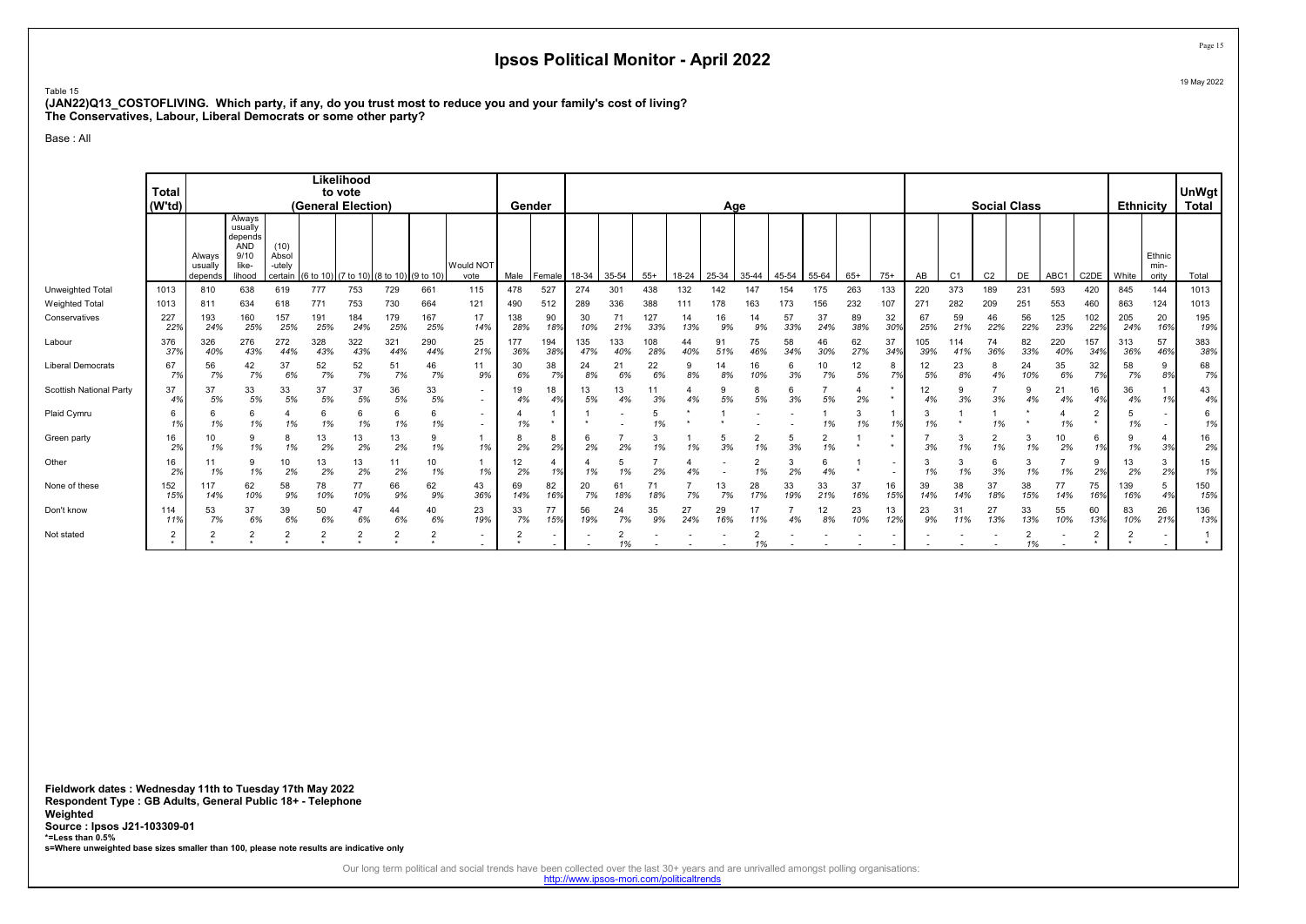Table 15 (JAN22)Q13\_COSTOFLIVING. Which party, if any, do you trust most to reduce you and your family's cost of living? The Conservatives, Labour, Liberal Democrats or some other party?

Base : All

|                                | <b>Total</b><br>(W'td) |                              |                                                                |                                    |            | Likelihood<br>to vote<br>(General Election) |            |                |                                            |            | Gender     |            |            |            |                 | Age       |                      |           |                      |           |                                |                       |                |                | <b>Social Class</b> |            |                   | Ethnicity  |                         | <b>UnWgt</b><br><b>Total</b> |
|--------------------------------|------------------------|------------------------------|----------------------------------------------------------------|------------------------------------|------------|---------------------------------------------|------------|----------------|--------------------------------------------|------------|------------|------------|------------|------------|-----------------|-----------|----------------------|-----------|----------------------|-----------|--------------------------------|-----------------------|----------------|----------------|---------------------|------------|-------------------|------------|-------------------------|------------------------------|
|                                |                        | Always<br>usually<br>depends | Always<br>usually<br>depends<br>AND<br>9/10<br>like-<br>lihood | (10)<br>Absol<br>-utely<br>certain |            | (6 to 10) (7 to 10) (8 to 10) (9 to 10)     |            |                | <b>Would NOT</b><br>vote                   | Male       | Female     | 18-34      | 35-54      | $55+$      | 18-24           | 25-34     | 35-44                | 45-54     | 55-64                | $65+$     | $75+$                          | AB                    | C <sub>1</sub> | C <sub>2</sub> | DE                  | ABC1       | C <sub>2</sub> DE | White      | Ethnic<br>min-<br>ority | Total                        |
| <b>Unweighted Total</b>        | 1013                   | 810                          | 638                                                            | 619                                | 777        | 753                                         | 729        | 661            | 115                                        | 478        | 527        | 274        | 301        | 438        | 132             | 142       | 147                  | 154       | 175                  | 263       | 133                            | 220                   | 373            | 189            | 231                 | 593        | 420               | 845        | 144                     | 1013                         |
| <b>Weighted Total</b>          | 1013                   | 811                          | 634                                                            | 618                                | 771        | 753                                         | 730        | 664            | 121                                        | 490        | 512        | 289        | 336        | 388        | 11 <sup>1</sup> | 178       | 163                  | 173       | 156                  | 232       | 107                            | 271                   | 282            | 209            | 251                 | 553        | 460               | 863        | 124                     | 1013                         |
| Conservatives                  | 227<br>22%             | 193<br>24%                   | 160<br>25%                                                     | 157<br>25%                         | 191<br>25% | 184<br>24%                                  | 179<br>25% | 167<br>25%     | 17<br>14%                                  | 138<br>28% | 90<br>18%  | 30<br>10%  | 71<br>21%  | 127<br>33% | 14<br>13%       | 16<br>9%  | 14<br>9%             | 57<br>33% | 37<br>24%            | 89<br>38% | 32<br>30%                      | 67<br>25%             | 59<br>21%      | 46<br>22%      | 56<br>22%           | 125<br>23% | 102<br>22%        | 205<br>24% | 20<br>16%               | 195<br>19%                   |
| Labour                         | 376<br>37%             | 326<br>40%                   | 276<br>43%                                                     | 272<br>44%                         | 328<br>43% | 322<br>43%                                  | 321<br>44% | 290<br>44%     | 25<br>21%                                  | 177<br>36% | 194<br>38% | 135<br>47% | 133<br>40% | 108<br>28% | 44<br>40%       | 91<br>51% | 75<br>46%            | 58<br>34% | 46<br>30%            | 62<br>27% | 37<br>34%                      | 105<br>39%            | 114<br>41%     | 74<br>36%      | 82<br>33%           | 220<br>40% | 157<br>34%        | 313<br>36% | 57<br>46%               | 383<br>38%                   |
| Liberal Democrats              | 67<br>7%               | 56<br>7%                     | 42<br>7%                                                       | 37<br>6%                           | 52<br>7%   | 52<br>7%                                    | 51<br>7%   | 46<br>7%       | 11<br>9%                                   | 30<br>6%   | 38<br>7%   | 24<br>8%   | 21<br>6%   | 22<br>6%   | 8%              | 14<br>8%  | 16<br>10%            | 6<br>3%   | 10<br>7%             | 12<br>5%  | 8<br>7%                        | 12<br>5%              | 23<br>8%       | 8<br>4%        | 24<br>10%           | 35<br>6%   | 32<br>7%          | 58<br>7%   | 9<br>8%                 | 68<br>7%                     |
| <b>Scottish National Party</b> | 37<br>4%               | 37<br>5%                     | 33<br>5%                                                       | 33<br>5%                           | 37<br>5%   | 37<br>5%                                    | 36<br>5%   | 33<br>5%       | $\overline{\phantom{a}}$<br>$\blacksquare$ | 19<br>4%   | 18         | 13<br>5%   | 13<br>4%   | 11<br>3%   |                 | 9<br>5%   | 8<br>5%              | 6<br>3%   | 5%                   | 2%        |                                | 12 <sup>2</sup><br>4% | 9<br>3%        | 3%             | 9<br>4%             | 21<br>4%   | 16<br>4%          | 36<br>4%   | 1%                      | 43<br>4%                     |
| Plaid Cymru                    | 6<br>1%                | 6<br>1%                      | 6<br>1%                                                        | 1%                                 | 1%         | 6<br>1%                                     | 1%         | 6<br>1%        | $\overline{\phantom{a}}$<br>$\sim$         | 1%         |            |            |            | 5<br>1%    |                 |           |                      |           | 1%                   | 1%        | 1%                             | 1%                    |                | 1%             |                     | 1%         | 2<br>$\ddot{ }$   | 5<br>1%    |                         | 6<br>1%                      |
| Green party                    | 16<br>2%               | 10<br>1%                     | 9<br>1%                                                        | 8<br>1%                            | 13<br>2%   | 13<br>2%                                    | 13<br>2%   | 9<br>1%        | 1%                                         | 2%         | 8<br>2%    | 6<br>2%    | 2%         | 1%         | 1%              | 3%        | $\overline{2}$<br>1% | 5<br>3%   | $\overline{2}$<br>1% |           |                                | 3%                    | 1%             | 2<br>1%        | 3<br>1%             | 2%         | 6<br>1%           | 1%         | 3%                      | 16<br>2%                     |
| Other                          | 16<br>2%               | 11<br>1%                     | 9<br>1%                                                        | 10<br>2%                           | 13<br>2%   | 13<br>2%                                    | 11<br>2%   | 10<br>1%       | 1%                                         | 12<br>2%   | 1%         | 1%         | 1%         | 2%         |                 |           | $\overline{2}$<br>1% | 3<br>2%   | 6<br>4%              |           | $\overline{\phantom{a}}$       |                       | 1%             | 6<br>3%        | 3<br>1%             | 1%         | 9<br>2%           | 13<br>2%   | 3<br>2%                 | 15<br>1%                     |
| None of these                  | 152<br>15%             | 117<br>14%                   | 62<br>10%                                                      | 58<br>9%                           | 78<br>10%  | 77<br>10%                                   | 66<br>9%   | 62<br>9%       | 43<br>36%                                  | 69<br>14%  | 82<br>16%  | 20<br>7%   | 61<br>18%  | 71<br>18%  | 7%              | 13<br>7%  | 28<br>17%            | 33<br>19% | 33<br>21%            | 37<br>16% | 16<br>15%                      | 39<br>14%             | 38<br>14%      | 37<br>18%      | 38<br>15%           | 77<br>14%  | 75<br>16%         | 139<br>16% | 5<br>4%                 | 150<br>15%                   |
| Don't know                     | 114<br>11%             | 53<br>7%                     | 37<br>6%                                                       | 39<br>6%                           | 50<br>6%   | 47<br>6%                                    | 44<br>6%   | 40<br>6%       | 23<br>19%                                  | 33<br>7%   | 77<br>15%  | 56<br>19%  | 24<br>7%   | 35<br>9%   | 27<br>24%       | 29<br>16% | 17<br>11%            | 4%        | 12<br>8%             | 23<br>10% | 13<br>12%                      | 23<br>9%              | 31<br>11%      | 27<br>13%      | 33<br>13%           | 55<br>10%  | 60<br>13%         | 83<br>10%  | 26<br>21%               | 136<br>13%                   |
| Not stated                     | 2<br>٠                 |                              | $\sim$<br>∠                                                    |                                    |            | 2                                           |            | $\overline{2}$ | $\overline{\phantom{a}}$                   |            |            |            | 1%         |            |                 |           | 1%                   |           |                      |           | $\overline{\phantom{a}}$<br>۰. |                       |                |                | ∠<br>1%             |            | ∠                 |            |                         |                              |

Fieldwork dates : Wednesday 11th to Tuesday 17th May 2022 Respondent Type : GB Adults, General Public 18+ - Telephone Weighted Source : Ipsos J21-103309-01 \*=Less than 0.5% s=Where unweighted base sizes smaller than 100, please note results are indicative only

Our long term political and social trends have been collected over the last 30+ years and are unrivalled amongst polling organisations:<br>http://www.ipsos-mori.com/politicaltrends

Page 15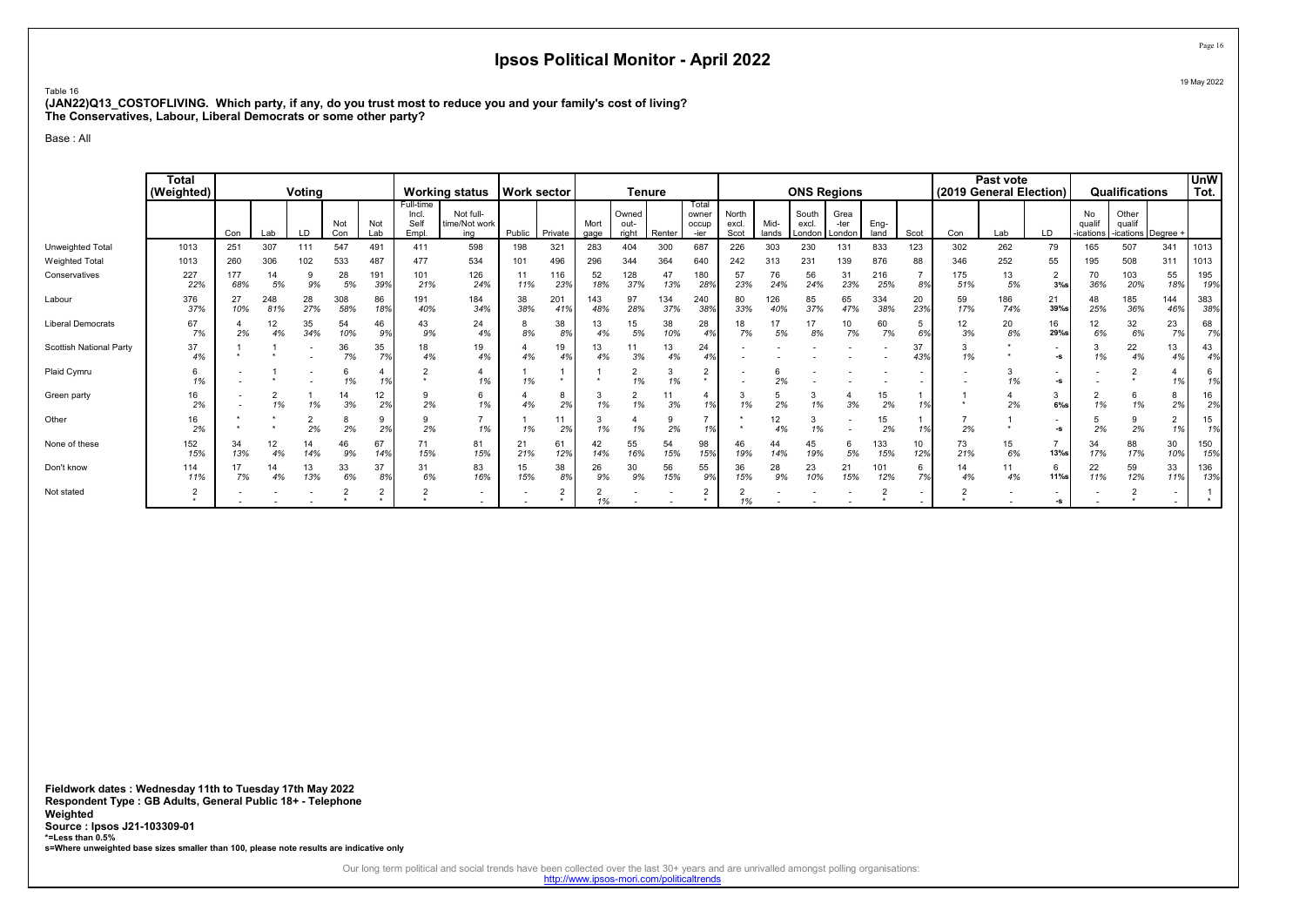Table 16 (JAN22)Q13\_COSTOFLIVING. Which party, if any, do you trust most to reduce you and your family's cost of living? The Conservatives, Labour, Liberal Democrats or some other party?

Base : All

|                          | <b>Total</b><br>(Weighted) |            |            | Voting    |            |            |                                     | <b>Working status</b>             | <b>Work sector</b> |                      |              |                        | <b>Tenure</b> |                                 |                        |               | <b>ONS Regions</b>       |                        |              |           |            | Past vote<br>(2019 General Election) |                                |                           | Qualifications                     |                          | <b>UnW</b><br>Tot. |
|--------------------------|----------------------------|------------|------------|-----------|------------|------------|-------------------------------------|-----------------------------------|--------------------|----------------------|--------------|------------------------|---------------|---------------------------------|------------------------|---------------|--------------------------|------------------------|--------------|-----------|------------|--------------------------------------|--------------------------------|---------------------------|------------------------------------|--------------------------|--------------------|
|                          |                            | Con        | Lab        | LD        | Not<br>Con | Not<br>Lab | Full-time<br>Incl.<br>Self<br>Empl. | Not full-<br>time/Not work<br>ina | Public             | Private              | Mort<br>gage | Owned<br>out-<br>right | Renter        | Total<br>owner<br>occup<br>-ier | North<br>excl.<br>Scot | Mid-<br>lands | South<br>excl.<br>London | Grea<br>-ter<br>London | Eng-<br>land | Scot      | Con        | Lab                                  | LD                             | No<br>qualif<br>-ications | Other<br>quali<br>-ications Degree |                          |                    |
| Unweighted Total         | 1013                       | 251        | 307        | 111       | 547        | 491        | 411                                 | 598                               | 198                | 321                  | 283          | 404                    | 300           | 687                             | 226                    | 303           | 230                      | 131                    | 833          | 123       | 302        | 262                                  | 79                             | 165                       | 507                                | 341                      | 1013               |
| <b>Weighted Total</b>    | 1013                       | 260        | 306        | 102       | 533        | 487        | 477                                 | 534                               | 101                | 496                  | 296          | 344                    | 364           | 640                             | 242                    | 313           | 231                      | 139                    | 876          | 88        | 346        | 252                                  | 55                             | 195                       | 508                                | 311                      | 1013               |
| Conservatives            | 227<br>22%                 | 177<br>68% | 5%         | 9%        | 28<br>5%   | 191<br>39% | 101<br>21%                          | 126<br>24%                        | 11<br>11%          | 116<br>239           | 52<br>18%    | 128<br>37%             | 47<br>13%     | 180<br>28%                      | 57<br>23%              | 76<br>24%     | 56<br>24%                | 31<br>23%              | 216<br>25%   | 8%        | 175<br>51% | 13<br>5%                             | $\overline{2}$<br>3%s          | 70<br>36%                 | 103<br>20%                         | 55<br>18%                | 195<br>19%         |
| Labour                   | 376<br>37%                 | 27<br>10%  | 248<br>81% | 28<br>27% | 308<br>58% | 86<br>189  | 191<br>40%                          | 184<br>34%                        | 38<br>38%          | 201<br>419           | 143<br>48%   | 97<br>28%              | 134<br>37%    | 240<br>38%                      | 80<br>33%              | 126<br>40%    | 85<br>37%                | 65<br>47%              | 334<br>38%   | 20<br>23% | 59<br>17%  | 186<br>74%                           | 21<br>39%s                     | 48<br>25%                 | 185<br>36%                         | 144<br>46%               | 383<br>38%         |
| <b>Liberal Democrats</b> | 67<br>7%                   | 2%         | 12<br>4%   | 35<br>34% | 54<br>10%  | 46<br>9%   | 43<br>9%                            | 24<br>4%                          | 8<br>8%            | 38<br>8%             | 13<br>4%     | 15<br>5%               | 38<br>10%     | 28<br>4%                        | 18<br>7%               | 17<br>5%      | 8%                       | 10<br>7%               | 60<br>7%     | 5<br>6%   | 12<br>3%   | 20<br>8%                             | 16<br>29%s                     | 12<br>6%                  | 32<br>6%                           | 23<br>7%                 | 68<br>7%           |
| Scottish National Party  | 37<br>4%                   |            |            |           | 36<br>7%   | 35<br>7%   | 18<br>4%                            | 19<br>4%                          | 4%                 | 19<br>4%             | 13<br>4%     | 3%                     | 13<br>4%      | 24                              |                        |               |                          |                        |              | 37<br>43% | 1%         |                                      | $\blacksquare$<br>-s           | 1%                        | 22<br>4%                           | 13<br>4%                 | 43<br>4%           |
| Plaid Cymru              | 1%                         |            |            |           | 1%         | 1%         | $\sim$                              | 1%                                | 1%                 |                      |              | $\Omega$<br>∠<br>1%    | 1%            |                                 |                        | 2%            |                          |                        |              |           |            | 1%                                   | -S                             |                           |                                    | 1%                       | 6<br>1%            |
| Green party              | 16<br>2%                   |            | 1%         | 1%        | 14<br>3%   | 12<br>2%   | 9<br>2%                             | 6<br>1%                           | 4%                 | 8<br>2%              | 1%           | 1%                     | 3%            | 10/                             | 1%                     | 2%            | 1%                       | 3%                     | 15<br>2%     | 1%        |            | 2%                                   | 3<br>$6\%$ s                   | 1%                        | 6<br>1%                            | 8<br>2%                  | 16<br>2%           |
| Other                    | 16<br>2%                   |            |            | 2%        | 2%         | 9<br>2%    | 9<br>2%                             | 1%                                | 1%                 | 11<br>2 <sup>9</sup> | 1%           | 1%                     | 2%            |                                 |                        | 12<br>4%      | 1%                       |                        | 15<br>2%     |           | 2%         |                                      | $\overline{\phantom{a}}$<br>-S | 2%                        | 9<br>2%                            | $\overline{2}$<br>1%     | 15<br>1%           |
| None of these            | 152<br>15%                 | 34<br>13%  | 12<br>4%   | 14<br>14% | 46<br>9%   | 67<br>14%  | 71<br>15%                           | 81<br>15%                         | 21<br>21%          | 61<br>12%            | 42<br>14%    | 55<br>16%              | 54<br>15%     | 98<br>15%                       | 46<br>19%              | 44<br>14%     | 45<br>19%                | 6<br>5%                | 133<br>15%   | 10<br>12% | 73<br>21%  | 15<br>6%                             | $\overline{7}$<br>$13%$ s      | 34<br>17%                 | 88<br>17%                          | 30<br>10%                | 150<br>15%         |
| Don't know               | 114<br>11%                 | 17<br>7%   | 14<br>4%   | 13<br>13% | 33<br>6%   | 37<br>8%   | 31<br>6%                            | 83<br>16%                         | 15<br>15%          | 38<br>8%             | 26<br>9%     | 30<br>9%               | 56<br>15%     | 55<br>9%                        | 36<br>15%              | 28<br>9%      | 23<br>10%                | 21<br>15%              | 101<br>12%   | 6<br>7%   | 14<br>4%   | 11<br>4%                             | 6<br>$11\%$ s                  | 22<br>11%                 | 59<br>12%                          | 33<br>11%                | 136<br>13%         |
| Not stated               | $\overline{2}$             |            |            |           |            | ∠          | $\sim$                              | $\overline{\phantom{a}}$          |                    | 2                    |              |                        |               |                                 |                        |               |                          |                        |              |           |            |                                      | -S                             |                           |                                    | $\overline{\phantom{a}}$ |                    |

Fieldwork dates : Wednesday 11th to Tuesday 17th May 2022 Respondent Type : GB Adults, General Public 18+ - Telephone Weighted Source : Ipsos J21-103309-01 \*=Less than 0.5% s=Where unweighted base sizes smaller than 100, please note results are indicative only

Our long term political and social trends have been collected over the last 30+ years and are unrivalled amongst polling organisations:<br>http://www.ipsos-mori.com/politicaltrends

Page 16 19 May 2022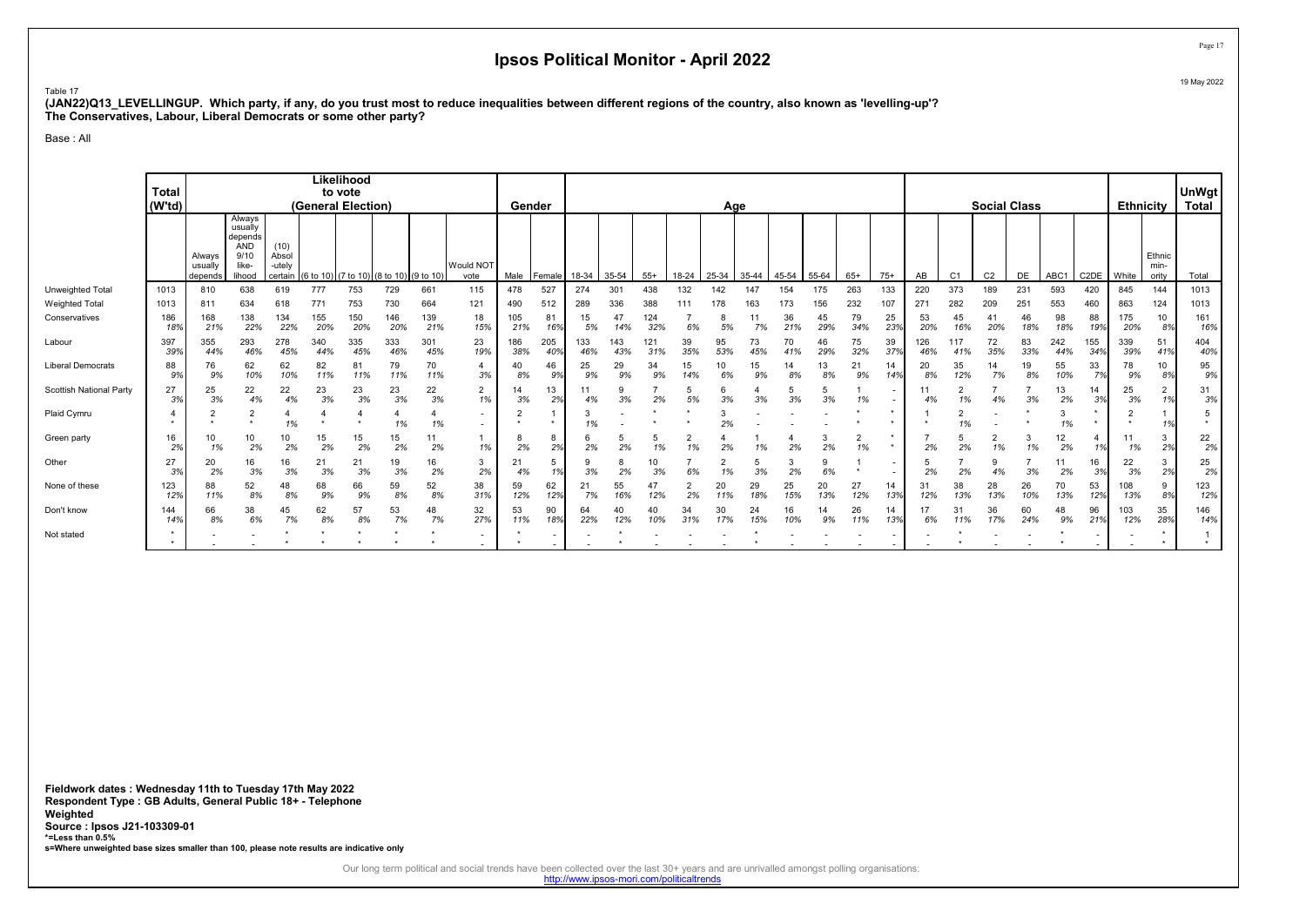Table 17

(JAN22)Q13\_LEVELLINGUP. Which party, if any, do you trust most to reduce inequalities between different regions of the country, also known as 'levelling-up'? The Conservatives, Labour, Liberal Democrats or some other party?

Base : All

|                         | <b>Total</b><br>(W'td) |                              |                                                                       |                                    |            | Likelihood<br>to vote<br>(General Election) |            |            |                          |            | Gender     |            |            |            |           | Age       |           |           |           |           |                                                      |                 |                      | <b>Social Class</b> |           |            |            | <b>Ethnicity</b> |                         | <b>UnWgt</b><br><b>Total</b> |
|-------------------------|------------------------|------------------------------|-----------------------------------------------------------------------|------------------------------------|------------|---------------------------------------------|------------|------------|--------------------------|------------|------------|------------|------------|------------|-----------|-----------|-----------|-----------|-----------|-----------|------------------------------------------------------|-----------------|----------------------|---------------------|-----------|------------|------------|------------------|-------------------------|------------------------------|
|                         |                        | Always<br>usually<br>depends | Always<br>usually<br>depends<br><b>AND</b><br>9/10<br>like-<br>lihood | (10)<br>Absol<br>-utely<br>certain | (6 to 10)  | (7 to 10) (8 to 10) (9 to 10                |            |            | Would NOT<br>vote        | Male       | Female I   | 18-34      | 35-54      | $55+$      | 18-24     | 25-34     | 35-44     | 45-54     | 55-64     | $65+$     | $75+$                                                | AB              | C <sub>1</sub>       | C <sub>2</sub>      | DE        | ABC1       | C2DE       | <b>White</b>     | Ethnic<br>min-<br>ority | Total                        |
| Unweighted Total        | 1013                   | 810                          | 638                                                                   | 619                                | 777        | 753                                         | 729        | 661        | 115                      | 478        | 527        | 274        | 301        | 438        | 132       | 142       | 147       | 154       | 175       | 263       | 133                                                  | 220             | 373                  | 189                 | 231       | 593        | 420        | 845              | 144                     | 1013                         |
| <b>Weighted Total</b>   | 1013                   | 811                          | 634                                                                   | 618                                | 771        | 753                                         | 730        | 664        | 121                      | 490        | 512        | 289        | 336        | 388        | 111       | 178       | 163       | 173       | 156       | 232       | 107                                                  | 27 <sup>′</sup> | 282                  | 209                 | 251       | 553        | 460        | 863              | 124                     | 1013                         |
| Conservatives           | 186<br>18%             | 168<br>21%                   | 138<br>22%                                                            | 134<br>22%                         | 155<br>20% | 150<br>20%                                  | 146<br>20% | 139<br>21% | 18<br>15%                | 105<br>21% | 81<br>16%  | 15<br>5%   | 47<br>14%  | 124<br>32% | 6%        | 5%        | 11<br>7%  | 36<br>21% | 45<br>29% | 79<br>34% | 25<br>23%                                            | 53<br>20%       | 45<br>16%            | 41<br>20%           | 46<br>18% | 98<br>18%  | 88<br>19%  | 175<br>20%       | 10<br>8%                | 161<br>16%                   |
| Labour                  | 397<br>39%             | 355<br>44%                   | 293<br>46%                                                            | 278<br>45%                         | 340<br>44% | 335<br>45%                                  | 333<br>46% | 301<br>45% | 23<br>19%                | 186<br>38% | 205<br>40% | 133<br>46% | 143<br>43% | 121<br>31% | 39<br>35% | 95<br>53% | 73<br>45% | 70<br>41% | 46<br>29% | 75<br>32% | 39<br>37%                                            | 126<br>46%      | 117<br>41%           | 72<br>35%           | 83<br>33% | 242<br>44% | 155<br>34% | 339<br>39%       | 51<br>41%               | 404<br>40%                   |
| Liberal Democrats       | 88<br>9%               | 76<br>9%                     | 62<br>10%                                                             | 62<br>10%                          | 82<br>11%  | 81<br>11%                                   | 79<br>11%  | 70<br>11%  | 4<br>3%                  | 40<br>8%   | 46<br>9%   | 25<br>9%   | 29<br>9%   | 34<br>9%   | 15        | 10<br>6%  | 15<br>9%  | 14<br>8%  | 13<br>8%  | 21<br>9%  | 14<br>14%                                            | 20<br>8%        | 35<br>12%            | 14<br>7%            | 19<br>8%  | 55<br>10%  | 33<br>7%   | 78<br>9%         | 10<br>8%                | 95<br>9%                     |
| Scottish National Party | 27<br>3%               | 25<br>3%                     | 22<br>4%                                                              | 22<br>4%                           | 23<br>3%   | 23<br>3%                                    | 23<br>3%   | 22<br>3%   | 2<br>1%                  | 14<br>3%   | 13<br>2%   | 11<br>4%   | 3%         | 2%         | 5<br>5%   | 3%        | 3%        | 5<br>3%   | 3%        | 1%        | $\blacksquare$                                       | 11<br>4%        | $\overline{2}$<br>1% | 4%                  | 3%        | 13<br>2%   | 14<br>3%   | 25<br>3%         | $\overline{2}$          | 31<br>3%                     |
| Plaid Cymru             |                        |                              | 2<br>$\bullet$                                                        | 1%                                 |            |                                             | 1%         | 1%         | $\sim$<br>$\sim$         |            |            | 3<br>1%    |            |            |           | 2%        |           |           |           |           |                                                      |                 | 2<br>1%              |                     |           | 1%         |            |                  | 1%                      | $\star$                      |
| Green party             | 16<br>2%               | 10<br>1%                     | 10<br>2%                                                              | 10<br>2%                           | 15<br>2%   | 15<br>2%                                    | 15<br>2%   | 11<br>2%   | 1%                       | 2%         | 8<br>2%    | 6<br>2%    | 2%         | 1%         | 2<br>1%   | 2%        | 1%        | 2%        | 2%        | 1%        | $\star$                                              | 2%              | 5<br>2%              | 2<br>1%             | 1%        | 12<br>2%   | 1%         | 11<br>1%         | 3<br>2%                 | $\frac{22}{2\%}$             |
| Other                   | 27<br>3%               | 20<br>2%                     | 16<br>3%                                                              | 16<br>3%                           | 21<br>3%   | 21<br>3%                                    | 19<br>3%   | 16<br>2%   | 3<br>2%                  | 21<br>4%   | 5<br>1%    | 3%         | 2%         | 10<br>3%   | 6%        |           | 3%        | 3<br>2%   | 6%        |           |                                                      | 2%              | 2%                   | 9<br>4%             | 3%        | 11<br>2%   | 16<br>3%   | 22<br>3%         | 3<br>2%                 | 25<br>2%                     |
| None of these           | 123<br>12%             | 88<br>11%                    | 52<br>8%                                                              | 48<br>8%                           | 68<br>9%   | 66<br>9%                                    | 59<br>8%   | 52<br>8%   | 38<br>31%                | 59<br>12%  | 62<br>12%  | 21<br>7%   | 55<br>16%  | 47<br>12%  | 2<br>2%   | 20<br>11% | 29<br>18% | 25<br>15% | 20<br>13% | 27<br>12% | 14<br>13%                                            | 31<br>12%       | 38<br>13%            | 28<br>13%           | 26<br>10% | 70<br>13%  | 53<br>12%  | 108<br>13%       | 9<br>8%                 | 123<br>12%                   |
| Don't know              | 144<br>14%             | 66<br>8%                     | 38<br>6%                                                              | 45<br>7%                           | 62<br>8%   | 57<br>8%                                    | 53<br>7%   | 48<br>7%   | 32<br>27%                | 53<br>11%  | 90<br>18%  | 64<br>22%  | 40<br>12%  | 40<br>10%  | 34<br>31% | 30<br>17% | 24<br>15% | 16<br>10% | 14<br>9%  | 26<br>11% | 14<br>13%                                            | 6%              | 31<br>11%            | 36<br>17%           | 60<br>24% | 48<br>9%   | 96<br>21%  | 103<br>12%       | 35<br>28%               | 146<br>14%                   |
| Not stated              |                        |                              |                                                                       |                                    |            |                                             |            |            | $\overline{\phantom{0}}$ |            |            |            |            |            |           |           |           |           |           |           | $\overline{\phantom{a}}$<br>$\overline{\phantom{a}}$ |                 |                      |                     |           |            |            |                  |                         |                              |

Fieldwork dates : Wednesday 11th to Tuesday 17th May 2022 Respondent Type : GB Adults, General Public 18+ - Telephone Weighted Source : Ipsos J21-103309-01 \*=Less than 0.5% s=Where unweighted base sizes smaller than 100, please note results are indicative only

Our long term political and social trends have been collected over the last 30+ years and are unrivalled amongst polling organisations:<br>http://www.ipsos-mori.com/politicaltrends

Page 17 19 May 2022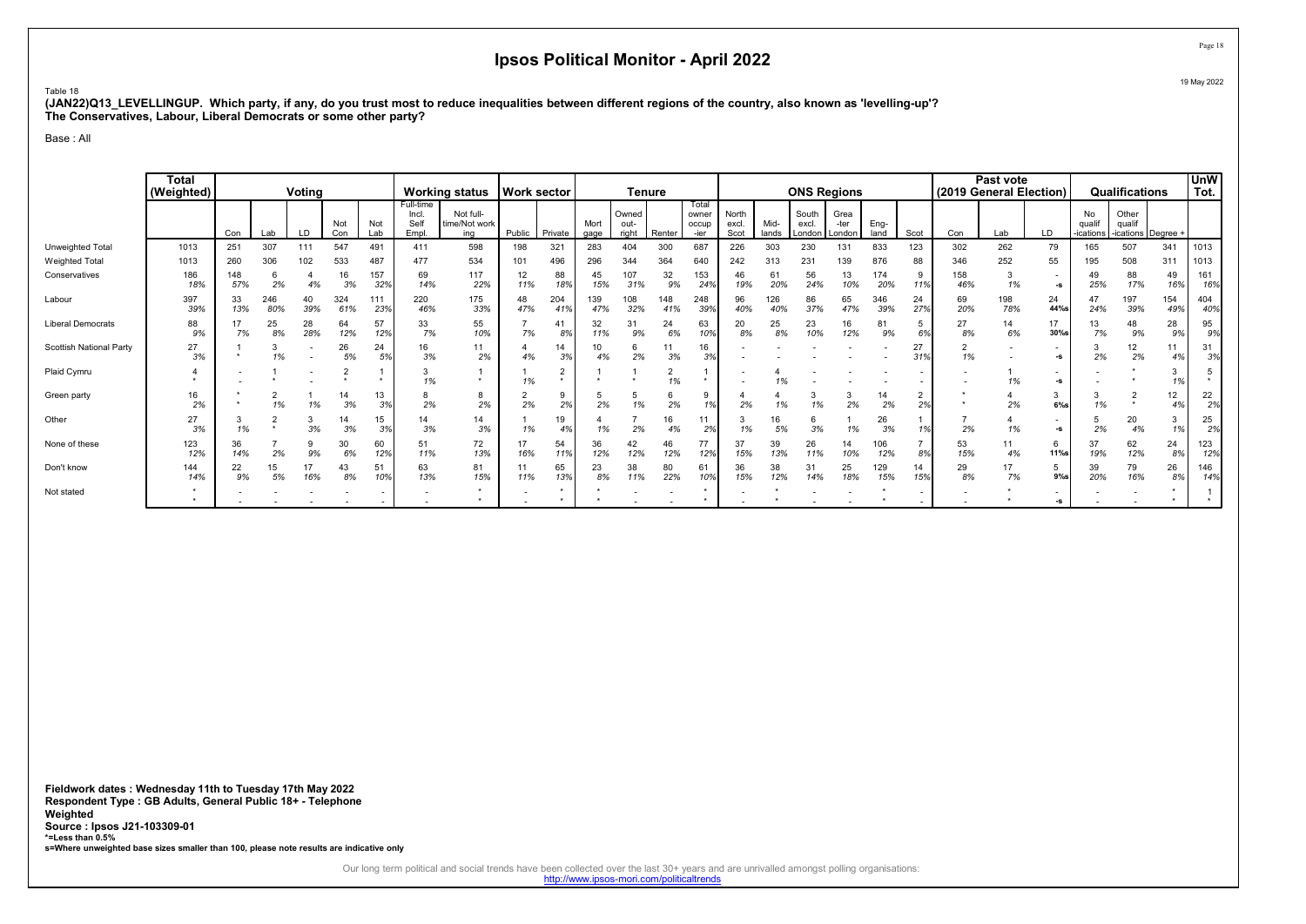Table 18

(JAN22)Q13\_LEVELLINGUP. Which party, if any, do you trust most to reduce inequalities between different regions of the country, also known as 'levelling-up'? The Conservatives, Labour, Liberal Democrats or some other party?

Base : All

|                          | Total<br>(Weighted) |            |            | Voting    |            |            |                                    | Working status   Work sector      |           |            |              |                        | <b>Tenure</b> |                                |                        |               |                          | <b>ONS Regions</b>     |              |                      |                      | Past vote<br>(2019 General Election) |                      |                                  | Qualifications                        |            | <b>UnW</b><br>Tot. |
|--------------------------|---------------------|------------|------------|-----------|------------|------------|------------------------------------|-----------------------------------|-----------|------------|--------------|------------------------|---------------|--------------------------------|------------------------|---------------|--------------------------|------------------------|--------------|----------------------|----------------------|--------------------------------------|----------------------|----------------------------------|---------------------------------------|------------|--------------------|
|                          |                     | Con        | Lab        | LD        | Not<br>Con | Not<br>Lab | Full-time<br>Incl.<br>Self<br>Empl | Not full-<br>time/Not work<br>ina | Public    | Private    | Mort<br>gage | Owned<br>out-<br>right | Renter        | Total<br>owne<br>occup<br>-ier | North<br>excl.<br>Scot | Mid-<br>lands | South<br>excl.<br>London | Grea<br>-ter<br>London | Eng-<br>land | Scot                 | Con                  | Lab                                  | LD                   | <b>No</b><br>qualif<br>-ications | Other<br>qualif<br>-ications Degree + |            |                    |
| Unweighted Total         | 1013                | 251        | 307        | 111       | 547        | 491        | 411                                | 598                               | 198       | 321        | 283          | 404                    | 300           | 687                            | 226                    | 303           | 230                      | 131                    | 833          | 123                  | 302                  | 262                                  | 79                   | 165                              | 507                                   | 341        | 1013               |
| <b>Weighted Total</b>    | 1013                | 260        | 306        | 102       | 533        | 487        | 477                                | 534                               | 101       | 496        | 296          | 344                    | 364           | 640                            | 242                    | 313           | 231                      | 139                    | 876          | 88                   | 346                  | 252                                  | 55                   | 195                              | 508                                   | 311        | 1013               |
| Conservatives            | 186<br>18%          | 148<br>57% | 2%         | 4%        | 16<br>3%   | 157<br>32% | 69<br>14%                          | 117<br>22%                        | 12<br>11% | 88<br>18%  | 45<br>15%    | 107<br>31%             | 32<br>9%      | 153<br>24%                     | 46<br>19%              | 61<br>20%     | 56<br>24%                | 13<br>10%              | 174<br>20%   | 119                  | 158<br>46%           | 1%                                   | $\blacksquare$<br>-S | 49<br>25%                        | 88<br>17%                             | 49<br>16%  | 161<br>16%         |
| Labour                   | 397<br>39%          | 33<br>13%  | 246<br>80% | 40<br>39% | 324<br>61% | 111<br>23% | 220<br>46%                         | 175<br>33%                        | 48<br>47% | 204<br>41% | 139<br>47%   | 108<br>32%             | 148<br>41%    | 248<br>39%                     | 96<br>40%              | 126<br>40%    | 86<br>37%                | 65<br>47%              | 346<br>39%   | 24<br>27%            | 69<br>20%            | 198<br>78%                           | 24<br>44%s           | 24%                              | 197<br>39%                            | 154<br>49% | 404<br>40%         |
| <b>Liberal Democrats</b> | 88<br>9%            | 7%         | 25<br>8%   | 28<br>28% | 64<br>12%  | 57<br>12%  | 33<br>7%                           | 55<br>10%                         | 7%        | 41<br>8%   | 32<br>11%    | 31<br>9%               | 24<br>6%      | 63<br>10%                      | 20<br>8%               | 25<br>8%      | 23<br>10%                | 16<br>12%              | 81<br>9%     | 5<br>6%              | 27<br>8%             | 14<br>6%                             | 17<br>$30\%$ s       | 13<br>7%                         | 48<br>9%                              | 28<br>9%   | 95<br>9%           |
| Scottish National Party  | 27<br>3%            |            | 3<br>1%    |           | 26<br>5%   | 24<br>5%   | 16<br>3%                           | 11<br>2%                          | 4%        | 14<br>3%   | 10<br>4%     | 2%                     | 3%            | 16<br>3%                       |                        |               |                          |                        |              | 27<br>31%            | $\overline{2}$<br>1% |                                      | -s                   | 2%                               | 12<br>2%                              | 4%         | 31<br>3%           |
| Plaid Cymru              |                     |            |            |           |            |            | 1%                                 |                                   | 1%        | 2          |              |                        | 1%            |                                |                        |               |                          |                        |              |                      |                      | 1%                                   | -S                   |                                  |                                       | 1%         | 5<br>$\star$       |
| Green party              | 16<br>2%            |            | 1%         | 1%        | 14<br>3%   | 13<br>3%   | 2%                                 | 2%                                | 2%        | 2%         | 2%           | 1%                     | 2%            | 9<br>1%                        | 2%                     | 1%            | 1%                       | 3<br>2%                | 14<br>2%     | $\overline{2}$<br>2% |                      | 2%                                   | 3<br>$6\%$ s         | 1%                               | $\sim$                                | 12<br>4%   | 22<br>2%           |
| Other                    | 27<br>3%            | -3<br>1%   |            | 3<br>3%   | 14<br>3%   | 15<br>3%   | 14<br>3%                           | 14<br>3%                          | 1%        | 19<br>4%   | 1%           | 2%                     | 16<br>4%      | 11<br>2%                       | 1%                     | 16<br>5%      | 6<br>3%                  | 1%                     | 26<br>3%     |                      | 2%                   | 1%                                   | ٠<br>-S              | 2%                               | 20<br>4%                              | 1%         | 25<br>2%           |
| None of these            | 123<br>12%          | 36<br>14%  | 2%         | 9<br>9%   | 30<br>6%   | 60<br>12%  | 51<br>11%                          | 72<br>13%                         | 17<br>16% | 54<br>11%  | 36<br>12%    | 42<br>12%              | 46<br>12%     | 77<br>12%                      | 37<br>15%              | 39<br>13%     | 26<br>11%                | 14<br>10%              | 106<br>12%   | 8%                   | 53<br>15%            | 11<br>4%                             | 6<br>11%s            | 37<br>19%                        | 62<br>12%                             | 24<br>8%   | 123<br>12%         |
| Don't know               | 144<br>14%          | 22<br>9%   | 15<br>5%   | 17<br>16% | 43<br>8%   | 51<br>10%  | 63<br>13%                          | 81<br>15%                         | 11<br>11% | 65<br>13%  | 23<br>8%     | 38<br>11%              | 80<br>22%     | 61<br>10%                      | 36<br>15%              | 38<br>12%     | 31<br>14%                | 25<br>18%              | 129<br>15%   | 14<br>15%            | 29<br>8%             | 17<br>7%                             | 5<br>$9%$ s          | 39<br>20%                        | 79<br>16%                             | 26<br>8%   | 146<br>14%         |
| Not stated               |                     |            |            |           |            |            |                                    |                                   |           |            |              |                        |               |                                |                        |               |                          |                        |              |                      |                      |                                      | -5                   |                                  |                                       |            |                    |

Fieldwork dates : Wednesday 11th to Tuesday 17th May 2022 Respondent Type : GB Adults, General Public 18+ - Telephone Weighted Source : Ipsos J21-103309-01 \*=Less than 0.5% s=Where unweighted base sizes smaller than 100, please note results are indicative only

Our long term political and social trends have been collected over the last 30+ years and are unrivalled amongst polling organisations:<br>http://www.ipsos-mori.com/politicaltrends

Page 18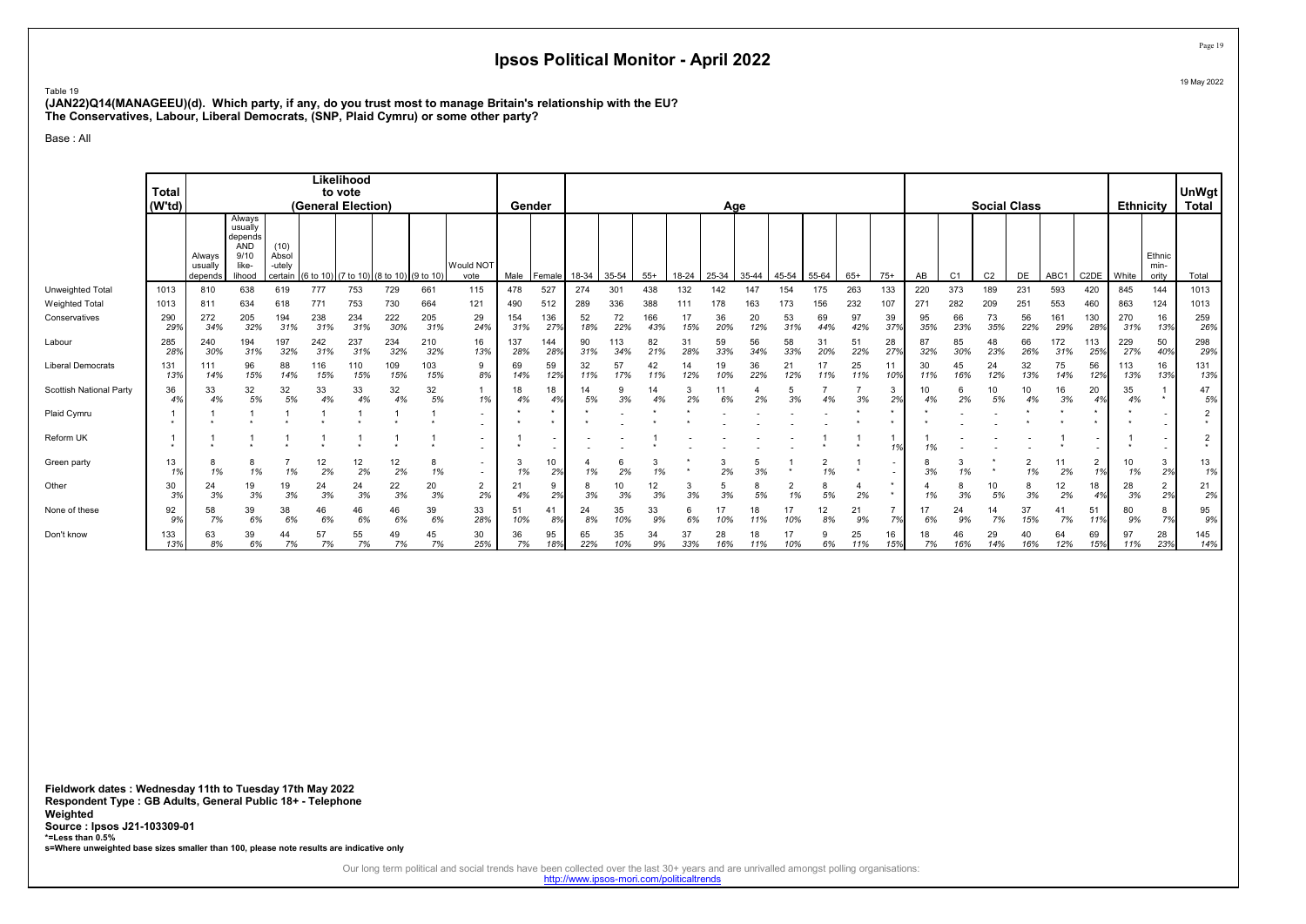Table 19 (JAN22)Q14(MANAGEEU)(d). Which party, if any, do you trust most to manage Britain's relationship with the EU? The Conservatives, Labour, Liberal Democrats, (SNP, Plaid Cymru) or some other party?

Base : All

|                          | <b>Total</b><br>(W'td) |                              |                                                                       |                                    |            | Likelihood<br>to vote<br>(General Election) |            |            |                                                      | Gender     |            |           |            |            |           | Age       |           |           |           |           |                          |           |                | <b>Social Class</b> |           |            |                      | <b>Ethnicity</b> |                         | UnWgt<br>Total                         |
|--------------------------|------------------------|------------------------------|-----------------------------------------------------------------------|------------------------------------|------------|---------------------------------------------|------------|------------|------------------------------------------------------|------------|------------|-----------|------------|------------|-----------|-----------|-----------|-----------|-----------|-----------|--------------------------|-----------|----------------|---------------------|-----------|------------|----------------------|------------------|-------------------------|----------------------------------------|
|                          |                        | Alwavs<br>usually<br>depends | Always<br>usually<br>depends<br><b>AND</b><br>9/10<br>like-<br>lihood | (10)<br>Absol<br>-utelv<br>certain | (6 to 10   | (7 to 10) (8 to 10)                         |            | (9 to 10)  | Would NOT<br>vote                                    | Male       | Female     | 18-34     | 35-54      | $55+$      | 18-24     | 25-34     | 35-44     | 45-54     | 55-64     | $65+$     | $75+$                    | AB        | C <sub>1</sub> | C <sub>2</sub>      | DE        | ABC1       | C <sub>2</sub> DE    | White            | Ethnic<br>min-<br>oritv | Total                                  |
| Unweighted Total         | 1013                   | 810                          | 638                                                                   | 619                                | 777        | 753                                         | 729        | 661        | 115                                                  | 478        | 527        | 274       | 301        | 438        | 132       | 142       | 147       | 154       | 175       | 263       | 133                      | 220       | 373            | 189                 | 231       | 593        | 420                  | 845              | 144                     | 1013                                   |
| <b>Weighted Total</b>    | 1013                   | 811                          | 634                                                                   | 618                                | 771        | 753                                         | 730        | 664        | 121                                                  | 490        | 512        | 289       | 336        | 388        | 111       | 178       | 163       | 173       | 156       | 232       | 107                      | 271       | 282            | 209                 | 251       | 553        | 460                  | 863              | 124                     | 1013                                   |
| Conservatives            | 290<br>29%             | 272<br>34%                   | 205<br>32%                                                            | 194<br>31%                         | 238<br>31% | 234<br>31%                                  | 222<br>30% | 205<br>31% | 29<br>24%                                            | 154<br>31% | 136<br>27% | 52<br>18% | 72<br>22%  | 166<br>43% | 17<br>15% | 36<br>20% | 20<br>12% | 53<br>31% | 69<br>44% | 97<br>42% | 39<br>37%                | 95<br>35% | 66<br>23%      | 73<br>35%           | 56<br>22% | 161<br>29% | 130<br>28%           | 270<br>31%       | 16<br>13%               | 259<br>26%                             |
| Labour                   | 285<br>289             | 240<br>30%                   | 194<br>31%                                                            | 197<br>32%                         | 242<br>31% | 237<br>31%                                  | 234<br>32% | 210<br>32% | 16<br>13%                                            | 137<br>28% | 144<br>28% | 90<br>31% | 113<br>34% | 82<br>21%  | 31<br>28% | 59<br>33% | 56<br>34% | 58<br>33% | 31<br>20% | 51<br>22% | 28<br>27%                | 32%       | 85<br>30%      | 48<br>23%           | 66<br>26% | 172<br>31% | 113<br>25%           | 229<br>27%       | 50<br>40%               | 298<br>29%                             |
| <b>Liberal Democrats</b> | 131<br>139             | 111<br>14%                   | 96<br>15%                                                             | 88<br>14%                          | 116<br>15% | 110<br>15%                                  | 109<br>15% | 103<br>15% | 9<br>8%                                              | 69<br>14%  | 59<br>12%  | 32<br>11% | 57<br>17%  | 42<br>11%  | 14<br>12% | 19<br>10% | 36<br>22% | 21<br>12% | 17<br>11% | 25<br>11% | 11<br>10%                | 30<br>11% | 45<br>16%      | 24<br>12%           | 32<br>13% | 75<br>14%  | 56<br>12%            | 113<br>13%       | 16<br>13%               | 131<br>13%                             |
| Scottish National Party  | 36<br>4%               | 33<br>4%                     | 32<br>5%                                                              | 32<br>5%                           | 33<br>4%   | 33<br>4%                                    | 32<br>4%   | 32<br>5%   | 1%                                                   | 18<br>4%   | 18         | 14<br>5%  | 9<br>3%    | 14<br>4%   | 2%        | 6%        | 2%        | 3%        | 4%        | 3%        | 2%                       | 10<br>4%  | 6<br>2%        | 10<br>5%            | 4%        | 16<br>3%   | 20<br>4%             | 35<br>4%         |                         | 47<br>5%                               |
| Plaid Cymru              |                        |                              |                                                                       |                                    |            |                                             |            |            |                                                      |            |            |           |            |            |           |           |           |           |           |           |                          |           |                |                     |           |            |                      |                  |                         | 2                                      |
| Reform UK                | ٠                      |                              |                                                                       |                                    |            |                                             |            |            | $\overline{\phantom{a}}$                             |            |            |           |            |            |           |           |           |           |           |           | 1%                       | 1%        |                |                     |           |            |                      |                  |                         | $\overline{2}$<br>$\ddot{\phantom{1}}$ |
| Green party              | 13<br>1%               | 8<br>1%                      | 8<br>1%                                                               | 1%                                 | 12<br>2%   | 12<br>2%                                    | 12<br>2%   | 8<br>1%    | $\overline{\phantom{a}}$<br>$\overline{\phantom{a}}$ | 3<br>1%    | 10<br>2%   | 1%        | 6<br>2%    | 1%         |           | 3<br>2%   | 5<br>3%   |           | 2<br>1%   |           | $\overline{\phantom{a}}$ | 8<br>3%   | 1%             |                     | 2<br>1%   | 11<br>2%   | $\overline{2}$<br>1% | 10<br>1%         | 3<br>2%                 | 13<br>1%                               |
| Other                    | 30<br>3%               | 24<br>3%                     | 19<br>3%                                                              | 19<br>3%                           | 24<br>3%   | 24<br>3%                                    | 22<br>3%   | 20<br>3%   | 2<br>2%                                              | 21<br>4%   | 9<br>2%    | 8<br>3%   | 10<br>3%   | 12<br>3%   | 3%        | 5<br>3%   | 8<br>5%   | 1%        | 8<br>5%   | 2%        | $\star$                  | 1%        | 8<br>3%        | 10<br>5%            | 8<br>3%   | 12<br>2%   | 18<br>4%             | 28<br>3%         | $\overline{2}$<br>2%    | 21<br>2%                               |
| None of these            | 92<br>9%               | 58<br>7%                     | 39<br>6%                                                              | 38<br>6%                           | 46<br>6%   | 46<br>6%                                    | 46<br>6%   | 39<br>6%   | 33<br>28%                                            | 51<br>10%  | 41<br>8%   | 24<br>8%  | 35<br>10%  | 33<br>9%   | 6%        | 10%       | 18<br>11% | 17<br>10% | 12<br>8%  | 21<br>9%  | 7%                       | 6%        | 24<br>9%       | 14<br>7%            | 37<br>15% | 7%         | 51<br>11%            | 80<br>9%         | 8<br>7%                 | 95<br>9%                               |
| Don't know               | 133<br>13%             | 63<br>8%                     | 39<br>6%                                                              | 44<br>7%                           | 57<br>7%   | 55<br>7%                                    | 49<br>7%   | 45<br>7%   | 30<br>25%                                            | 36<br>7%   | 95<br>18%  | 65<br>22% | 35<br>10%  | 34<br>9%   | 37<br>33% | 28<br>16% | 18<br>11% | 17<br>10% | 6%        | 25<br>11% | 16<br>15%                | 18<br>7%  | 46<br>16%      | 29<br>14%           | 40<br>16% | 64<br>12%  | 69<br>15%            | 97<br>11%        | 28<br>23%               | 145<br>14%                             |

Fieldwork dates : Wednesday 11th to Tuesday 17th May 2022 Respondent Type : GB Adults, General Public 18+ - Telephone Weighted Source : Ipsos J21-103309-01 \*=Less than 0.5% s=Where unweighted base sizes smaller than 100, please note results are indicative only

Our long term political and social trends have been collected over the last 30+ years and are unrivalled amongst polling organisations:<br>http://www.ipsos-mori.com/politicaltrends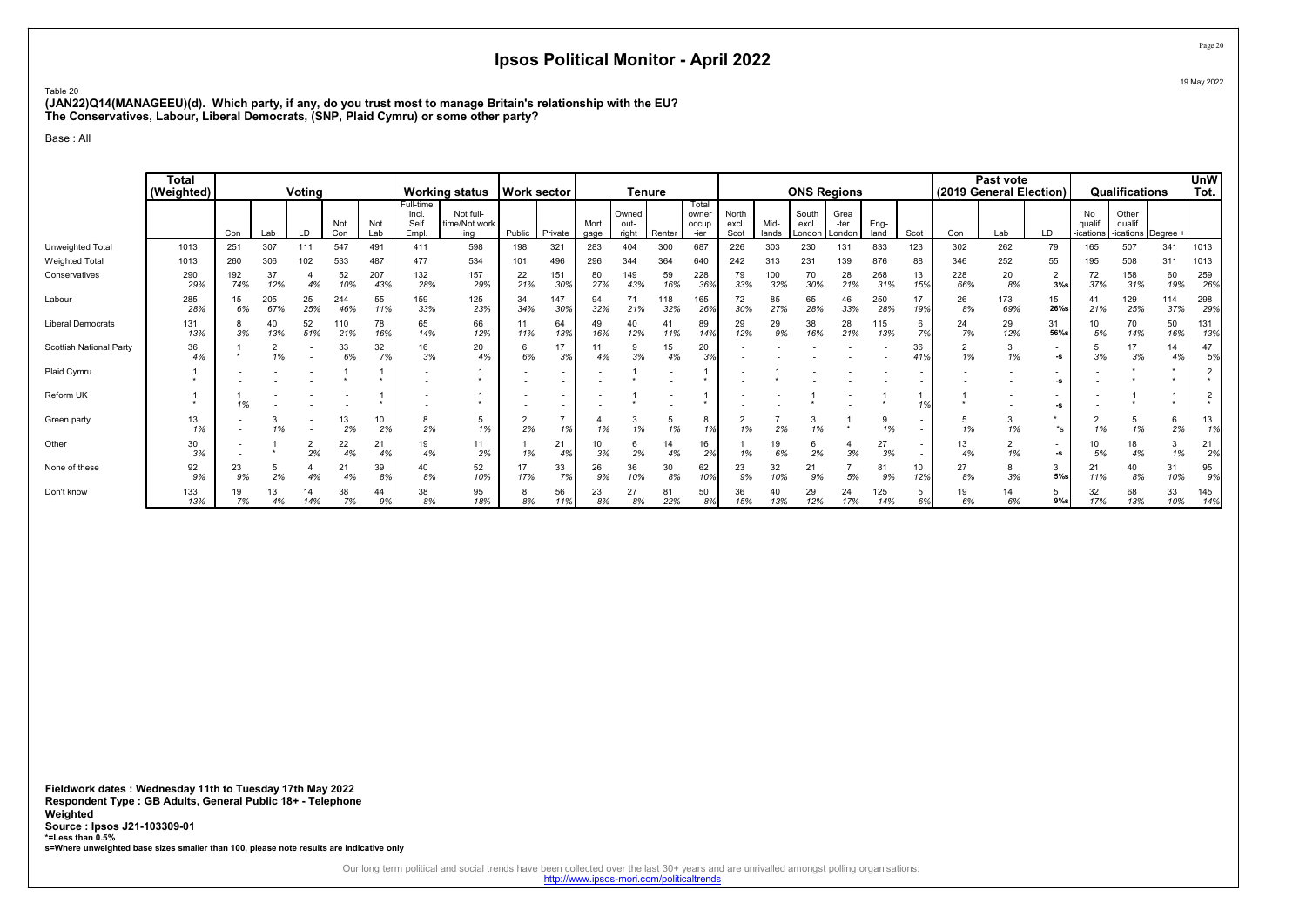Table 20 (JAN22)Q14(MANAGEEU)(d). Which party, if any, do you trust most to manage Britain's relationship with the EU? The Conservatives, Labour, Liberal Democrats, (SNP, Plaid Cymru) or some other party?

Base : All

|                          | <b>Total</b><br>(Weighted) |            |            | Voting    |            |            |                                     | <b>Working status</b>             | <b>Work sector</b> |                          |              |                        | <b>Tenure</b> |                                 |                        |               |                          | <b>ONS Regions</b>     |              |           | (2019 General Election) | Past vote  |                                |                           | Qualifications               |            | <b>UnW</b><br>Tot.        |
|--------------------------|----------------------------|------------|------------|-----------|------------|------------|-------------------------------------|-----------------------------------|--------------------|--------------------------|--------------|------------------------|---------------|---------------------------------|------------------------|---------------|--------------------------|------------------------|--------------|-----------|-------------------------|------------|--------------------------------|---------------------------|------------------------------|------------|---------------------------|
|                          |                            | Con        | Lab        | LD        | Not<br>Con | Not<br>Lab | Full-time<br>Incl.<br>Self<br>Empl. | Not full-<br>time/Not work<br>ina | Public             | Private                  | Mort<br>gage | Owned<br>out-<br>right | Renter        | Total<br>owner<br>occup<br>-ier | North<br>excl.<br>Scot | Mid-<br>lands | South<br>excl.<br>London | Grea<br>-ter<br>London | Eng-<br>land | Scot      | Con                     | Lab        | LD                             | No<br>qualif<br>-ications | Other<br>qualif<br>-ications | Degree +   |                           |
| Unweighted Total         | 1013                       | 251        | 307        | 111       | 547        | 491        | 411                                 | 598                               | 198                | 321                      | 283          | 404                    | 300           | 687                             | 226                    | 303           | 230                      | 131                    | 833          | 123       | 302                     | 262        | 79                             | 165                       | 507                          | 341        | 1013                      |
| <b>Weighted Total</b>    | 1013                       | 260        | 306        | 102       | 533        | 487        | 477                                 | 534                               | 101                | 496                      | 296          | 344                    | 364           | 640                             | 242                    | 313           | 231                      | 139                    | 876          | 88        | 346                     | 252        | 55                             | 195                       | 508                          | 311        | 1013                      |
| Conservatives            | 290<br>29%                 | 192<br>74% | 37<br>12%  | 4%        | 52<br>10%  | 207<br>43% | 132<br>28%                          | 157<br>29%                        | 22<br>21%          | 151<br>30%               | 80<br>27%    | 149<br>43%             | 59<br>16%     | 228<br>369                      | 79<br>33%              | 100<br>32%    | 70<br>30%                | 28<br>21%              | 268<br>31%   | 13<br>15% | 228<br>66%              | 20<br>8%   | $\overline{2}$<br>$3%$ s       | 72<br>37%                 | 158<br>31%                   | 60<br>19%  | 259<br>26%                |
| Labour                   | 285<br>28%                 | 15<br>6%   | 205<br>67% | 25<br>25% | 244<br>46% | 55<br>11%  | 159<br>33%                          | 125<br>23%                        | 34<br>34%          | 147<br>30%               | 94<br>32%    | 71<br>21%              | 118<br>32%    | 165<br>26%                      | 72<br>30%              | 85<br>27%     | 65<br>28%                | 46<br>33%              | 250<br>28%   | 17<br>19% | 26<br>8%                | 173<br>69% | 15<br>26%s                     | 41<br>21%                 | 129<br>25%                   | 114<br>37% | 298<br>29%                |
| <b>Liberal Democrats</b> | 131<br>13%                 | 8<br>3%    | 40<br>13%  | 52<br>51% | 110<br>21% | 78<br>16%  | 65<br>14%                           | 66<br>12%                         | 11<br>11%          | 64<br>13%                | 49<br>16%    | 40<br>12%              | 41<br>11%     | 89<br>14%                       | 29<br>12%              | 29<br>9%      | 38<br>16%                | 28<br>21%              | 115<br>13%   | 6<br>7%   | 24<br>7%                | 29<br>12%  | 31<br>56%s                     | 10<br>5%                  | 70<br>14%                    | 50<br>16%  | 131<br>13%                |
| Scottish National Party  | 36<br>4%                   |            | 1%         |           | 33<br>6%   | 32<br>7%   | 16<br>3%                            | 20<br>4%                          | 6<br>6%            | 17<br>3%                 | 4%           | 9<br>3%                | 15<br>4%      | 20<br>3%                        |                        |               |                          |                        |              | 36<br>419 | $\overline{2}$<br>1%    | 1%         | $\overline{\phantom{a}}$<br>-s | 3%                        | 17<br>3%                     | 14<br>4%   | 47<br>5%                  |
| Plaid Cymru              |                            |            |            |           |            |            |                                     |                                   |                    | $\overline{\phantom{a}}$ |              |                        |               |                                 |                        |               |                          |                        |              |           |                         |            | -S                             |                           |                              |            | $\overline{2}$<br>$\star$ |
| Reform UK                |                            | 1%         |            |           |            |            |                                     |                                   |                    | $\overline{\phantom{a}}$ |              |                        |               |                                 |                        |               |                          |                        |              | 1%        |                         |            | -S                             |                           |                              |            | 2<br>$\star$              |
| Green party              | 13<br>1%                   |            | 1%         |           | 13<br>2%   | 10<br>2%   | 8<br>2%                             | 5<br>1%                           | 2%                 | 1%                       | 1%           | 1%                     | 1%            | 8<br>1%                         | 1%                     | 2%            | 1%                       |                        | 1%           |           | 5<br>1%                 | 1%         | $*_s$                          | 1%                        | 5<br>1%                      | 6<br>2%    | 13<br>1%                  |
| Other                    | 30<br>3%                   |            |            | 2<br>2%   | 22<br>4%   | 21<br>4%   | 19<br>4%                            | 11<br>2%                          | 1%                 | 21<br>4%                 | 10<br>3%     | 6<br>2%                | 14<br>4%      | 16<br>2%                        | 1%                     | 19<br>6%      | 2%                       | 3%                     | 27<br>3%     |           | 13<br>4%                | 1%         | -S                             | 10<br>5%                  | 18<br>4%                     | 3<br>1%    | 21<br>2%                  |
| None of these            | 92<br>9%                   | 23<br>9%   | 2%         | 4%        | 21<br>4%   | 39<br>8%   | 40<br>8%                            | 52<br>10%                         | 17%                | 33<br>7%                 | 26<br>9%     | 36<br>10%              | 30<br>8%      | 62<br>10%                       | 23<br>9%               | 32<br>10%     | 21<br>9%                 | 5%                     | 81<br>9%     | 10<br>12% | 27<br>8%                | 3%         | 3<br>5%                        | 21<br>11%                 | 40<br>8%                     | 31<br>10%  | 95<br>9%                  |
| Don't know               | 133<br>13%                 | 7%         | 4%         | 14<br>14% | 38<br>7%   | 44<br>9%   | 38<br>8%                            | 95<br>18%                         | 8%                 | 56<br>11%                | 23<br>8%     | 27<br>8%               | 8.<br>22%     | 50<br>8%                        | 36<br>15%              | 40<br>13%     | 29<br>12%                | 24<br>17%              | 125<br>14%   | 5<br>6%   | 19<br>6%                | 6%         | 5<br>$9%$ s                    | 32<br>17%                 | 68<br>13%                    | 33<br>10%  | 145<br>14%                |

Fieldwork dates : Wednesday 11th to Tuesday 17th May 2022 Respondent Type : GB Adults, General Public 18+ - Telephone Weighted Source : Ipsos J21-103309-01 \*=Less than 0.5% s=Where unweighted base sizes smaller than 100, please note results are indicative only

Our long term political and social trends have been collected over the last 30+ years and are unrivalled amongst polling organisations:<br>http://www.ipsos-mori.com/politicaltrends

Page 20 19 May 2022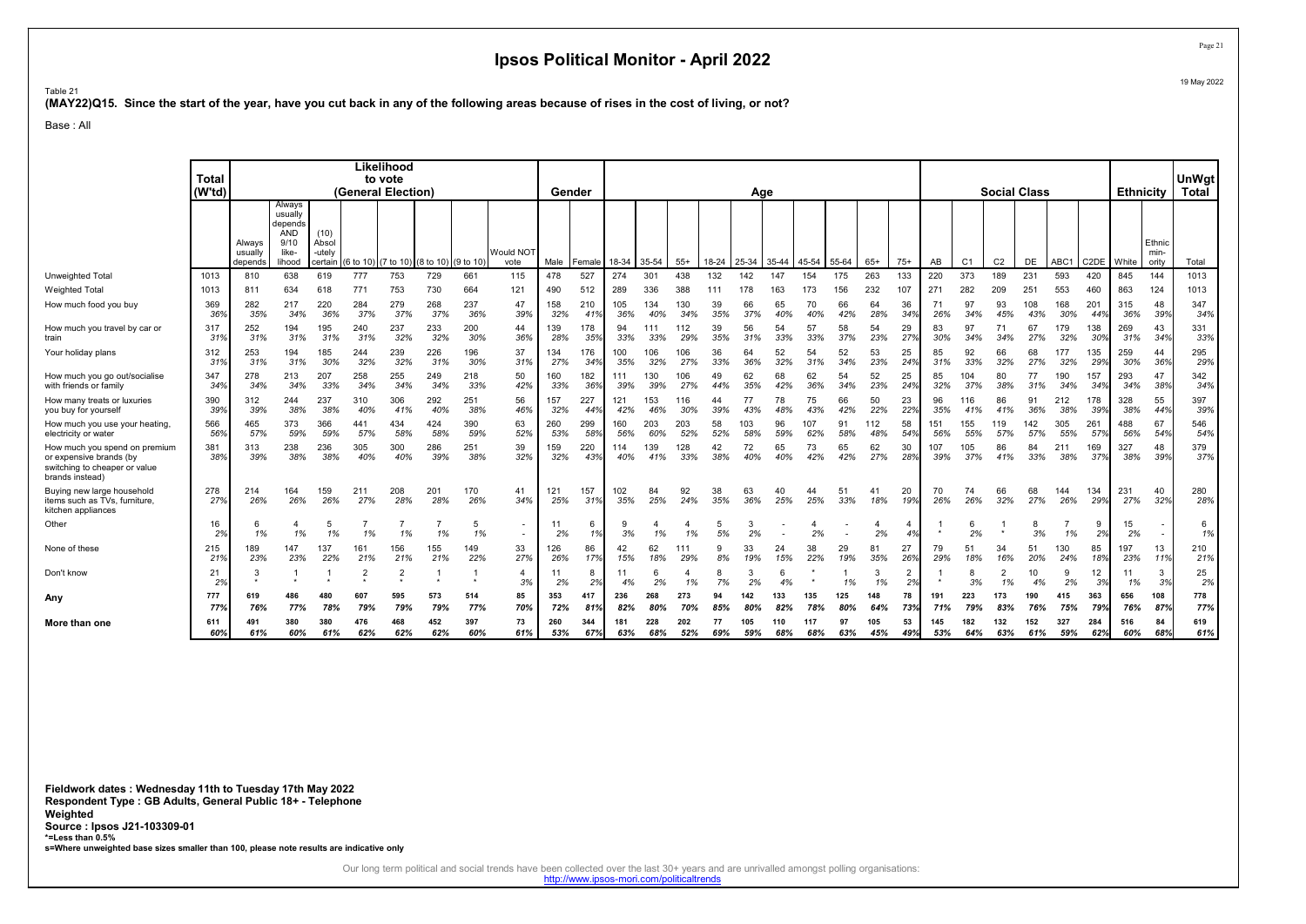Table 21

(MAY22)Q15. Since the start of the year, have you cut back in any of the following areas because of rises in the cost of living, or not?

Base : All

|                                                                                                              |              |                              |                                                                       |                                    |                     | Likelihood         |                     |            |                                                      |            |            |            |            |            |           |            |            |            |            |            |           |            |                |                      |            |            |            |            |                         |              |
|--------------------------------------------------------------------------------------------------------------|--------------|------------------------------|-----------------------------------------------------------------------|------------------------------------|---------------------|--------------------|---------------------|------------|------------------------------------------------------|------------|------------|------------|------------|------------|-----------|------------|------------|------------|------------|------------|-----------|------------|----------------|----------------------|------------|------------|------------|------------|-------------------------|--------------|
|                                                                                                              | <b>Total</b> |                              |                                                                       |                                    |                     | to vote            |                     |            |                                                      |            |            |            |            |            |           |            |            |            |            |            |           |            |                |                      |            |            |            |            |                         | UnWgt        |
|                                                                                                              | (W'td)       |                              |                                                                       |                                    |                     | (General Election) |                     |            |                                                      | Gender     |            |            |            |            |           | Age        |            |            |            |            |           |            |                | <b>Social Class</b>  |            |            |            | Ethnicity  |                         | <b>Total</b> |
|                                                                                                              |              | Always<br>usually<br>depends | Always<br>usually<br>depends<br><b>AND</b><br>9/10<br>like-<br>lihood | (10)<br>Absol<br>-utelv<br>certain | (6 to 10) (7 to 10) |                    | (8 to 10) (9 to 10) |            | Would NOT<br>vote                                    | Male       | Female     | 18-34      | 35-54      | $55+$      | 18-24     | 25-34      | 35-44      | 45-54      | 55-64      | $65+$      | $75+$     | AB         | C <sub>1</sub> | C <sub>2</sub>       | DE         | ABC1       | C2DE White |            | Ethnic<br>min-<br>ority | Total        |
| Unweighted Total                                                                                             | 1013         | 810                          | 638                                                                   | 619                                | 777                 | 753                | 729                 | 661        | 115                                                  | 478        | 527        | 274        | 301        | 438        | 132       | 142        | 147        | 154        | 175        | 263        | 133       | 220        | 373            | 189                  | 231        | 593        | 420        | 845        | 144                     | 1013         |
| <b>Weighted Total</b>                                                                                        | 1013         | 811                          | 634                                                                   | 618                                | 771                 | 753                | 730                 | 664        | 121                                                  | 490        | 512        | 289        | 336        | 388        | 111       | 178        | 163        | 173        | 156        | 232        | 107       | 271        | 282            | 209                  | 251        | 553        | 460        | 863        | 124                     | 1013         |
| How much food you buy                                                                                        | 369<br>36%   | 282<br>35%                   | 217<br>34%                                                            | 220<br>36%                         | 284<br>37%          | 279<br>37%         | 268<br>37%          | 237<br>36% | 47<br>39%                                            | 158<br>32% | 210<br>41% | 105<br>36% | 134<br>40% | 130<br>34% | 39<br>35% | 66<br>37%  | 65<br>40%  | 70<br>40%  | 66<br>42%  | 64<br>28%  | 36<br>34% | 71<br>26%  | 97<br>34%      | 93<br>45%            | 108<br>43% | 168<br>30% | 201<br>44% | 315<br>36% | 48<br>39%               | 347<br>34%   |
| How much you travel by car or<br>train                                                                       | 317<br>31%   | 252<br>31%                   | 194<br>31%                                                            | 195<br>31%                         | 240<br>31%          | 237<br>32%         | 233<br>32%          | 200<br>30% | 44<br>36%                                            | 139<br>28% | 178<br>35% | 94<br>33%  | 33%        | 112<br>29% | 39<br>35% | 56<br>31%  | 54<br>33%  | 57<br>33%  | 58<br>37%  | 54<br>23%  | 29<br>27% | 83<br>30%  | 97<br>34%      | 71<br>34%            | 67<br>27%  | 179<br>32% | 138<br>30% | 269<br>31% | 43<br>34%               | 331<br>33%   |
| Your holiday plans                                                                                           | 312<br>319   | 253<br>31%                   | 194<br>31%                                                            | 185<br>30%                         | 244<br>32%          | 239<br>32%         | 226<br>31%          | 196<br>30% | 37<br>31%                                            | 134<br>27% | 176<br>34% | 100<br>35% | 106<br>32% | 106<br>27% | 36<br>33% | 64<br>36%  | 52<br>32%  | 54<br>31%  | 52<br>34%  | 53<br>23%  | 25<br>24% | 85<br>31%  | 92<br>33%      | 66<br>32%            | 68<br>27%  | 177<br>32% | 135<br>29% | 259<br>30% | 44<br>36%               | 295<br>29%   |
| How much you go out/socialise<br>with friends or family                                                      | 347<br>34%   | 278<br>34%                   | 213<br>34%                                                            | 207<br>33%                         | 258<br>34%          | 255<br>34%         | 249<br>34%          | 218<br>33% | 50<br>42%                                            | 160<br>33% | 182<br>36% | 111<br>39% | 130<br>39% | 106<br>27% | 49<br>44% | 62<br>35%  | 68<br>42%  | 62<br>36%  | 54<br>34%  | 52<br>23%  | 25<br>24% | 85<br>32%  | 104<br>37%     | 80<br>38%            | 77<br>31%  | 190<br>34% | 157<br>34% | 293<br>34% | 47<br>38%               | 342<br>34%   |
| How many treats or luxuries<br>vou buv for vourself                                                          | 390<br>39%   | 312<br>39%                   | 244<br>38%                                                            | 237<br>38%                         | 310<br>40%          | 306<br>41%         | 292<br>40%          | 251<br>38% | 56<br>46%                                            | 157<br>32% | 227<br>44% | 121<br>42% | 153<br>46% | 116<br>30% | 44<br>39% | 77<br>43%  | 78<br>48%  | 75<br>43%  | 66<br>42%  | 50<br>22%  | 23<br>22% | 96<br>35%  | 116<br>41%     | 86<br>41%            | 91<br>36%  | 212<br>38% | 178<br>39% | 328<br>38% | 55<br>44%               | 397<br>39%   |
| How much you use your heating,<br>electricity or water                                                       | 566<br>56%   | 465<br>57%                   | 373<br>59%                                                            | 366<br>59%                         | 441<br>57%          | 434<br>58%         | 424<br>58%          | 390<br>59% | 63<br>52%                                            | 260<br>53% | 299<br>58% | 160<br>56% | 203<br>60% | 203<br>52% | 58<br>52% | 103<br>58% | 96<br>59%  | 107<br>62% | 91<br>58%  | 112<br>48% | 58<br>54% | 151<br>56% | 155<br>55%     | 119<br>57%           | 142<br>57% | 305<br>55% | 261<br>57% | 488<br>56% | 67<br>54%               | 546<br>54%   |
| How much you spend on premium<br>or expensive brands (by<br>switching to cheaper or value<br>brands instead) | 381<br>38%   | 313<br>39%                   | 238<br>38%                                                            | 236<br>38%                         | 305<br>40%          | 300<br>40%         | 286<br>39%          | 251<br>38% | 39<br>32%                                            | 159<br>32% | 220<br>43% | 114<br>40% | 139<br>41% | 128<br>33% | 42<br>38% | 72<br>40%  | 65<br>40%  | 73<br>42%  | 65<br>42%  | 62<br>27%  | 30<br>28% | 107<br>39% | 105<br>37%     | 86<br>41%            | 84<br>33%  | 211<br>38% | 169<br>37% | 327<br>38% | 48<br>39%               | 379<br>37%   |
| Buying new large household<br>items such as TVs, furniture,<br>kitchen appliances                            | 278<br>27%   | 214<br>26%                   | 164<br>26%                                                            | 159<br>26%                         | 211<br>27%          | 208<br>28%         | 201<br>28%          | 170<br>26% | 41<br>34%                                            | 121<br>25% | 157<br>31% | 102<br>35% | 84<br>25%  | 92<br>24%  | 38<br>35% | 63<br>36%  | 40<br>25%  | 44<br>25%  | 51<br>33%  | -41<br>18% | 20<br>19% | 70<br>26%  | 74<br>26%      | 66<br>32%            | 68<br>27%  | 144<br>26% | 134<br>29% | 231<br>27% | 40<br>32%               | 280<br>28%   |
| Other                                                                                                        | 16<br>2%     | 1%                           | 1%                                                                    | 5<br>1%                            | 1%                  | 1%                 | 1%                  | -5<br>1%   | $\overline{\phantom{a}}$<br>$\overline{\phantom{a}}$ | 11<br>2%   | 6<br>1%    | 3%         | 1%         | 1%         | 5%        | 2%         |            | 2%         |            | 2%         | 4<br>4%   |            | 6<br>2%        |                      | 8<br>3%    | 1%         | 9<br>2%    | 15<br>2%   |                         | 6<br>1%      |
| None of these                                                                                                | 215<br>219   | 189<br>23%                   | 147<br>23%                                                            | 137<br>22%                         | 161<br>21%          | 156<br>21%         | 155<br>21%          | 149<br>22% | 33<br>27%                                            | 126<br>26% | 86<br>17%  | 42<br>15%  | 62<br>18%  | 111<br>29% | 8%        | 33<br>19%  | 24<br>15%  | 38<br>22%  | 29<br>19%  | 81<br>35%  | 27<br>26% | 79<br>29%  | 51<br>18%      | 34<br>16%            | 51<br>20%  | 130<br>24% | 85<br>18%  | 197<br>23% | 13<br>11%               | 210<br>21%   |
| Don't know                                                                                                   | 21<br>2%     | 3                            |                                                                       |                                    | $\overline{2}$      |                    |                     |            | 4<br>3%                                              | 11<br>2%   | 2%         | 11<br>4%   | 2%         | 1%         | 7%        | 2%         | ĥ<br>4%    |            | 1%         | 3<br>1%    | 2<br>2%   |            | 8<br>3%        | $\overline{2}$<br>1% | 10<br>4%   | 9<br>2%    | 12<br>3%   | 11<br>1%   | $\mathbf{B}$<br>3%      | 25<br>2%     |
| Any                                                                                                          | 777<br>77%   | 619<br>76%                   | 486<br>77%                                                            | 480<br>78%                         | 607<br>79%          | 595<br>79%         | 573<br>79%          | 514<br>77% | 85<br>70%                                            | 353<br>72% | 417<br>81% | 236<br>82% | 268<br>80% | 273<br>70% | 94<br>85% | 142<br>80% | 133<br>82% | 135<br>78% | 125<br>80% | 148<br>64% | 78<br>73% | 191<br>71% | 223<br>79%     | 173<br>83%           | 190<br>76% | 415<br>75% | 363<br>79% | 656<br>76% | 108<br>87%              | 778<br>77%   |
| More than one                                                                                                | 611<br>60%   | 491<br>61%                   | 380<br>60%                                                            | 380<br>61%                         | 476<br>62%          | 468<br>62%         | 452<br>62%          | 397<br>60% | 73<br>61%                                            | 260<br>53% | 344<br>67% | 181<br>63% | 228<br>68% | 202<br>52% | 77<br>69% | 105<br>59% | 110<br>68% | 117<br>68% | 97<br>63%  | 105<br>45% | 53<br>49% | 145<br>53% | 182<br>64%     | 132<br>63%           | 152<br>61% | 327<br>59% | 284<br>62% | 516<br>60% | 84<br>68%               | 619<br>61%   |

Fieldwork dates : Wednesday 11th to Tuesday 17th May 2022 Respondent Type : GB Adults, General Public 18+ - Telephone Weighted Source : Ipsos J21-103309-01 \*=Less than 0.5% s=Where unweighted base sizes smaller than 100, please note results are indicative only

Our long term political and social trends have been collected over the last 30+ years and are unrivalled amongst polling organisations:<br>http://www.ipsos-mori.com/politicaltrends

Page 21